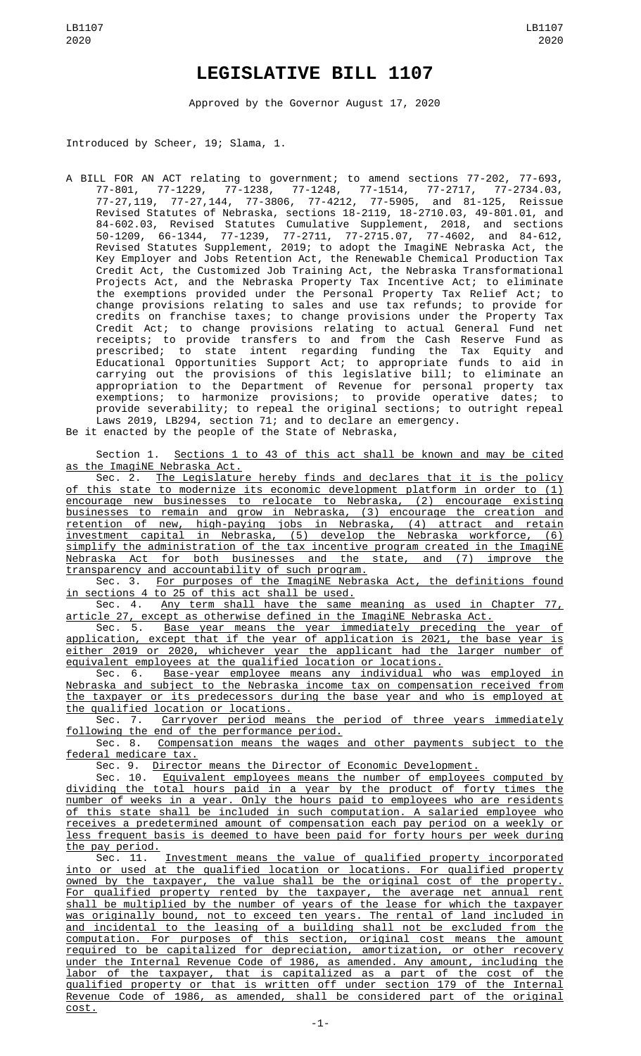## **LEGISLATIVE BILL 1107**

Approved by the Governor August 17, 2020

Introduced by Scheer, 19; Slama, 1.

A BILL FOR AN ACT relating to government; to amend sections 77-202, 77-693, 77-801, 77-1229, 77-1238, 77-1248, 77-1514, 77-2717, 77-2734.03, 77-27,119, 77-27,144, 77-3806, 77-4212, 77-5905, and 81-125, Reissue Revised Statutes of Nebraska, sections 18-2119, 18-2710.03, 49-801.01, and 84-602.03, Revised Statutes Cumulative Supplement, 2018, and sections 50-1209, 66-1344, 77-1239, 77-2711, 77-2715.07, 77-4602, and 84-612, Revised Statutes Supplement, 2019; to adopt the ImagiNE Nebraska Act, the Key Employer and Jobs Retention Act, the Renewable Chemical Production Tax Credit Act, the Customized Job Training Act, the Nebraska Transformational<br>Projects Act, and the Nebraska Property Tax Incentive Act; to eliminate Projects Act, and the Nebraska Property Tax Incentive Act; to eliminate the exemptions provided under the Personal Property Tax Relief Act; to change provisions relating to sales and use tax refunds; to provide for credits on franchise taxes; to change provisions under the Property Tax Credit Act; to change provisions relating to actual General Fund net receipts; to provide transfers to and from the Cash Reserve Fund as prescribed; to state intent regarding funding the Tax Equity and Educational Opportunities Support Act; to appropriate funds to aid in carrying out the provisions of this legislative bill; to eliminate an appropriation to the Department of Revenue for personal property tax exemptions; to harmonize provisions; to provide operative dates; to provide severability; to repeal the original sections; to outright repeal Laws 2019, LB294, section 71; and to declare an emergency. Be it enacted by the people of the State of Nebraska,

Section 1. Sections 1 to 43 of this act shall be known and may be cited as the ImagiNE Nebraska Act.

Sec. 2. The Legislature hereby finds and declares that it is the policy of this state to modernize its economic development platform in order to (1) encourage new businesses to relocate to Nebraska, (2) encourage existing businesses to remain and grow in Nebraska, (3) encourage the creation and retention of new, high-paying jobs in Nebraska, (4) attract and retain investment capital in Nebraska, (5) develop the Nebraska workforce, (6) simplify the administration of the tax incentive program created in the ImagiNE Nebraska Act for both businesses and the state, and (7) improve the transparency and accountability of such program.

Sec. 3. <u>For purposes of the ImagiNE Nebraska Act, the definitions found</u> in sections 4 to 25 of this act shall be used.

Sec. 4. Any term shall have the same meaning as used in Chapter 77,

<u>article 27, except as otherwise defined in the ImagiNE Nebraska Act.</u><br>Sec. 5. Base <u>year means the year immediately preceding t</u> Sec. 5. Base year means the year immediately preceding the year of application, except that if the year of application is 2021, the base year is either 2019 or 2020, whichever year the applicant had the larger number of equivalent employees at the qualified location or locations.

Sec. 6. Base-year employee means any individual who was employed in Nebraska and subject to the Nebraska income tax on compensation received from the taxpayer or its predecessors during the base year and who is employed at the qualified location or locations.

Sec. 7. Carryover period means the period of three years immediately following the end of the performance period.

Sec. 8. Compensation means the wages and other payments subject to the federal medicare tax.

Sec. 9. Director means the Director of Economic Development.

Sec. 10. Equivalent employees means the number of employees computed by dividing the total hours paid in a year by the product of forty times the number of weeks in a year. Only the hours paid to employees who are residents of this state shall be included in such computation. A salaried employee who receives a predetermined amount of compensation each pay period on a weekly or less frequent basis is deemed to have been paid for forty hours per week during the pay period.

Sec. 11. Investment means the value of qualified property incorporated into or used at the qualified location or locations. For qualified property owned by the taxpayer, the value shall be the original cost of the property. For qualified property rented by the taxpayer, the average net annual rent shall be multiplied by the number of years of the lease for which the taxpayer was originally bound, not to exceed ten years. The rental of land included in and incidental to the leasing of a building shall not be excluded from the computation. For purposes of this section, original cost means the amount required to be capitalized for depreciation, amortization, or other recovery under the Internal Revenue Code of 1986, as amended. Any amount, including the labor of the taxpayer, that is capitalized as a part of the cost of the qualified property or that is written off under section 179 of the Internal Revenue Code of 1986, as amended, shall be considered part of the original cost.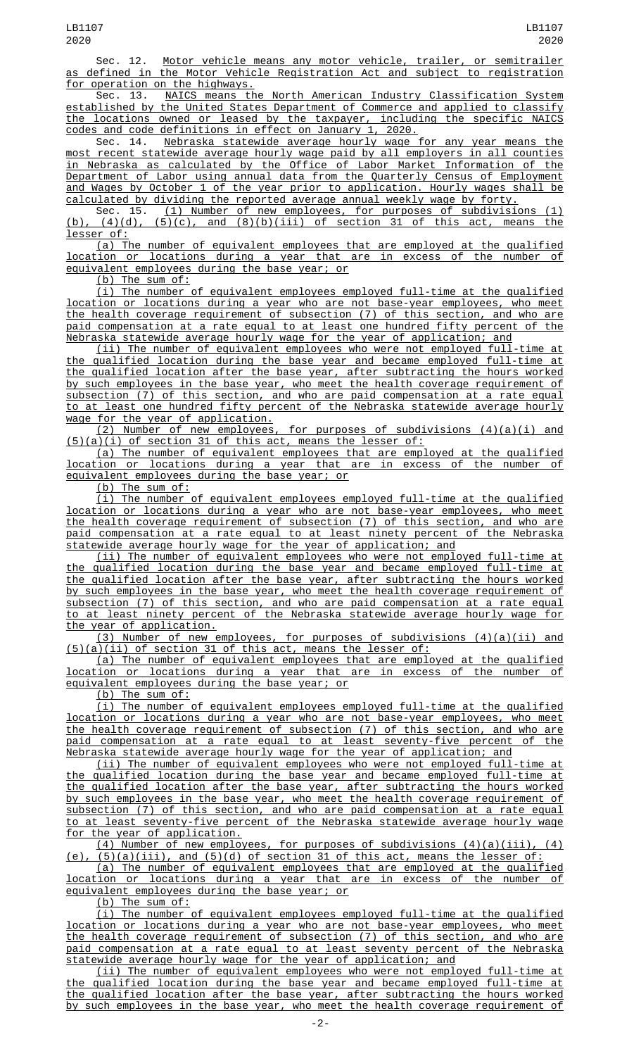Sec. 12. Motor vehicle means any motor vehicle, trailer, or semitrailer as defined in the Motor Vehicle Registration Act and subject to registration for operation on the highways.<br>Sec. 13. NAICS means the

NAICS means the North American Industry Classification System established by the United States Department of Commerce and applied to classify the locations owned or leased by the taxpayer, including the specific NAICS codes and code definitions in effect on January 1, 2020.

Sec. 14. Nebraska statewide average hourly wage for any year means the most recent statewide average hourly wage paid by all employers in all counties in Nebraska as calculated by the Office of Labor Market Information of the Department of Labor using annual data from the Quarterly Census of Employment and Wages by October 1 of the year prior to application. Hourly wages shall be calculated by dividing the reported average annual weekly wage by forty.

Sec. 15. (1) Number of new employees, for purposes of subdivisions (1) (b), (4)(d), (5)(c), and (8)(b)(iii) of section 31 of this act, means the lesser of:

(a) The number of equivalent employees that are employed at the qualified location or locations during a year that are in excess of the number of equivalent employees during the base year; or

(b) The sum of:

(i) The number of equivalent employees employed full-time at the qualified location or locations during a year who are not base-year employees, who meet the health coverage requirement of subsection (7) of this section, and who are paid compensation at a rate equal to at least one hundred fifty percent of the Nebraska statewide average hourly wage for the year of application; and

(ii) The number of equivalent employees who were not employed full-time at the qualified location during the base year and became employed full-time at the qualified location after the base year, after subtracting the hours worked by such employees in the base year, who meet the health coverage requirement of subsection (7) of this section, and who are paid compensation at a rate equal to at least one hundred fifty percent of the Nebraska statewide average hourly wage for the year of application.

 $(2)$  Number of new employees, for purposes of subdivisions  $(4)(a)(i)$  and (5)(a)(i) of section 31 of this act, means the lesser of:

(a) The number of equivalent employees that are employed at the qualified location or locations during a year that are in excess of the number of equivalent employees during the base year; or

(b) The sum of:

(i) The number of equivalent employees employed full-time at the qualified location or locations during a year who are not base-year employees, who meet the health coverage requirement of subsection (7) of this section, and who are paid compensation at a rate equal to at least ninety percent of the Nebraska statewide average hourly wage for the year of application; and

(ii) The number of equivalent employees who were not employed full-time at the qualified location during the base year and became employed full-time at the qualified location after the base year, after subtracting the hours worked by such employees in the base year, who meet the health coverage requirement of subsection (7) of this section, and who are paid compensation at a rate equal to at least ninety percent of the Nebraska statewide average hourly wage for the year of application.

(3) Number of new employees, for purposes of subdivisions (4)(a)(ii) and (5)(a)(ii) of section 31 of this act, means the lesser of:

(a) The number of equivalent employees that are employed at the qualified location or locations during a year that are in excess of the number of equivalent employees during the base year; or

(b) The sum of:

(i) The number of equivalent employees employed full-time at the qualified location or locations during a year who are not base-year employees, who meet the health coverage requirement of subsection (7) of this section, and who are paid compensation at a rate equal to at least seventy-five percent of the paid compensation at a rate equal to at least seventy-five percent of Nebraska statewide average hourly wage for the year of application; and

(ii) The number of equivalent employees who were not employed full-time at the qualified location during the base year and became employed full-time at the qualified location after the base year, after subtracting the hours worked by such employees in the base year, who meet the health coverage requirement of subsection (7) of this section, and who are paid compensation at a rate equal to at least seventy-five percent of the Nebraska statewide average hourly wage for the year of application.

(4) Number of new employees, for purposes of subdivisions (4)(a)(iii), (4)  $(5)(a)(iii)$ , and  $(5)(d)$  of section 31 of this act, means the lesser of:

(a) The number of equivalent employees that are employed at the qualified location or locations during a year that are in excess of the number of equivalent employees during the base year; or

(b) The sum of:

(i) The number of equivalent employees employed full-time at the qualified location or locations during a year who are not base-year employees, who meet the health coverage requirement of subsection (7) of this section, and who are paid compensation at a rate equal to at least seventy percent of the Nebraska statewide average hourly wage for the year of application; and

(ii) The number of equivalent employees who were not employed full-time at the qualified location during the base year and became employed full-time at the qualified location after the base year, after subtracting the hours worked by such employees in the base year, who meet the health coverage requirement of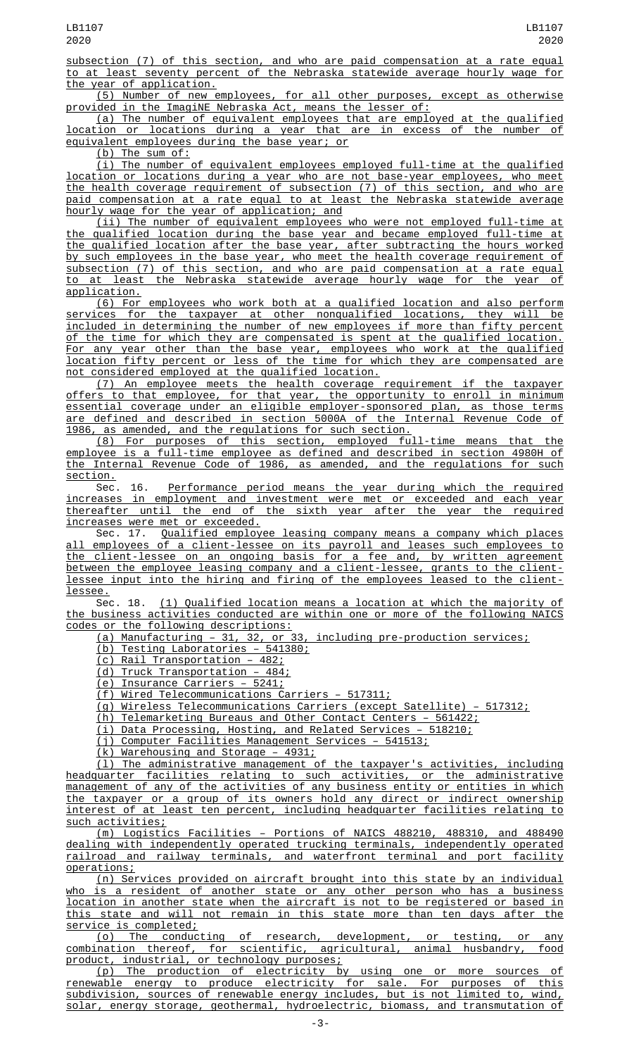subsection (7) of this section, and who are paid compensation at a rate equal to at least seventy percent of the Nebraska statewide average hourly wage for the year of application.

(5) Number of new employees, for all other purposes, except as otherwise provided in the ImagiNE Nebraska Act, means the lesser of:

(a) The number of equivalent employees that are employed at the qualified location or locations during a year that are in excess of the number of equivalent employees during the base year; or

(b) The sum of:

(i) The number of equivalent employees employed full-time at the qualified location or locations during a year who are not base-year employees, who meet the health coverage requirement of subsection (7) of this section, and who are paid compensation at a rate equal to at least the Nebraska statewide average hourly wage for the year of application; and

(ii) The number of equivalent employees who were not employed full-time at the qualified location during the base year and became employed full-time at the qualified location after the base year, after subtracting the hours worked by such employees in the base year, who meet the health coverage requirement of subsection (7) of this section, and who are paid compensation at a rate equal to at least the Nebraska statewide average hourly wage for the year of application.

(6) For employees who work both at a qualified location and also perform services for the taxpayer at other nonqualified locations, they will be included in determining the number of new employees if more than fifty percent of the time for which they are compensated is spent at the qualified location. For any year other than the base year, employees who work at the qualified location fifty percent or less of the time for which they are compensated are not considered employed at the qualified location.

(7) An employee meets the health coverage requirement if the taxpayer offers to that employee, for that year, the opportunity to enroll in minimum essential coverage under an eligible employer-sponsored plan, as those terms are defined and described in section 5000A of the Internal Revenue Code of 1986, as amended, and the regulations for such section.

(8) For purposes of this section, employed full-time means that the employee is a full-time employee as defined and described in section 4980H of the Internal Revenue Code of 1986, as amended, and the regulations for such section.

Sec. 16. <u>Performance period means the year during which the required</u> increases in employment and investment were met or exceeded and each year thereafter until the end of the sixth year after the year the required increases were met or exceeded.

Sec. 17. Qualified employee leasing company means a company which places all employees of a client-lessee on its payroll and leases such employees to the client-lessee on an ongoing basis for a fee and, by written agreement between the employee leasing company and a client-lessee, grants to the clientlessee input into the hiring and firing of the employees leased to the clientlessee.

Sec. 18. (1) Qualified location means a location at which the majority of the business activities conducted are within one or more of the following NAICS codes or the following descriptions:

(a) Manufacturing – 31, 32, or 33, including pre-production services;

(b) Testing Laboratories – 541380;

(c) Rail Transportation – 482;

(d) Truck Transportation – 484;

(e) Insurance Carriers – 5241;

(f) Wired Telecommunications Carriers – 517311;

(g) Wireless Telecommunications Carriers (except Satellite) – 517312;

(h) Telemarketing Bureaus and Other Contact Centers – 561422;

(i) Data Processing, Hosting, and Related Services – 518210;

(j) Computer Facilities Management Services – 541513;

(k) Warehousing and Storage – 4931;

(l) The administrative management of the taxpayer's activities, including headquarter facilities relating to such activities, or the administrative management of any of the activities of any business entity or entities in which the taxpayer or a group of its owners hold any direct or indirect ownership interest of at least ten percent, including headquarter facilities relating to such activities;

(m) Logistics Facilities – Portions of NAICS 488210, 488310, and 488490 dealing with independently operated trucking terminals, independently operated railroad and railway terminals, and waterfront terminal and port facility operations;

(n) Services provided on aircraft brought into this state by an individual who is a resident of another state or any other person who has a business location in another state when the aircraft is not to be registered or based in this state and will not remain in this state more than ten days after the service is completed;

(o) The conducting of research, development, or testing, or any combination thereof, for scientific, agricultural, animal husbandry, food product, industrial, or technology purposes;

(p) The production of electricity by using one or more sources of renewable energy to produce electricity for sale. For purposes of this subdivision, sources of renewable energy includes, but is not limited to, wind, solar, energy storage, geothermal, hydroelectric, biomass, and transmutation of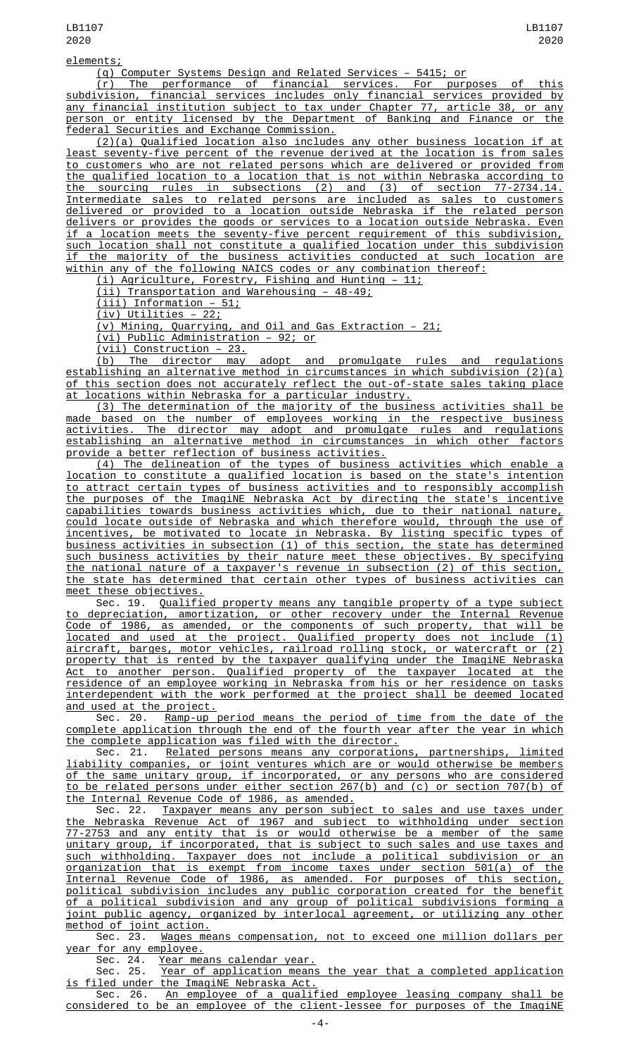elements;

(q) Computer Systems Design and Related Services – 5415; or

(r) The performance of financial services. For purposes of this subdivision, financial services includes only financial services provided by any financial institution subject to tax under Chapter 77, article 38, or any person or entity licensed by the Department of Banking and Finance or the federal Securities and Exchange Commission.

(2)(a) Qualified location also includes any other business location if at least seventy-five percent of the revenue derived at the location is from sales to customers who are not related persons which are delivered or provided from the qualified location to a location that is not within Nebraska according to the sourcing rules in subsections (2) and (3) of section 77-2734.14. Intermediate sales to related persons are included as sales to customers delivered or provided to a location outside Nebraska if the related person delivers or provides the goods or services to a location outside Nebraska. Even if a location meets the seventy-five percent requirement of this subdivision, such location shall not constitute a qualified location under this subdivision if the majority of the business activities conducted at such location are within any of the following NAICS codes or any combination thereof:

(i) Agriculture, Forestry, Fishing and Hunting – 11;

(ii) Transportation and Warehousing – 48-49;

(iii) Information – 51;

(iv) Utilities – 22;

(v) Mining, Quarrying, and Oil and Gas Extraction – 21;

(vi) Public Administration – 92; or

(vii) Construction – 23.

(b) The director may adopt and promulgate rules and regulations establishing an alternative method in circumstances in which subdivision (2)(a) of this section does not accurately reflect the out-of-state sales taking place at locations within Nebraska for a particular industry.

(3) The determination of the majority of the business activities shall be made based on the number of employees working in the respective business activities. The director may adopt and promulgate rules and regulations establishing an alternative method in circumstances in which other factors provide a better reflection of business activities.

(4) The delineation of the types of business activities which enable a location to constitute a qualified location is based on the state's intention to attract certain types of business activities and to responsibly accomplish the purposes of the ImagiNE Nebraska Act by directing the state's incentive capabilities towards business activities which, due to their national nature, could locate outside of Nebraska and which therefore would, through the use of incentives, be motivated to locate in Nebraska. By listing specific types of business activities in subsection (1) of this section, the state has determined such business activities by their nature meet these objectives. By specifying the national nature of a taxpayer's revenue in subsection (2) of this section, the state has determined that certain other types of business activities can meet these objectives.

Sec. 19. Qualified property means any tangible property of a type subject to depreciation, amortization, or other recovery under the Internal Revenue Code of 1986, as amended, or the components of such property, that will be located and used at the project. Qualified property does not include (1) aircraft, barges, motor vehicles, railroad rolling stock, or watercraft or (2) property that is rented by the taxpayer qualifying under the ImagiNE Nebraska Act to another person. Qualified property of the taxpayer located at the residence of an employee working in Nebraska from his or her residence on tasks interdependent with the work performed at the project shall be deemed located and used at the project.<br>Sec. 20. Ramp-up

Ramp-up period means the period of time from the date of the complete application through the end of the fourth year after the year in which the complete application was filed with the director.

Sec. 21. Related persons means any corporations, partnerships, limited liability companies, or joint ventures which are or would otherwise be members of the same unitary group, if incorporated, or any persons who are considered to be related persons under either section 267(b) and (c) or section 707(b) of the Internal Revenue Code of 1986, as amended.

Sec. 22. Taxpayer means any person subject to sales and use taxes under the Nebraska Revenue Act of 1967 and subject to withholding under section 77-2753 and any entity that is or would otherwise be a member of the same unitary group, if incorporated, that is subject to such sales and use taxes and such withholding. Taxpayer does not include a political subdivision or an organization that is exempt from income taxes under section 501(a) of the Internal Revenue Code of 1986, as amended. For purposes of this section, political subdivision includes any public corporation created for the benefit of a political subdivision and any group of political subdivisions forming a joint public agency, organized by interlocal agreement, or utilizing any other method of joint action.<br>Sec. 23. <u>Wages me</u>

Wages means compensation, not to exceed one million dollars per year for any employee.<br>Sec. 24. <u>Year mea</u>

Sec. 24. <u>Year means calendar year.</u><br>Sec. 25. <u>Year of application means</u> Year of application means the year that a completed application is filed under the ImagiNE Nebraska Act.

Sec. 26. An employee of a qualified employee leasing company shall be considered to be an employee of the client-lessee for purposes of the ImagiNE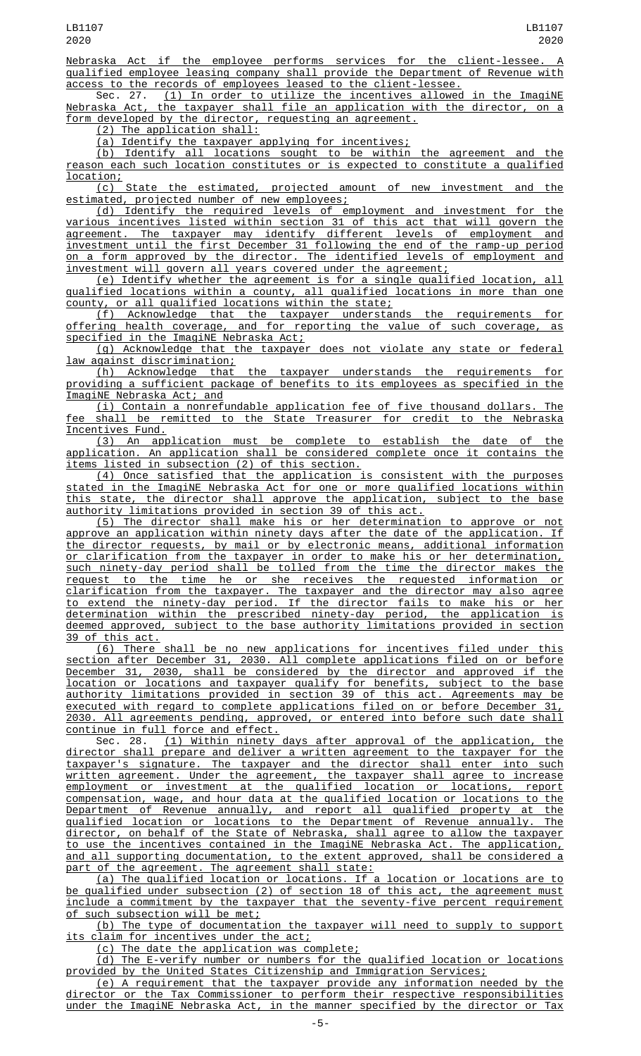Nebraska Act if the employee performs services for the client-lessee. A qualified employee leasing company shall provide the Department of Revenue with access to the records of employees leased to the client-lessee.<br>Sec. 27. (1) In order to utilize the incentives allowed

(1) In order to utilize the incentives allowed in the ImagiNE Nebraska Act, the taxpayer shall file an application with the director, on a form developed by the director, requesting an agreement.

(2) The application shall:

(a) Identify the taxpayer applying for incentives;

(b) Identify all locations sought to be within the agreement and the reason each such location constitutes or is expected to constitute a qualified location;

(c) State the estimated, projected amount of new investment and the estimated, projected number of new employees;

(d) Identify the required levels of employment and investment for the various incentives listed within section 31 of this act that will govern the agreement. The taxpayer may identify different levels of employment and investment until the first December 31 following the end of the ramp-up period on a form approved by the director. The identified levels of employment and investment will govern all years covered under the agreement;

(e) Identify whether the agreement is for a single qualified location, all qualified locations within a county, all qualified locations in more than one county, or all qualified locations within the state;

(f) Acknowledge that the taxpayer understands the requirements for offering health coverage, and for reporting the value of such coverage, as specified in the ImagiNE Nebraska Act;

(g) Acknowledge that the taxpayer does not violate any state or federal law against discrimination;

(h) Acknowledge that the taxpayer understands the requirements for providing a sufficient package of benefits to its employees as specified in the ImagiNE Nebraska Act; and

(i) Contain a nonrefundable application fee of five thousand dollars. The fee shall be remitted to the State Treasurer for credit to the Nebraska Incentives Fund.

(3) An application must be complete to establish the date of the application. An application shall be considered complete once it contains the items listed in subsection (2) of this section.

(4) Once satisfied that the application is consistent with the purposes stated in the ImagiNE Nebraska Act for one or more qualified locations within this state, the director shall approve the application, subject to the base authority limitations provided in section 39 of this act.

(5) The director shall make his or her determination to approve or not approve an application within ninety days after the date of the application. If the director requests, by mail or by electronic means, additional information or clarification from the taxpayer in order to make his or her determination, such ninety-day period shall be tolled from the time the director makes the request to the time he or she receives the requested information or clarification from the taxpayer. The taxpayer and the director may also agree to extend the ninety-day period. If the director fails to make his or her determination within the prescribed ninety-day period, the application is deemed approved, subject to the base authority limitations provided in section 39 of this act.

(6) There shall be no new applications for incentives filed under this section after December 31, 2030. All complete applications filed on or before December 31, 2030, shall be considered by the director and approved if the location or locations and taxpayer qualify for benefits, subject to the base authority limitations provided in section 39 of this act. Agreements may be executed with regard to complete applications filed on or before December 31, 2030. All agreements pending, approved, or entered into before such date shall continue in full force and effect.<br>Sec. 28. (1) Within ninety

(1) Within ninety days after approval of the application, the director shall prepare and deliver a written agreement to the taxpayer for the taxpayer's signature. The taxpayer and the director shall enter into such written agreement. Under the agreement, the taxpayer shall agree to increase employment or investment at the qualified location or locations, report compensation, wage, and hour data at the qualified location or locations to the Department of Revenue annually, and report all qualified property at the qualified location or locations to the Department of Revenue annually. The director, on behalf of the State of Nebraska, shall agree to allow the taxpayer to use the incentives contained in the ImagiNE Nebraska Act. The application, and all supporting documentation, to the extent approved, shall be considered a part of the agreement. The agreement shall state:

(a) The qualified location or locations. If a location or locations are to be qualified under subsection (2) of section 18 of this act, the agreement must include a commitment by the taxpayer that the seventy-five percent requirement of such subsection will be met;

(b) The type of documentation the taxpayer will need to supply to support its claim for incentives under the act;

(c) The date the application was complete;

(d) The E-verify number or numbers for the qualified location or locations provided by the United States Citizenship and Immigration Services;

(e) A requirement that the taxpayer provide any information needed by the director or the Tax Commissioner to perform their respective responsibilities under the ImagiNE Nebraska Act, in the manner specified by the director or Tax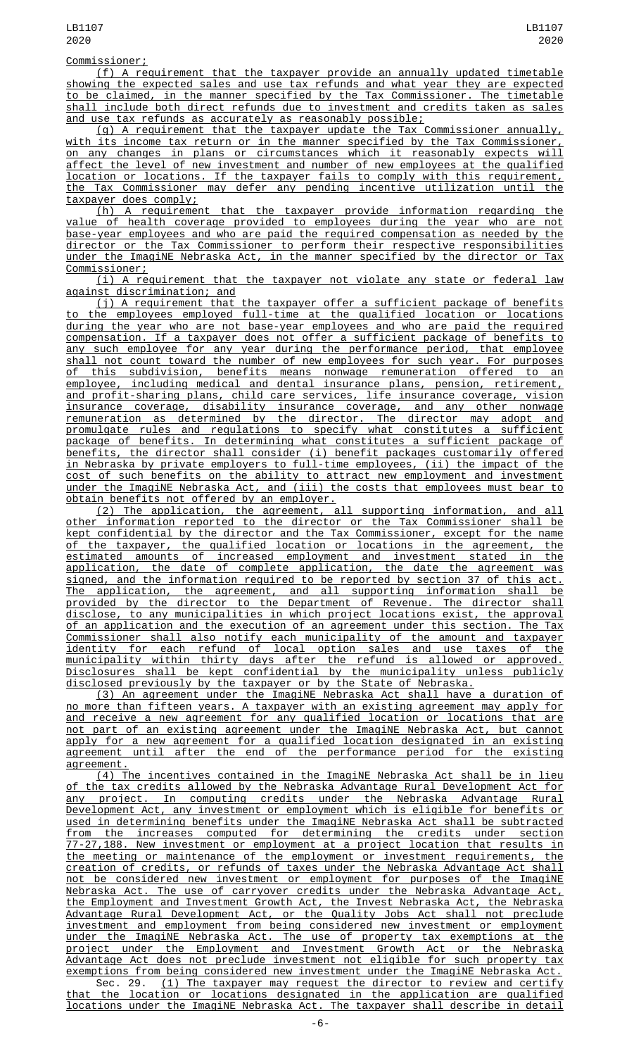## Commissioner;

(f) A requirement that the taxpayer provide an annually updated timetable showing the expected sales and use tax refunds and what year they are expected to be claimed, in the manner specified by the Tax Commissioner. The timetable shall include both direct refunds due to investment and credits taken as sales and use tax refunds as accurately as reasonably possible;

(g) A requirement that the taxpayer update the Tax Commissioner annually, with its income tax return or in the manner specified by the Tax Commissioner, on any changes in plans or circumstances which it reasonably expects will affect the level of new investment and number of new employees at the qualified location or locations. If the taxpayer fails to comply with this requirement, the Tax Commissioner may defer any pending incentive utilization until the taxpayer does comply;

(h) A requirement that the taxpayer provide information regarding the value of health coverage provided to employees during the year who are not base-year employees and who are paid the required compensation as needed by the director or the Tax Commissioner to perform their respective responsibilities under the ImagiNE Nebraska Act, in the manner specified by the director or Tax C<u>ommissioner;</u>

(i) A requirement that the taxpayer not violate any state or federal law against discrimination; and

(j) A requirement that the taxpayer offer a sufficient package of benefits to the employees employed full-time at the qualified location or locations during the year who are not base-year employees and who are paid the required compensation. If a taxpayer does not offer a sufficient package of benefits to any such employee for any year during the performance period, that employee shall not count toward the number of new employees for such year. For purposes of this subdivision, benefits means nonwage remuneration offered to an employee, including medical and dental insurance plans, pension, retirement, and profit-sharing plans, child care services, life insurance coverage, vision insurance coverage, disability insurance coverage, and any other nonwage remuneration as determined by the director. The director may adopt and promulgate rules and regulations to specify what constitutes a sufficient package of benefits. In determining what constitutes a sufficient package of benefits, the director shall consider (i) benefit packages customarily offered in Nebraska by private employers to full-time employees, (ii) the impact of the cost of such benefits on the ability to attract new employment and investment under the ImagiNE Nebraska Act, and (iii) the costs that employees must bear to obtain benefits not offered by an employer.

(2) The application, the agreement, all supporting information, and all other information reported to the director or the Tax Commissioner shall be kept confidential by the director and the Tax Commissioner, except for the name of the taxpayer, the qualified location or locations in the agreement, the estimated amounts of increased employment and investment stated in the application, the date of complete application, the date the agreement was signed, and the information required to be reported by section 37 of this act.<br>The application, the agreement, and all supporting information shall be The application, the agreement, and all supporting information shall be provided by the director to the Department of Revenue. The director shall disclose, to any municipalities in which project locations exist, the approval of an application and the execution of an agreement under this section. The Tax Commissioner shall also notify each municipality of the amount and taxpayer identity for each refund of local option sales and use taxes of the municipality within thirty days after the refund is allowed or approved. Disclosures shall be kept confidential by the municipality unless publicly disclosed previously by the taxpayer or by the State of Nebraska.

(3) An agreement under the ImagiNE Nebraska Act shall have a duration of no more than fifteen years. A taxpayer with an existing agreement may apply for and receive a new agreement for any qualified location or locations that are not part of an existing agreement under the ImagiNE Nebraska Act, but cannot apply for a new agreement for a qualified location designated in an existing agreement until after the end of the performance period for the existing agreement.

(4) The incentives contained in the ImagiNE Nebraska Act shall be in lieu of the tax credits allowed by the Nebraska Advantage Rural Development Act for any project. In computing credits under the Nebraska Advantage Rural Development Act, any investment or employment which is eligible for benefits or used in determining benefits under the ImagiNE Nebraska Act shall be subtracted from the increases computed for determining the credits under section 77-27,188. New investment or employment at a project location that results in the meeting or maintenance of the employment or investment requirements, the creation of credits, or refunds of taxes under the Nebraska Advantage Act shall not be considered new investment or employment for purposes of the ImagiNE Nebraska Act. The use of carryover credits under the Nebraska Advantage Act, the Employment and Investment Growth Act, the Invest Nebraska Act, the Nebraska Advantage Rural Development Act, or the Quality Jobs Act shall not preclude investment and employment from being considered new investment or employment under the ImagiNE Nebraska Act. The use of property tax exemptions at the project under the Employment and Investment Growth Act or the Nebraska Advantage Act does not preclude investment not eligible for such property tax exemptions from being considered new investment under the ImagiNE Nebraska Act.

Sec. 29. <u>(1) The taxpayer may request the director to review and certify</u> that the location or locations designated in the application are qualified locations under the ImagiNE Nebraska Act. The taxpayer shall describe in detail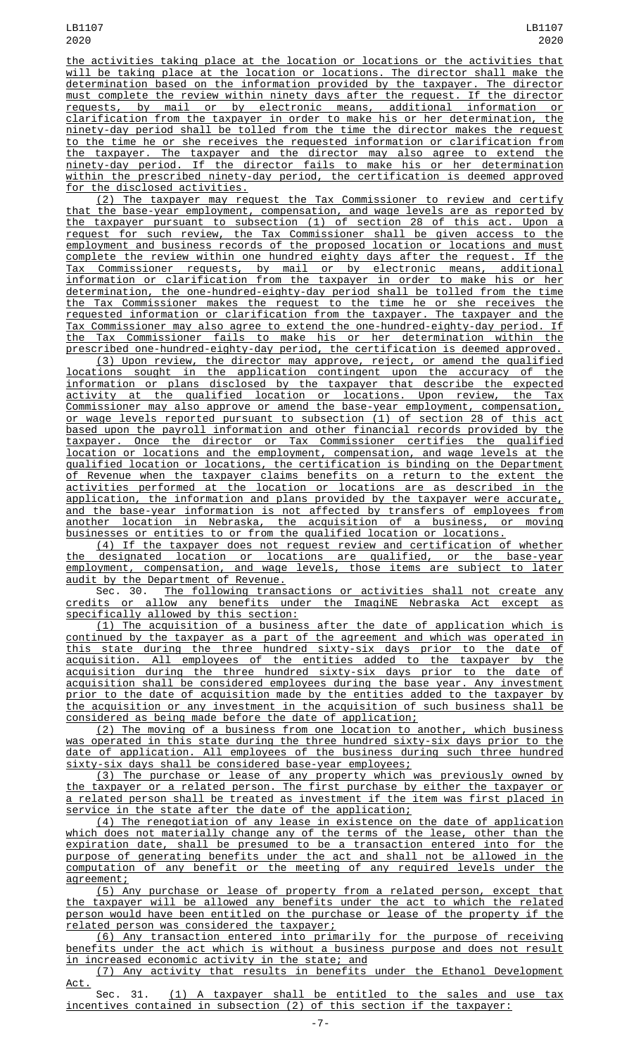the activities taking place at the location or locations or the activities that will be taking place at the location or locations. The director shall make the determination based on the information provided by the taxpayer. The director must complete the review within ninety days after the request. If the director requests, by mail or by electronic means, additional information or clarification from the taxpayer in order to make his or her determination, the ninety-day period shall be tolled from the time the director makes the request to the time he or she receives the requested information or clarification from the taxpayer. The taxpayer and the director may also agree to extend the ninety-day period. If the director fails to make his or her determination within the prescribed ninety-day period, the certification is deemed approved for the disclosed activities.

(2) The taxpayer may request the Tax Commissioner to review and certify that the base-year employment, compensation, and wage levels are as reported by the taxpayer pursuant to subsection (1) of section 28 of this act. Upon a request for such review, the Tax Commissioner shall be given access to the employment and business records of the proposed location or locations and must complete the review within one hundred eighty days after the request. If the Tax Commissioner requests, by mail or by electronic means, additional information or clarification from the taxpayer in order to make his or her determination, the one-hundred-eighty-day period shall be tolled from the time the Tax Commissioner makes the request to the time he or she receives the requested information or clarification from the taxpayer. The taxpayer and the Tax Commissioner may also agree to extend the one-hundred-eighty-day period. If the Tax Commissioner fails to make his or her determination within the prescribed one-hundred-eighty-day period, the certification is deemed approved.

(3) Upon review, the director may approve, reject, or amend the qualified locations sought in the application contingent upon the accuracy of the information or plans disclosed by the taxpayer that describe the expected activity at the qualified location or locations. Upon review, the Tax Commissioner may also approve or amend the base-year employment, compensation, or wage levels reported pursuant to subsection (1) of section 28 of this act based upon the payroll information and other financial records provided by the taxpayer. Once the director or Tax Commissioner certifies the qualified location or locations and the employment, compensation, and wage levels at the qualified location or locations, the certification is binding on the Department of Revenue when the taxpayer claims benefits on a return to the extent the activities performed at the location or locations are as described in the application, the information and plans provided by the taxpayer were accurate, and the base-year information is not affected by transfers of employees from another location in Nebraska, the acquisition of a business, or moving businesses or entities to or from the qualified location or locations.

(4) If the taxpayer does not request review and certification of whether the designated location or locations are qualified, or the base-year employment, compensation, and wage levels, those items are subject to later audit by the Department of Revenue.

Sec. 30. The following transactions or activities shall not create any credits or allow any benefits under the ImagiNE Nebraska Act except as specifically allowed by this section:

(1) The acquisition of a business after the date of application which is continued by the taxpayer as a part of the agreement and which was operated in this state during the three hundred sixty-six days prior to the date of acquisition. All employees of the entities added to the taxpayer by the acquisition during the three hundred sixty-six days prior to the date of acquisition shall be considered employees during the base year. Any investment prior to the date of acquisition made by the entities added to the taxpayer by the acquisition or any investment in the acquisition of such business shall be considered as being made before the date of application;

(2) The moving of a business from one location to another, which business was operated in this state during the three hundred sixty-six days prior to the date of application. All employees of the business during such three hundred sixty-six days shall be considered base-year employees;

(3) The purchase or lease of any property which was previously owned by the taxpayer or a related person. The first purchase by either the taxpayer or a related person shall be treated as investment if the item was first placed in service in the state after the date of the application;

(4) The renegotiation of any lease in existence on the date of application which does not materially change any of the terms of the lease, other than the expiration date, shall be presumed to be a transaction entered into for the purpose of generating benefits under the act and shall not be allowed in the computation of any benefit or the meeting of any required levels under the agreement;

(5) Any purchase or lease of property from a related person, except that the taxpayer will be allowed any benefits under the act to which the related person would have been entitled on the purchase or lease of the property if the related person was considered the taxpayer;

(6) Any transaction entered into primarily for the purpose of receiving benefits under the act which is without a business purpose and does not result in increased economic activity in the state; and

(7) Any activity that results in benefits under the Ethanol Development Act.

Sec. 31. (1) A taxpayer shall be entitled to the sales and use tax incentives contained in subsection (2) of this section if the taxpayer: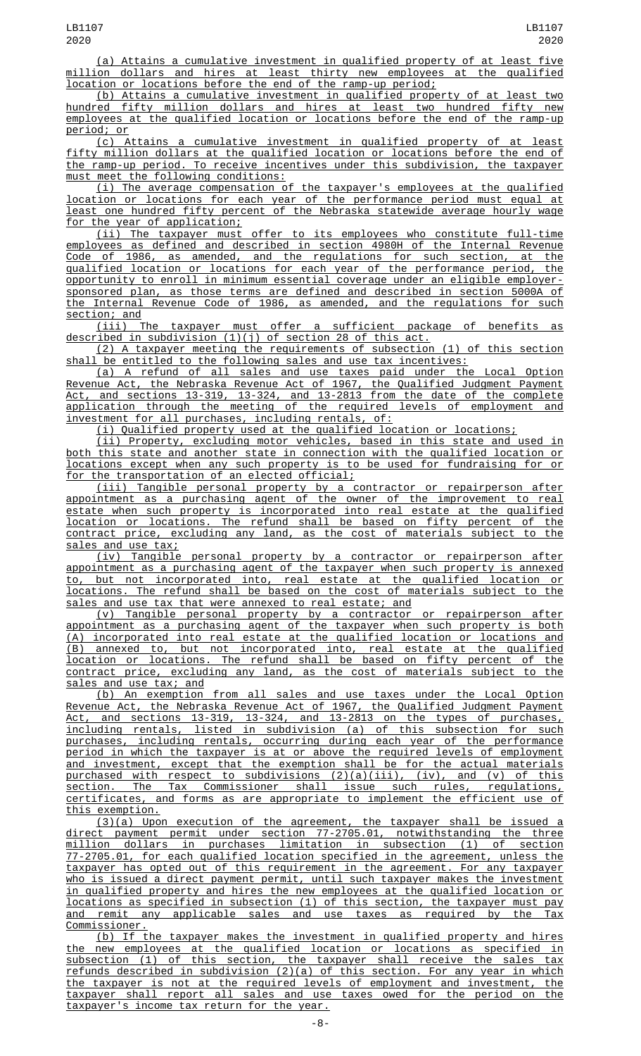(a) Attains a cumulative investment in qualified property of at least five million dollars and hires at least thirty new employees at the qualified location or locations before the end of the ramp-up period;

(b) Attains a cumulative investment in qualified property of at least two hundred fifty million dollars and hires at least two hundred fifty new employees at the qualified location or locations before the end of the ramp-up period; or

(c) Attains a cumulative investment in qualified property of at least fifty million dollars at the qualified location or locations before the end of the ramp-up period. To receive incentives under this subdivision, the taxpayer must meet the following conditions:

(i) The average compensation of the taxpayer's employees at the qualified location or locations for each year of the performance period must equal at least one hundred fifty percent of the Nebraska statewide average hourly wage for the year of application;

(ii) The taxpayer must offer to its employees who constitute full-time employees as defined and described in section 4980H of the Internal Revenue Code of 1986, as amended, and the regulations for such section, at the qualified location or locations for each year of the performance period, the opportunity to enroll in minimum essential coverage under an eligible employersponsored plan, as those terms are defined and described in section 5000A of the Internal Revenue Code of 1986, as amended, and the regulations for such section; and

(iii) The taxpayer must offer a sufficient package of benefits as described in subdivision (1)(j) of section 28 of this act.

(2) A taxpayer meeting the requirements of subsection (1) of this section shall be entitled to the following sales and use tax incentives:

(a) A refund of all sales and use taxes paid under the Local Option Revenue Act, the Nebraska Revenue Act of 1967, the Qualified Judgment Payment Act, and sections 13-319, 13-324, and 13-2813 from the date of the complete application through the meeting of the required levels of employment and investment for all purchases, including rentals, of:

(i) Qualified property used at the qualified location or locations;

(ii) Property, excluding motor vehicles, based in this state and used in <u>both this state and another state in connection with the qualified location or</u><br>locations except when any such property is to be used for fundraising for or locations except when any such property is to be used for fundraising for for the transportation of an elected official;

(iii) Tangible personal property by a contractor or repairperson after appointment as a purchasing agent of the owner of the improvement to real estate when such property is incorporated into real estate at the qualified location or locations. The refund shall be based on fifty percent of the contract price, excluding any land, as the cost of materials subject to the sales and use tax;

(iv) Tangible personal property by a contractor or repairperson after appointment as a purchasing agent of the taxpayer when such property is annexed to, but not incorporated into, real estate at the qualified location or locations. The refund shall be based on the cost of materials subject to the sales and use tax that were annexed to real estate; and

(v) Tangible personal property by a contractor or repairperson after appointment as a purchasing agent of the taxpayer when such property is both (A) incorporated into real estate at the qualified location or locations and (B) annexed to, but not incorporated into, real estate at the qualified location or locations. The refund shall be based on fifty percent of the contract price, excluding any land, as the cost of materials subject to the sales and use tax; and

(b) An exemption from all sales and use taxes under the Local Option Revenue Act, the Nebraska Revenue Act of 1967, the Qualified Judgment Payment Act, and sections 13-319, 13-324, and 13-2813 on the types of purchases, including rentals, listed in subdivision (a) of this subsection for such purchases, including rentals, occurring during each year of the performance period in which the taxpayer is at or above the required levels of employment and investment, except that the exemption shall be for the actual materials purchased with respect to subdivisions (2)(a)(iii), (iv), and (v) of this section. The Tax Commissioner shall issue such rules, regulations, certificates, and forms as are appropriate to implement the efficient use of this exemption.

(3)(a) Upon execution of the agreement, the taxpayer shall be issued a direct payment permit under section 77-2705.01, notwithstanding the three million dollars in purchases limitation in subsection (1) of section 77-2705.01, for each qualified location specified in the agreement, unless the taxpayer has opted out of this requirement in the agreement. For any taxpayer who is issued a direct payment permit, until such taxpayer makes the investment in qualified property and hires the new employees at the qualified location or locations as specified in subsection (1) of this section, the taxpayer must pay and remit any applicable sales and use taxes as required by the Tax Commissioner.

(b) If the taxpayer makes the investment in qualified property and hires the new employees at the qualified location or locations as specified in subsection (1) of this section, the taxpayer shall receive the sales tax refunds described in subdivision (2)(a) of this section. For any year in which the taxpayer is not at the required levels of employment and investment, the taxpayer shall report all sales and use taxes owed for the period on the taxpayer's income tax return for the year.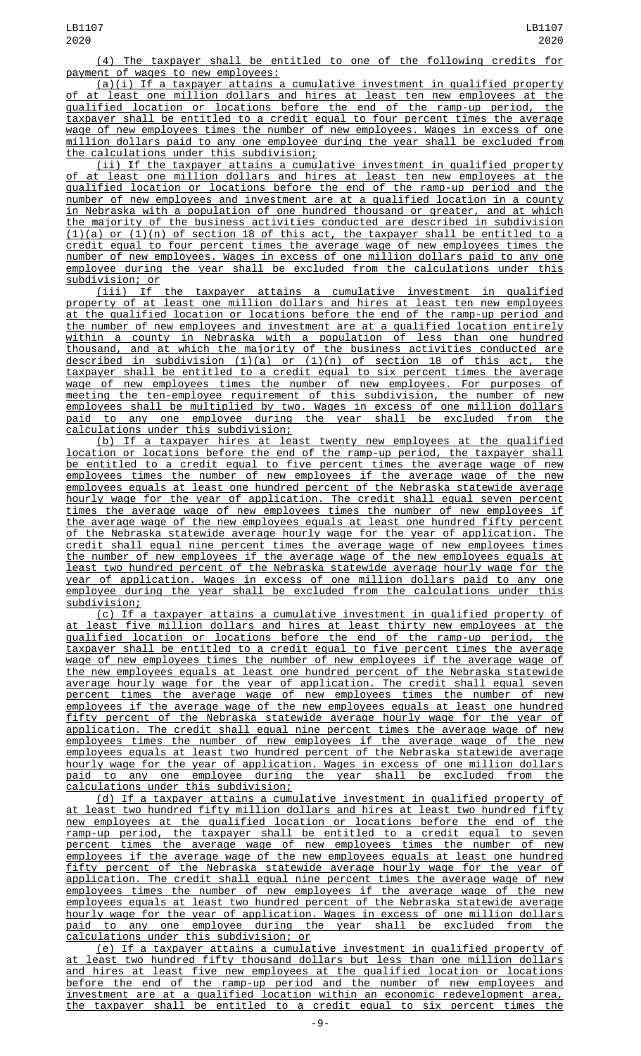(4) The taxpayer shall be entitled to one of the following credits for payment of wages to new employees:

(a)(i) If a taxpayer attains a cumulative investment in qualified property at least one million dollars and hires at least ten new employees at the qualified location or locations before the end of the ramp-up period, the taxpayer shall be entitled to a credit equal to four percent times the average wage of new employees times the number of new employees. Wages in excess of one million dollars paid to any one employee during the year shall be excluded from the calculations under this subdivision;

(ii) If the taxpayer attains a cumulative investment in qualified property of at least one million dollars and hires at least ten new employees at the qualified location or locations before the end of the ramp-up period and the number of new employees and investment are at a qualified location in a county in Nebraska with a population of one hundred thousand or greater, and at which the majority of the business activities conducted are described in subdivision  $(1)(a)$  or  $(1)(n)$  of section 18 of this act, the taxpayer shall be entitled to a credit equal to four percent times the average wage of new employees times the number of new employees. Wages in excess of one million dollars paid to any one employee during the year shall be excluded from the calculations under this subdivision; or

(iii) If the taxpayer attains a cumulative investment in qualified property of at least one million dollars and hires at least ten new employees at the qualified location or locations before the end of the ramp-up period and the number of new employees and investment are at a qualified location entirely within a county in Nebraska with a population of less than one hundred thousand, and at which the majority of the business activities conducted are described in subdivision (1)(a) or (1)(n) of section 18 of this act, the taxpayer shall be entitled to a credit equal to six percent times the average wage of new employees times the number of new employees. For purposes of meeting the ten-employee requirement of this subdivision, the number of new employees shall be multiplied by two. Wages in excess of one million dollars paid to any one employee during the year shall be excluded from the calculations under this subdivision;

(b) If a taxpayer hires at least twenty new employees at the qualified location or locations before the end of the ramp-up period, the taxpayer shall be entitled to a credit equal to five percent times the average wage of new employees times the number of new employees if the average wage of the new employees equals at least one hundred percent of the Nebraska statewide average hourly wage for the year of application. The credit shall equal seven percent times the average wage of new employees times the number of new employees if the average wage of the new employees equals at least one hundred fifty percent of the Nebraska statewide average hourly wage for the year of application. The credit shall equal nine percent times the average wage of new employees times the number of new employees if the average wage of the new employees equals at least two hundred percent of the Nebraska statewide average hourly wage for the year of application. Wages in excess of one million dollars paid to any one employee during the year shall be excluded from the calculations under this subdivision;

(c) If a taxpayer attains a cumulative investment in qualified property of at least five million dollars and hires at least thirty new employees at the qualified location or locations before the end of the ramp-up period, the taxpayer shall be entitled to a credit equal to five percent times the average wage of new employees times the number of new employees if the average wage of the new employees equals at least one hundred percent of the Nebraska statewide average hourly wage for the year of application. The credit shall equal seven percent times the average wage of new employees times the number of new employees if the average wage of the new employees equals at least one hundred fifty percent of the Nebraska statewide average hourly wage for the year of application. The credit shall equal nine percent times the average wage of new employees times the number of new employees if the average wage of the new employees equals at least two hundred percent of the Nebraska statewide average hourly wage for the year of application. Wages in excess of one million dollars<br>paid to any one employee during the year shall be excluded from the paid to any one employee during the year shall be excluded from the calculations under this subdivision;

(d) If a taxpayer attains a cumulative investment in qualified property of at least two hundred fifty million dollars and hires at least two hundred fifty new employees at the qualified location or locations before the end of the ramp-up period, the taxpayer shall be entitled to a credit equal to seven percent times the average wage of new employees times the number of new employees if the average wage of the new employees equals at least one hundred fifty percent of the Nebraska statewide average hourly wage for the year of application. The credit shall equal nine percent times the average wage of new employees times the number of new employees if the average wage of the new employees equals at least two hundred percent of the Nebraska statewide average hourly wage for the year of application. Wages in excess of one million dollars<br>paid to any one employee during the year shall be excluded from the paid to any one employee during the year shall be excluded from calculations under this subdivision; or

(e) If a taxpayer attains a cumulative investment in qualified property of least two hundred fifty thousand dollars but less than one million dollars and hires at least five new employees at the qualified location or locations before the end of the ramp-up period and the number of new employees and investment are at a qualified location within an economic redevelopment area, the taxpayer shall be entitled to a credit equal to six percent times the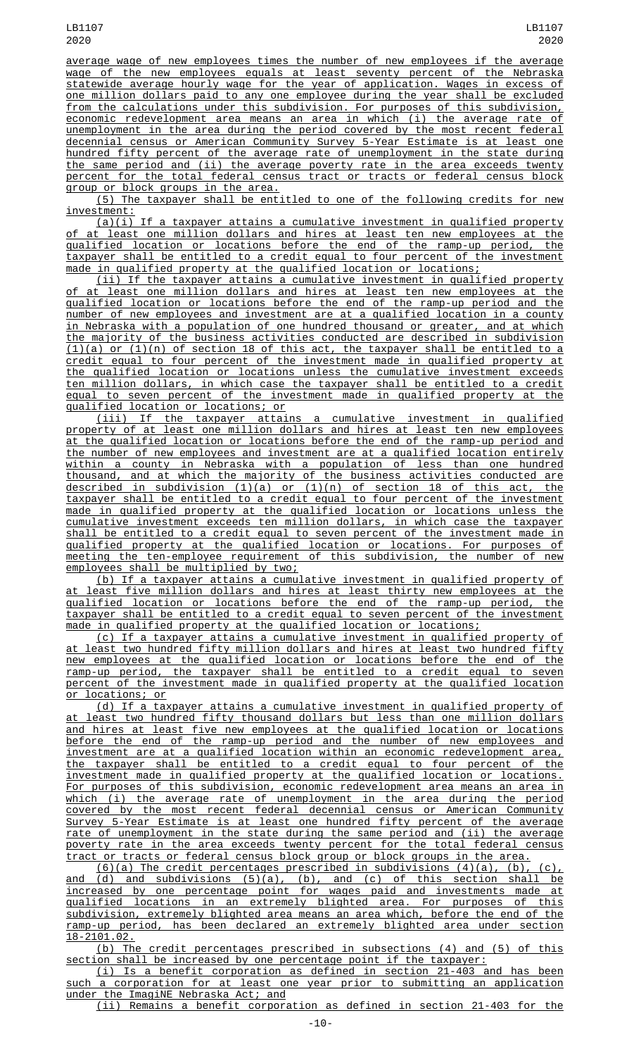average wage of new employees times the number of new employees if the average wage of the new employees equals at least seventy percent of the Nebraska statewide average hourly wage for the year of application. Wages in excess of one million dollars paid to any one employee during the year shall be excluded from the calculations under this subdivision. For purposes of this subdivision, economic redevelopment area means an area in which (i) the average rate of unemployment in the area during the period covered by the most recent federal decennial census or American Community Survey 5-Year Estimate is at least one hundred fifty percent of the average rate of unemployment in the state during the same period and (ii) the average poverty rate in the area exceeds twenty percent for the total federal census tract or tracts or federal census block group or block groups in the area.

(5) The taxpayer shall be entitled to one of the following credits for new investment:

 $\overline{(a)(i)}$  If a taxpayer attains a cumulative investment in qualified property of at least one million dollars and hires at least ten new employees at the qualified location or locations before the end of the ramp-up period, the taxpayer shall be entitled to a credit equal to four percent of the investment made in qualified property at the qualified location or locations;

(ii) If the taxpayer attains a cumulative investment in qualified property at least one million dollars and hires at least ten new employees at the qualified location or locations before the end of the ramp-up period and the number of new employees and investment are at a qualified location in a county in Nebraska with a population of one hundred thousand or greater, and at which the majority of the business activities conducted are described in subdivision (1)(a) or (1)(n) of section 18 of this act, the taxpayer shall be entitled to a credit equal to four percent of the investment made in qualified property at the qualified location or locations unless the cumulative investment exceeds ten million dollars, in which case the taxpayer shall be entitled to a credit equal to seven percent of the investment made in qualified property at the qualified location or locations; or

(iii) If the taxpayer attains a cumulative investment in qualified property of at least one million dollars and hires at least ten new employees at the qualified location or locations before the end of the ramp-up period and the number of new employees and investment are at a qualified location entirely within a county in Nebraska with a population of less than one hundred thousand, and at which the majority of the business activities conducted are described in subdivision (1)(a) or (1)(n) of section 18 of this act, the taxpayer shall be entitled to a credit equal to four percent of the investment made in qualified property at the qualified location or locations unless the cumulative investment exceeds ten million dollars, in which case the taxpayer shall be entitled to a credit equal to seven percent of the investment made in qualified property at the qualified location or locations. For purposes of meeting the ten-employee requirement of this subdivision, the number of new employees shall be multiplied by two;

(b) If a taxpayer attains a cumulative investment in qualified property of at least five million dollars and hires at least thirty new employees at the qualified location or locations before the end of the ramp-up period, the taxpayer shall be entitled to a credit equal to seven percent of the investment made in qualified property at the qualified location or locations;

(c) If a taxpayer attains a cumulative investment in qualified property of at least two hundred fifty million dollars and hires at least two hundred fifty new employees at the qualified location or locations before the end of the ramp-up period, the taxpayer shall be entitled to a credit equal to seven percent of the investment made in qualified property at the qualified location or locations; or

(d) If a taxpayer attains a cumulative investment in qualified property of at least two hundred fifty thousand dollars but less than one million dollars and hires at least five new employees at the qualified location or locations before the end of the ramp-up period and the number of new employees and investment are at a qualified location within an economic redevelopment area, the taxpayer shall be entitled to a credit equal to four percent of the investment made in qualified property at the qualified location or locations. For purposes of this subdivision, economic redevelopment area means an area in which (i) the average rate of unemployment in the area during the period covered by the most recent federal decennial census or American Community Survey 5-Year Estimate is at least one hundred fifty percent of the average rate of unemployment in the state during the same period and (ii) the average poverty rate in the area exceeds twenty percent for the total federal census tract or tracts or federal census block group or block groups in the area.

 $(6)(a)$  The credit percentages prescribed in subdivisions  $(4)(a)$ ,  $(b)$ ,  $(c)$ , and (d) and subdivisions (5)(a), (b), and (c) of this section shall be increased by one percentage point for wages paid and investments made at qualified locations in an extremely blighted area. For purposes of this subdivision, extremely blighted area means an area which, before the end of the ramp-up period, has been declared an extremely blighted area under section 18-2101.02.

(b) The credit percentages prescribed in subsections (4) and (5) of this section shall be increased by one percentage point if the taxpayer:

(i) Is a benefit corporation as defined in section 21-403 and has been such a corporation for at least one year prior to submitting an application under the ImagiNE Nebraska Act; and

(ii) Remains a benefit corporation as defined in section 21-403 for the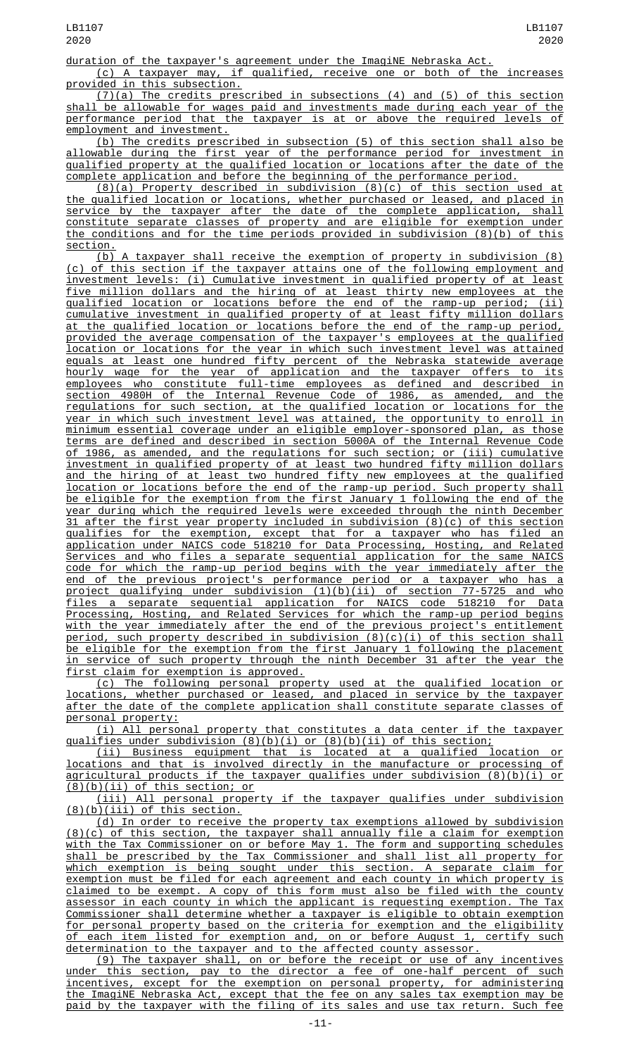duration of the taxpayer's agreement under the ImagiNE Nebraska Act.

(c) A taxpayer may, if qualified, receive one or both of the increases provided in this subsection.

(7)(a) The credits prescribed in subsections (4) and (5) of this section shall be allowable for wages paid and investments made during each year of the performance period that the taxpayer is at or above the required levels of employment and investment.

(b) The credits prescribed in subsection (5) of this section shall also be allowable during the first year of the performance period for investment in qualified property at the qualified location or locations after the date of the complete application and before the beginning of the performance period.

(8)(a) Property described in subdivision (8)(c) of this section used at the qualified location or locations, whether purchased or leased, and placed in service by the taxpayer after the date of the complete application, shall constitute separate classes of property and are eligible for exemption under the conditions and for the time periods provided in subdivision (8)(b) of this section.

(b) A taxpayer shall receive the exemption of property in subdivision (8) (c) of this section if the taxpayer attains one of the following employment and investment levels: (i) Cumulative investment in qualified property of at least five million dollars and the hiring of at least thirty new employees at the qualified location or locations before the end of the ramp-up period; (ii) cumulative investment in qualified property of at least fifty million dollars at the qualified location or locations before the end of the ramp-up period, provided the average compensation of the taxpayer's employees at the qualified location or locations for the year in which such investment level was attained equals at least one hundred fifty percent of the Nebraska statewide average hourly wage for the year of application and the taxpayer offers to its employees who constitute full-time employees as defined and described in section 4980H of the Internal Revenue Code of 1986, as amended, and the regulations for such section, at the qualified location or locations for the year in which such investment level was attained, the opportunity to enroll in minimum essential coverage under an eligible employer-sponsored plan, as those terms are defined and described in section 5000A of the Internal Revenue Code of 1986, as amended, and the regulations for such section; or (iii) cumulative investment in qualified property of at least two hundred fifty million dollars and the hiring of at least two hundred fifty new employees at the qualified location or locations before the end of the ramp-up period. Such property shall be eligible for the exemption from the first January 1 following the end of the year during which the required levels were exceeded through the ninth December 31 after the first year property included in subdivision (8)(c) of this section qualifies for the exemption, except that for a taxpayer who has filed an application under NAICS code 518210 for Data Processing, Hosting, and Related Services and who files a separate sequential application for the same NAICS code for which the ramp-up period begins with the year immediately after the end of the previous project's performance period or a taxpayer who has a project qualifying under subdivision (1)(b)(ii) of section 77-5725 and who files a separate sequential application for NAICS code 518210 for Data Processing, Hosting, and Related Services for which the ramp-up period begins with the year immediately after the end of the previous project's entitlement period, such property described in subdivision (8)(c)(i) of this section shall be eligible for the exemption from the first January 1 following the placement in service of such property through the ninth December 31 after the year the first claim for exemption is approved.

(c) The following personal property used at the qualified location or locations, whether purchased or leased, and placed in service by the taxpayer after the date of the complete application shall constitute separate classes of

<u>personal property:</u><br><u>(i) All personal property that constitutes a data center if the taxpayer</u> (i) All personal property that constitutes a data center if the taxpayer qualifies under subdivision (8)(b)(i) or (8)(b)(ii) of this section;

(ii) Business equipment that is located at a qualified location or locations and that is involved directly in the manufacture or processing of agricultural products if the taxpayer qualifies under subdivision (8)(b)(i) or (8)(b)(ii) of this section; or

(iii) All personal property if the taxpayer qualifies under subdivision  $(8)(b)$ (iii) of this section.

(d) In order to receive the property tax exemptions allowed by subdivision (8)(c) of this section, the taxpayer shall annually file a claim for exemption with the Tax Commissioner on or before May 1. The form and supporting schedules shall be prescribed by the Tax Commissioner and shall list all property for which exemption is being sought under this section. A separate claim for exemption must be filed for each agreement and each county in which property is claimed to be exempt. A copy of this form must also be filed with the county assessor in each county in which the applicant is requesting exemption. The Tax Commissioner shall determine whether a taxpayer is eligible to obtain exemption for personal property based on the criteria for exemption and the eligibility of each item listed for exemption and, on or before August 1, certify such determination to the taxpayer and to the affected county assessor.

(9) The taxpayer shall, on or before the receipt or use of any incentives under this section, pay to the director a fee of one-half percent of such incentives, except for the exemption on personal property, for administering the ImagiNE Nebraska Act, except that the fee on any sales tax exemption may be paid by the taxpayer with the filing of its sales and use tax return. Such fee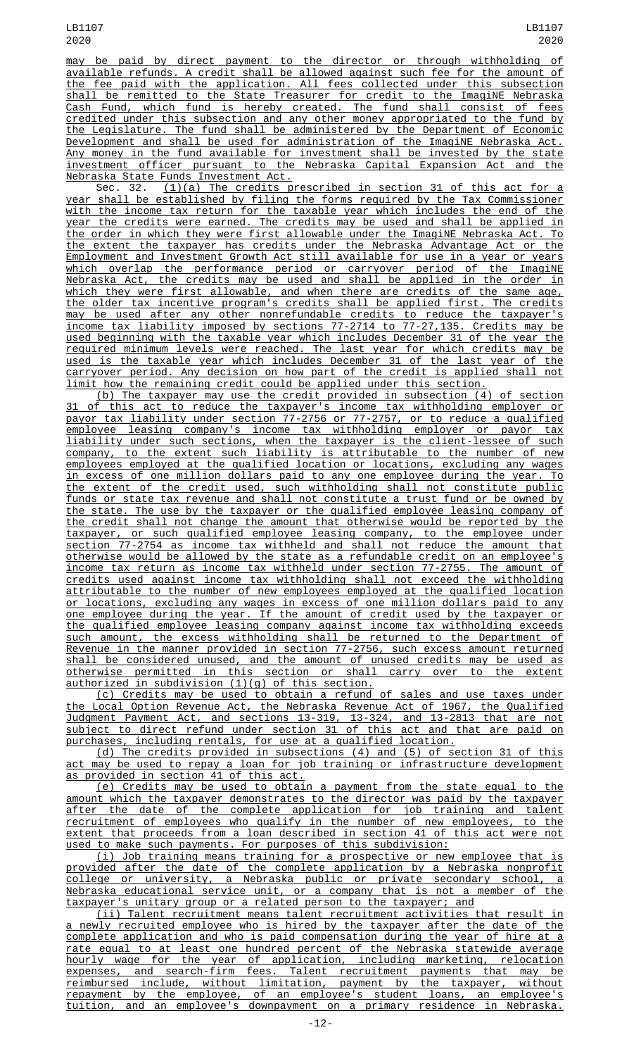may be paid by direct payment to the director or through withholding of available refunds. A credit shall be allowed against such fee for the amount of the fee paid with the application. All fees collected under this subsection shall be remitted to the State Treasurer for credit to the ImagiNE Nebraska Cash Fund, which fund is hereby created. The fund shall consist of fees credited under this subsection and any other money appropriated to the fund by the Legislature. The fund shall be administered by the Department of Economic Development and shall be used for administration of the ImagiNE Nebraska Act. Any money in the fund available for investment shall be invested by the state investment officer pursuant to the Nebraska Capital Expansion Act and the Nebraska State Funds Investment Act.

Sec. 32. <u>(1)(a) The credits prescribed in section 31 of this act for a</u> year shall be established by filing the forms required by the Tax Commissioner with the income tax return for the taxable year which includes the end of the year the credits were earned. The credits may be used and shall be applied in the order in which they were first allowable under the ImagiNE Nebraska Act. To the extent the taxpayer has credits under the Nebraska Advantage Act or the Employment and Investment Growth Act still available for use in a year or years which overlap the performance period or carryover period of the ImagiNE Nebraska Act, the credits may be used and shall be applied in the order in which they were first allowable, and when there are credits of the same age, the older tax incentive program's credits shall be applied first. The credits may be used after any other nonrefundable credits to reduce the taxpayer's income tax liability imposed by sections 77-2714 to 77-27,135. Credits may be used beginning with the taxable year which includes December 31 of the year the required minimum levels were reached. The last year for which credits may be used is the taxable year which includes December 31 of the last year of the carryover period. Any decision on how part of the credit is applied shall not limit how the remaining credit could be applied under this section.

(b) The taxpayer may use the credit provided in subsection (4) of section 31 of this act to reduce the taxpayer's income tax withholding employer or payor tax liability under section 77-2756 or 77-2757, or to reduce a qualified employee leasing company's income tax withholding employer or payor tax liability under such sections, when the taxpayer is the client-lessee of such company, to the extent such liability is attributable to the number of new employees employed at the qualified location or locations, excluding any wages in excess of one million dollars paid to any one employee during the year. To the extent of the credit used, such withholding shall not constitute public funds or state tax revenue and shall not constitute a trust fund or be owned by the state. The use by the taxpayer or the qualified employee leasing company of the credit shall not change the amount that otherwise would be reported by the taxpayer, or such qualified employee leasing company, to the employee under section 77-2754 as income tax withheld and shall not reduce the amount that otherwise would be allowed by the state as a refundable credit on an employee's income tax return as income tax withheld under section 77-2755. The amount of credits used against income tax withholding shall not exceed the withholding attributable to the number of new employees employed at the qualified location or locations, excluding any wages in excess of one million dollars paid to any one employee during the year. If the amount of credit used by the taxpayer or the qualified employee leasing company against income tax withholding exceeds such amount, the excess withholding shall be returned to the Department of Revenue in the manner provided in section 77-2756, such excess amount returned shall be considered unused, and the amount of unused credits may be used as otherwise permitted in this section or shall carry over to the extent authorized in subdivision (1)(g) of this section.

(c) Credits may be used to obtain a refund of sales and use taxes under the Local Option Revenue Act, the Nebraska Revenue Act of 1967, the Qualified Judgment Payment Act, and sections 13-319, 13-324, and 13-2813 that are not subject to direct refund under section 31 of this act and that are paid on purchases, including rentals, for use at a qualified location.

(d) The credits provided in subsections (4) and (5) of section 31 of this act may be used to repay a loan for job training or infrastructure development as provided in section 41 of this act.

(e) Credits may be used to obtain a payment from the state equal to the amount which the taxpayer demonstrates to the director was paid by the taxpayer after the date of the complete application for job training and talent recruitment of employees who qualify in the number of new employees, to the extent that proceeds from a loan described in section 41 of this act were not<br>used to make such payments. For purposes of this subdivision: to make such payments. For purposes of this subdivision:

 $(i)$  Job training means training for a prospective or new employee that provided after the date of the complete application by a Nebraska nonprofit college or university, a Nebraska public or private secondary school, a Nebraska educational service unit, or a company that is not a member of the taxpayer's unitary group or a related person to the taxpayer; and

(ii) Talent recruitment means talent recruitment activities that result in a newly recruited employee who is hired by the taxpayer after the date of the complete application and who is paid compensation during the year of hire at a rate equal to at least one hundred percent of the Nebraska statewide average hourly wage for the year of application, including marketing, relocation expenses, and search-firm fees. Talent recruitment payments that may be reimbursed include, without limitation, payment by the taxpayer, without repayment by the employee, of an employee's student loans, an employee's tuition, and an employee's downpayment on a primary residence in Nebraska.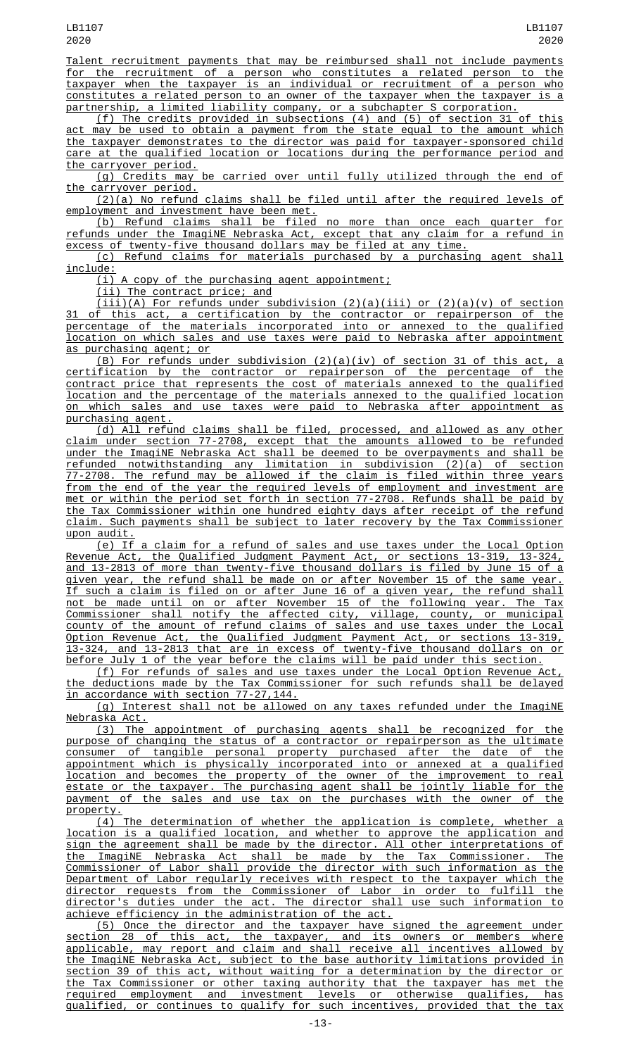Talent recruitment payments that may be reimbursed shall not include payments for the recruitment of a person who constitutes a related person to the taxpayer when the taxpayer is an individual or recruitment of a person who constitutes a related person to an owner of the taxpayer when the taxpayer is a partnership, a limited liability company, or a subchapter S corporation.

(f) The credits provided in subsections (4) and (5) of section 31 of this act may be used to obtain a payment from the state equal to the amount which the taxpayer demonstrates to the director was paid for taxpayer-sponsored child care at the qualified location or locations during the performance period and the carryover period.

(g) Credits may be carried over until fully utilized through the end of the carryover period.

(2)(a) No refund claims shall be filed until after the required levels of employment and investment have been met.

(b) Refund claims shall be filed no more than once each quarter for refunds under the ImagiNE Nebraska Act, except that any claim for a refund in excess of twenty-five thousand dollars may be filed at any time.

(c) Refund claims for materials purchased by a purchasing agent shall include:

(i) A copy of the purchasing agent appointment;

(ii) The contract price; and

(iii)(A) For refunds under subdivision (2)(a)(iii) or (2)(a)(v) of section 31 of this act, a certification by the contractor or repairperson of the percentage of the materials incorporated into or annexed to the qualified location on which sales and use taxes were paid to Nebraska after appointment as purchasing agent; or

(B) For refunds under subdivision (2)(a)(iv) of section 31 of this act, a certification by the contractor or repairperson of the percentage of the contract price that represents the cost of materials annexed to the qualified location and the percentage of the materials annexed to the qualified location on which sales and use taxes were paid to Nebraska after appointment as purchasing agent.

(d) All refund claims shall be filed, processed, and allowed as any other claim under section 77-2708, except that the amounts allowed to be refunded under the ImagiNE Nebraska Act shall be deemed to be overpayments and shall be refunded notwithstanding any limitation in subdivision (2)(a) of section 77-2708. The refund may be allowed if the claim is filed within three years from the end of the year the required levels of employment and investment are met or within the period set forth in section 77-2708. Refunds shall be paid by the Tax Commissioner within one hundred eighty days after receipt of the refund claim. Such payments shall be subject to later recovery by the Tax Commissioner upon audit.

(e) If a claim for a refund of sales and use taxes under the Local Option Revenue Act, the Qualified Judgment Payment Act, or sections 13-319, 13-324, and 13-2813 of more than twenty-five thousand dollars is filed by June 15 of a given year, the refund shall be made on or after November 15 of the same year. If such a claim is filed on or after June 16 of a given year, the refund shall not be made until on or after November 15 of the following year. The Tax Commissioner shall notify the affected city, village, county, or municipal county of the amount of refund claims of sales and use taxes under the Local Option Revenue Act, the Qualified Judgment Payment Act, or sections 13-319, 13-324, and 13-2813 that are in excess of twenty-five thousand dollars on or before July 1 of the year before the claims will be paid under this section.

(f) For refunds of sales and use taxes under the Local Option Revenue Act, the deductions made by the Tax Commissioner for such refunds shall be delayed in accordance with section 77-27,144.

(g) Interest shall not be allowed on any taxes refunded under the ImagiNE Nebraska Act.

(3) The appointment of purchasing agents shall be recognized for the purpose of changing the status of a contractor or repairperson as the ultimate consumer of tangible personal property purchased after the date of the appointment which is physically incorporated into or annexed at a qualified location and becomes the property of the owner of the improvement to real estate or the taxpayer. The purchasing agent shall be jointly liable for the payment of the sales and use tax on the purchases with the owner of the property.

(4) The determination of whether the application is complete, whether a location is a qualified location, and whether to approve the application and sign the agreement shall be made by the director. All other interpretations of the ImagiNE Nebraska Act shall be made by the Tax Commissioner. The Commissioner of Labor shall provide the director with such information as the Department of Labor regularly receives with respect to the taxpayer which the director requests from the Commissioner of Labor in order to fulfill the director's duties under the act. The director shall use such information to achieve efficiency in the administration of the act.

(5) Once the director and the taxpayer have signed the agreement under section 28 of this act, the taxpayer, and its owners or members where applicable, may report and claim and shall receive all incentives allowed by the ImagiNE Nebraska Act, subject to the base authority limitations provided in section 39 of this act, without waiting for a determination by the director or the Tax Commissioner or other taxing authority that the taxpayer has met the required employment and investment levels or otherwise qualifies, has qualified, or continues to qualify for such incentives, provided that the tax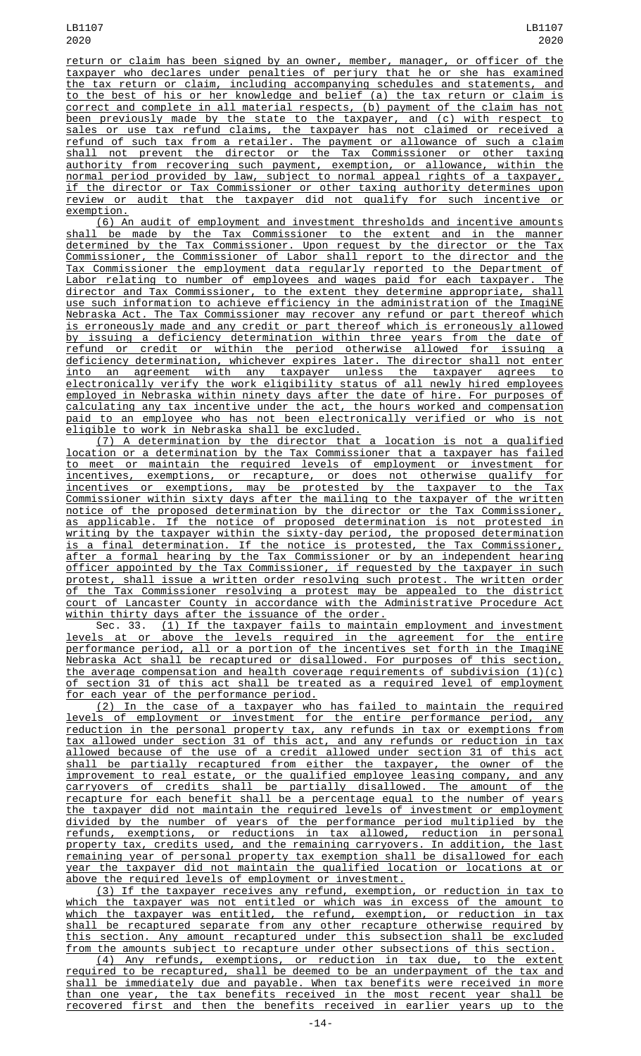return or claim has been signed by an owner, member, manager, or officer of the taxpayer who declares under penalties of perjury that he or she has examined the tax return or claim, including accompanying schedules and statements, and to the best of his or her knowledge and belief (a) the tax return or claim is correct and complete in all material respects, (b) payment of the claim has not been previously made by the state to the taxpayer, and (c) with respect to sales or use tax refund claims, the taxpayer has not claimed or received a refund of such tax from a retailer. The payment or allowance of such a claim shall not prevent the director or the Tax Commissioner or other taxing authority from recovering such payment, exemption, or allowance, within the normal period provided by law, subject to normal appeal rights of a taxpayer, if the director or Tax Commissioner or other taxing authority determines upon review or audit that the taxpayer did not qualify for such incentive or exemption.

(6) An audit of employment and investment thresholds and incentive amounts shall be made by the Tax Commissioner to the extent and in the manner determined by the Tax Commissioner. Upon request by the director or the Tax Commissioner, the Commissioner of Labor shall report to the director and the Tax Commissioner the employment data regularly reported to the Department of Labor relating to number of employees and wages paid for each taxpayer. The director and Tax Commissioner, to the extent they determine appropriate, shall use such information to achieve efficiency in the administration of the ImagiNE Nebraska Act. The Tax Commissioner may recover any refund or part thereof which is erroneously made and any credit or part thereof which is erroneously allowed by issuing a deficiency determination within three years from the date of refund or credit or within the period otherwise allowed for issuing a deficiency determination, whichever expires later. The director shall not enter into an agreement with any taxpayer unless the taxpayer agrees to electronically verify the work eligibility status of all newly hired employees employed in Nebraska within ninety days after the date of hire. For purposes of calculating any tax incentive under the act, the hours worked and compensation paid to an employee who has not been electronically verified or who is not eligible to work in Nebraska shall be excluded.

(7) A determination by the director that a location is not a qualified location or a determination by the Tax Commissioner that a taxpayer has failed to meet or maintain the required levels of employment or investment for incentives, exemptions, or recapture, or does not otherwise qualify for incentives or exemptions, may be protested by the taxpayer to the Tax Commissioner within sixty days after the mailing to the taxpayer of the written notice of the proposed determination by the director or the Tax Commissioner, as applicable. If the notice of proposed determination is not protested in writing by the taxpayer within the sixty-day period, the proposed determination is a final determination. If the notice is protested, the Tax Commissioner, after a formal hearing by the Tax Commissioner or by an independent hearing officer appointed by the Tax Commissioner, if requested by the taxpayer in such protest, shall issue a written order resolving such protest. The written order of the Tax Commissioner resolving a protest may be appealed to the district court of Lancaster County in accordance with the Administrative Procedure Act within thirty days after the issuance of the order.

Sec. 33. (1) If the taxpayer fails to maintain employment and investment levels at or above the levels required in the agreement for the entire performance period, all or a portion of the incentives set forth in the ImagiNE Nebraska Act shall be recaptured or disallowed. For purposes of this section, the average compensation and health coverage requirements of subdivision (1)(c) of section 31 of this act shall be treated as a required level of employment for each year of the performance period.

(2) In the case of a taxpayer who has failed to maintain the required levels of employment or investment for the entire performance period, any reduction in the personal property tax, any refunds in tax or exemptions from tax allowed under section 31 of this act, and any refunds or reduction in tax allowed because of the use of a credit allowed under section 31 of this act shall be partially recaptured from either the taxpayer, the owner of the improvement to real estate, or the qualified employee leasing company, and any carryovers of credits shall be partially disallowed. The amount of the recapture for each benefit shall be a percentage equal to the number of years the taxpayer did not maintain the required levels of investment or employment divided by the number of years of the performance period multiplied by the refunds, exemptions, or reductions in tax allowed, reduction in personal property tax, credits used, and the remaining carryovers. In addition, the last remaining year of personal property tax exemption shall be disallowed for each year the taxpayer did not maintain the qualified location or locations at or above the required levels of employment or investment.

(3) If the taxpayer receives any refund, exemption, or reduction in tax to which the taxpayer was not entitled or which was in excess of the amount to which the taxpayer was entitled, the refund, exemption, or reduction in tax shall be recaptured separate from any other recapture otherwise required by this section. Any amount recaptured under this subsection shall be excluded from the amounts subject to recapture under other subsections of this section.

(4) Any refunds, exemptions, or reduction in tax due, to the extent required to be recaptured, shall be deemed to be an underpayment of the tax and shall be immediately due and payable. When tax benefits were received in more than one year, the tax benefits received in the most recent year shall be recovered first and then the benefits received in earlier years up to the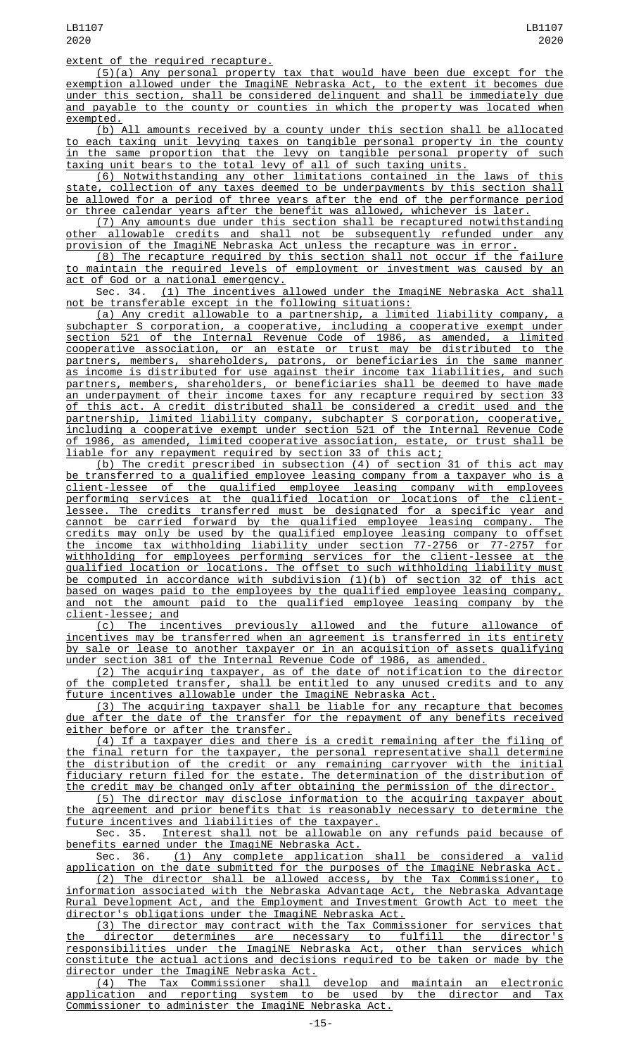## extent of the required recapture.

(5)(a) Any personal property tax that would have been due except for the exemption allowed under the ImagiNE Nebraska Act, to the extent it becomes due under this section, shall be considered delinquent and shall be immediately due and payable to the county or counties in which the property was located when exempted.

(b) All amounts received by a county under this section shall be allocated to each taxing unit levying taxes on tangible personal property in the county in the same proportion that the levy on tangible personal property of such taxing unit bears to the total levy of all of such taxing units.

(6) Notwithstanding any other limitations contained in the laws of this state, collection of any taxes deemed to be underpayments by this section shall be allowed for a period of three years after the end of the performance period three calendar years after the benefit was allowed, whichever is later.

(7) Any amounts due under this section shall be recaptured notwithstanding other allowable credits and shall not be subsequently refunded under any provision of the ImagiNE Nebraska Act unless the recapture was in error.

(8) The recapture required by this section shall not occur if the failure to maintain the required levels of employment or investment was caused by an act of God or a national emergency.

Sec. 34. (1) The incentives allowed under the ImagiNE Nebraska Act shall not be transferable except in the following situations:

(a) Any credit allowable to a partnership, a limited liability company, a subchapter S corporation, a cooperative, including a cooperative exempt under section 521 of the Internal Revenue Code of 1986, as amended, a limited cooperative association, or an estate or trust may be distributed to the partners, members, shareholders, patrons, or beneficiaries in the same manner as income is distributed for use against their income tax liabilities, and such partners, members, shareholders, or beneficiaries shall be deemed to have made an underpayment of their income taxes for any recapture required by section 33 of this act. A credit distributed shall be considered a credit used and the partnership, limited liability company, subchapter S corporation, cooperative, including a cooperative exempt under section 521 of the Internal Revenue Code of 1986, as amended, limited cooperative association, estate, or trust shall be liable for any repayment required by section 33 of this act;

(b) The credit prescribed in subsection (4) of section 31 of this act may transferred to a qualified employee leasing company from a taxpayer who is a client-lessee of the qualified employee leasing company with employees performing services at the qualified location or locations of the clientlessee. The credits transferred must be designated for a specific year and cannot be carried forward by the qualified employee leasing company. The credits may only be used by the qualified employee leasing company to offset the income tax withholding liability under section 77-2756 or 77-2757 for withholding for employees performing services for the client-lessee at the qualified location or locations. The offset to such withholding liability must be computed in accordance with subdivision (1)(b) of section 32 of this act based on wages paid to the employees by the qualified employee leasing company, and not the amount paid to the qualified employee leasing company by the client-lessee; and

(c) The incentives previously allowed and the future allowance of incentives may be transferred when an agreement is transferred in its entirety by sale or lease to another taxpayer or in an acquisition of assets qualifying under section 381 of the Internal Revenue Code of 1986, as amended.

(2) The acquiring taxpayer, as of the date of notification to the director of the completed transfer, shall be entitled to any unused credits and to any <u>future incentives allowable under the ImagiNE Nebraska Act.</u>

(3) The acquiring taxpayer shall be liable for any recapture that becomes due after the date of the transfer for the repayment of any benefits received either before or after the transfer.

(4) If a taxpayer dies and there is a credit remaining after the filing of the final return for the taxpayer, the personal representative shall determine the distribution of the credit or any remaining carryover with the initial fiduciary return filed for the estate. The determination of the distribution of the credit may be changed only after obtaining the permission of the director.

(5) The director may disclose information to the acquiring taxpayer about the agreement and prior benefits that is reasonably necessary to determine the future incentives and liabilities of the taxpayer.

Sec. 35. Interest shall not be allowable on any refunds paid because of benefits earned under the ImagiNE Nebraska Act.

Sec. 36. (1) Any complete application shall be considered a valid application on the date submitted for the purposes of the ImagiNE Nebraska Act.

(2) The director shall be allowed access, by the Tax Commissioner, to information associated with the Nebraska Advantage Act, the Nebraska Advantage Rural Development Act, and the Employment and Investment Growth Act to meet the director's obligations under the ImagiNE Nebraska Act.

(3) The director may contract with the Tax Commissioner for services that the director determines are necessary to fulfill the director's responsibilities under the ImagiNE Nebraska Act, other than services which constitute the actual actions and decisions required to be taken or made by the director under the ImagiNE Nebraska Act.

(4) The Tax Commissioner shall develop and maintain an electronic application and reporting system to be used by the director and Tax Commissioner to administer the ImagiNE Nebraska Act.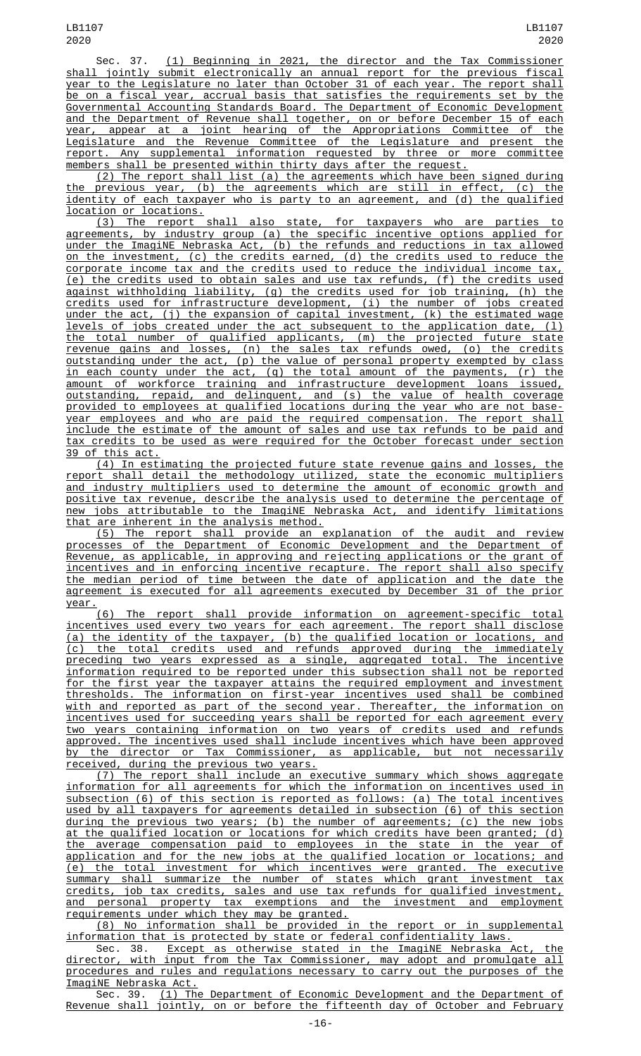Sec. 37. (1) Beginning in 2021, the director and the Tax Commissioner shall jointly submit electronically an annual report for the previous fiscal year to the Legislature no later than October 31 of each year. The report shall be on a fiscal year, accrual basis that satisfies the requirements set by the Governmental Accounting Standards Board. The Department of Economic Development and the Department of Revenue shall together, on or before December 15 of each year, appear at a joint hearing of the Appropriations Committee of the Legislature and the Revenue Committee of the Legislature and present the report. Any supplemental information requested by three or more committee members shall be presented within thirty days after the request.

(2) The report shall list (a) the agreements which have been signed during the previous year, (b) the agreements which are still in effect, (c) the identity of each taxpayer who is party to an agreement, and (d) the qualified location or locations.

(3) The report shall also state, for taxpayers who are parties to agreements, by industry group (a) the specific incentive options applied for under the ImagiNE Nebraska Act, (b) the refunds and reductions in tax allowed on the investment, (c) the credits earned, (d) the credits used to reduce the corporate income tax and the credits used to reduce the individual income tax, (e) the credits used to obtain sales and use tax refunds, (f) the credits used against withholding liability, (g) the credits used for job training, (h) the credits used for infrastructure development, (i) the number of jobs created under the act, (j) the expansion of capital investment, (k) the estimated wage levels of jobs created under the act subsequent to the application date, (1) the total number of qualified applicants, (m) the projected future state revenue gains and losses, (n) the sales tax refunds owed, (o) the credits outstanding under the act, (p) the value of personal property exempted by class in each county under the act, (q) the total amount of the payments, (r) the amount of workforce training and infrastructure development loans issued, outstanding, repaid, and delinquent, and (s) the value of health coverage provided to employees at qualified locations during the year who are not baseyear employees and who are paid the required compensation. The report shall include the estimate of the amount of sales and use tax refunds to be paid and tax credits to be used as were required for the October forecast under section 39 of this act.

(4) In estimating the projected future state revenue gains and losses, the report shall detail the methodology utilized, state the economic multipliers and industry multipliers used to determine the amount of economic growth and positive tax revenue, describe the analysis used to determine the percentage of new jobs attributable to the ImagiNE Nebraska Act, and identify limitations that are inherent in the analysis method.

(5) The report shall provide an explanation of the audit and review processes of the Department of Economic Development and the Department of Revenue, as applicable, in approving and rejecting applications or the grant of incentives and in enforcing incentive recapture. The report shall also specify the median period of time between the date of application and the date the agreement is executed for all agreements executed by December 31 of the prior year.

(6) The report shall provide information on agreement-specific total incentives used every two years for each agreement. The report shall disclose (a) the identity of the taxpayer, (b) the qualified location or locations, and (c) the total credits used and refunds approved during the immediately preceding two years expressed as a single, aggregated total. The incentive information required to be reported under this subsection shall not be reported for the first year the taxpayer attains the required employment and investment thresholds. The information on first-year incentives used shall be combined with and reported as part of the second year. Thereafter, the information on incentives used for succeeding years shall be reported for each agreement every two years containing information on two years of credits used and refunds approved. The incentives used shall include incentives which have been approved by the director or Tax Commissioner, as applicable, but not necessarily received, during the previous two years.

(7) The report shall include an executive summary which shows aggregate information for all agreements for which the information on incentives used in subsection (6) of this section is reported as follows: (a) The total incentives used by all taxpayers for agreements detailed in subsection (6) of this section during the previous two years; (b) the number of agreements; (c) the new jobs at the qualified location or locations for which credits have been granted; (d) the average compensation paid to employees in the state in the year of application and for the new jobs at the qualified location or locations; and (e) the total investment for which incentives were granted. The executive summary shall summarize the number of states which grant investment tax credits, job tax credits, sales and use tax refunds for qualified investment, and personal property tax exemptions and the investment and employment requirements under which they may be granted.

(8) No information shall be provided in the report or in supplemental information that is protected by state or federal confidentiality laws.

Sec. 38. <u>Except as otherwise stated in the ImagiNE Nebraska Act, the</u> director, with input from the Tax Commissioner, may adopt and promulgate all procedures and rules and regulations necessary to carry out the purposes of the ImagiNE Nebraska Act.

Sec. 39. (1) The Department of Economic Development and the Department of Revenue shall jointly, on or before the fifteenth day of October and February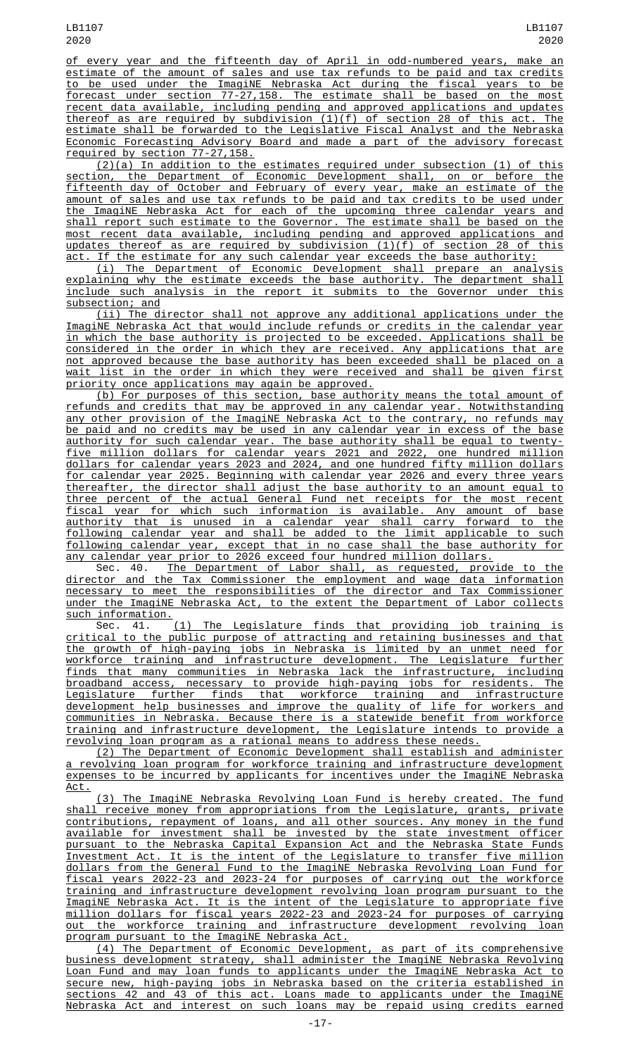of every year and the fifteenth day of April in odd-numbered years, make an estimate of the amount of sales and use tax refunds to be paid and tax credits to be used under the ImagiNE Nebraska Act during the fiscal years to be forecast under section 77-27,158. The estimate shall be based on the most recent data available, including pending and approved applications and updates thereof as are required by subdivision (1)(f) of section 28 of this act. The estimate shall be forwarded to the Legislative Fiscal Analyst and the Nebraska Economic Forecasting Advisory Board and made a part of the advisory forecast required by section 77-27,158.

(2)(a) In addition to the estimates required under subsection (1) of this section, the Department of Economic Development shall, on or before the fifteenth day of October and February of every year, make an estimate of the amount of sales and use tax refunds to be paid and tax credits to be used under the ImagiNE Nebraska Act for each of the upcoming three calendar years and shall report such estimate to the Governor. The estimate shall be based on the most recent data available, including pending and approved applications and updates thereof as are required by subdivision (1)(f) of section 28 of this act. If the estimate for any such calendar year exceeds the base authority:

(i) The Department of Economic Development shall prepare an analysis explaining why the estimate exceeds the base authority. The department shall include such analysis in the report it submits to the Governor under this subsection; and

(ii) The director shall not approve any additional applications under the ImagiNE Nebraska Act that would include refunds or credits in the calendar year in which the base authority is projected to be exceeded. Applications shall be considered in the order in which they are received. Any applications that are not approved because the base authority has been exceeded shall be placed on a wait list in the order in which they were received and shall be given first priority once applications may again be approved.

(b) For purposes of this section, base authority means the total amount of refunds and credits that may be approved in any calendar year. Notwithstanding any other provision of the ImagiNE Nebraska Act to the contrary, no refunds may be paid and no credits may be used in any calendar year in excess of the base authority for such calendar year. The base authority shall be equal to twentyfive million dollars for calendar years 2021 and 2022, one hundred million dollars for calendar years 2023 and 2024, and one hundred fifty million dollars for calendar year 2025. Beginning with calendar year 2026 and every three years thereafter, the director shall adjust the base authority to an amount equal to three percent of the actual General Fund net receipts for the most recent fiscal year for which such information is available. Any amount of base authority that is unused in a calendar year shall carry forward to the following calendar year and shall be added to the limit applicable to such following calendar year, except that in no case shall the base authority for any calendar year prior to 2026 exceed four hundred million dollars.

Sec. 40. The Department of Labor shall, as requested, provide to the director and the Tax Commissioner the employment and wage data information necessary to meet the responsibilities of the director and Tax Commissioner under the ImagiNE Nebraska Act, to the extent the Department of Labor collects such information.

Sec. 41. (1) The Legislature finds that providing job training is critical to the public purpose of attracting and retaining businesses and that the growth of high-paying jobs in Nebraska is limited by an unmet need for workforce training and infrastructure development. The Legislature further finds that many communities in Nebraska lack the infrastructure, including broadband access, necessary to provide high-paying jobs for residents. The Legislature further finds that workforce training and infrastructure development help businesses and improve the quality of life for workers and communities in Nebraska. Because there is a statewide benefit from workforce training and infrastructure development, the Legislature intends to provide a revolving loan program as a rational means to address these needs.

(2) The Department of Economic Development shall establish and administer a revolving loan program for workforce training and infrastructure development expenses to be incurred by applicants for incentives under the ImagiNE Nebraska Act.

(3) The ImagiNE Nebraska Revolving Loan Fund is hereby created. The fund shall receive money from appropriations from the Legislature, grants, private contributions, repayment of loans, and all other sources. Any money in the fund available for investment shall be invested by the state investment officer pursuant to the Nebraska Capital Expansion Act and the Nebraska State Funds Investment Act. It is the intent of the Legislature to transfer five million dollars from the General Fund to the ImagiNE Nebraska Revolving Loan Fund for fiscal years 2022-23 and 2023-24 for purposes of carrying out the workforce training and infrastructure development revolving loan program pursuant to the ImagiNE Nebraska Act. It is the intent of the Legislature to appropriate five million dollars for fiscal years 2022-23 and 2023-24 for purposes of carrying out the workforce training and infrastructure development revolving loan program pursuant to the ImagiNE Nebraska Act.

(4) The Department of Economic Development, as part of its comprehensive business development strategy, shall administer the ImagiNE Nebraska Revolving Loan Fund and may loan funds to applicants under the ImagiNE Nebraska Act to secure new, high-paying jobs in Nebraska based on the criteria established in sections 42 and 43 of this act. Loans made to applicants under the ImagiNE Nebraska Act and interest on such loans may be repaid using credits earned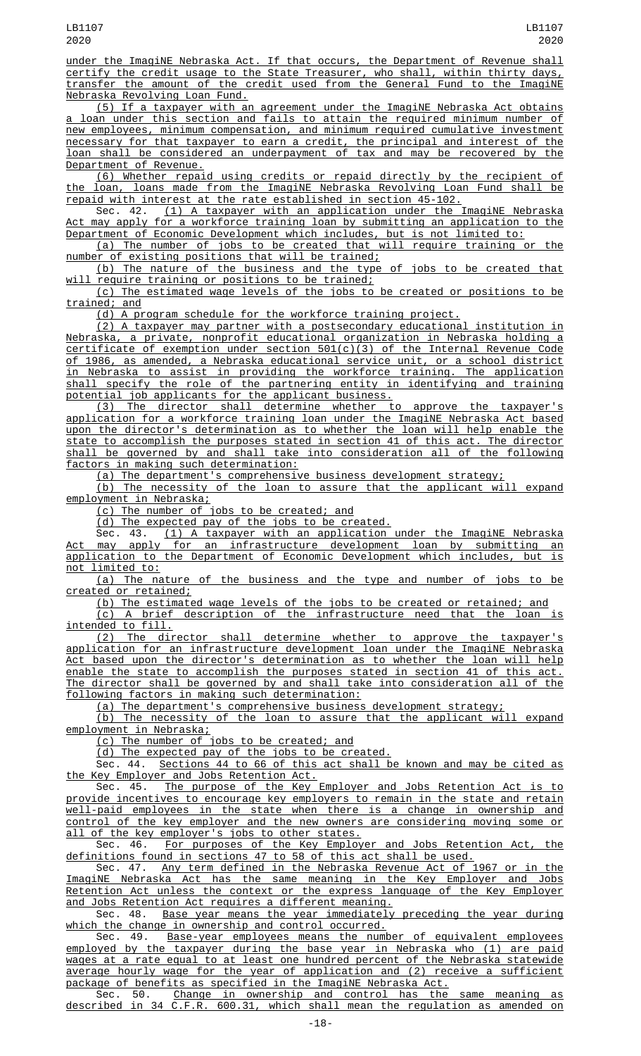under the ImagiNE Nebraska Act. If that occurs, the Department of Revenue shall certify the credit usage to the State Treasurer, who shall, within thirty days, transfer the amount of the credit used from the General Fund to the ImagiNE Nebraska Revolving Loan Fund.

(5) If a taxpayer with an agreement under the ImagiNE Nebraska Act obtains a loan under this section and fails to attain the required minimum number of new employees, minimum compensation, and minimum required cumulative investment necessary for that taxpayer to earn a credit, the principal and interest of the loan shall be considered an underpayment of tax and may be recovered by the Department of Revenue.

(6) Whether repaid using credits or repaid directly by the recipient of the loan, loans made from the ImagiNE Nebraska Revolving Loan Fund shall be repaid with interest at the rate established in section 45-102.

Sec. 42. <u>(1) A taxpayer with an application under the ImagiNE Nebraska</u> Act may apply for a workforce training loan by submitting an application to the Department of Economic Development which includes, but is not limited to:

(a) The number of jobs to be created that will require training or the number of existing positions that will be trained;

(b) The nature of the business and the type of jobs to be created that require training or positions to be trained;

(c) The estimated wage levels of the jobs to be created or positions to be <u>trained; and</u>

(d) A program schedule for the workforce training project.

(2) A taxpayer may partner with a postsecondary educational institution in Nebraska, a private, nonprofit educational organization in Nebraska holding a certificate of exemption under section 501(c)(3) of the Internal Revenue Code of 1986, as amended, a Nebraska educational service unit, or a school district in Nebraska to assist in providing the workforce training. The application shall specify the role of the partnering entity in identifying and training potential job applicants for the applicant business.

(3) The director shall determine whether to approve the taxpayer's application for a workforce training loan under the ImagiNE Nebraska Act based upon the director's determination as to whether the loan will help enable the state to accomplish the purposes stated in section 41 of this act. The director shall be governed by and shall take into consideration all of the following factors in making such determination:

(a) The department's comprehensive business development strategy;

(b) The necessity of the loan to assure that the applicant will expand employment in Nebraska;

(c) The number of jobs to be created; and

(d) The expected pay of the jobs to be created.

Sec. 43. <u>(1) A taxpayer with an application under the ImagiNE Nebraska</u> Act may apply for an infrastructure development loan by submitting an application to the Department of Economic Development which includes, but is not limited to:

(a) The nature of the business and the type and number of jobs to be created or retained;

(b) The estimated wage levels of the jobs to be created or retained; and (c) A brief description of the infrastructure need that the loan is intended to fill.

(2) The director shall determine whether to approve the taxpayer's application for an infrastructure development loan under the ImagiNE Nebraska Act based upon the director's determination as to whether the loan will help enable the state to accomplish the purposes stated in section 41 of this act. The director shall be governed by and shall take into consideration all of the following factors in making such determination:

(a) The department's comprehensive business development strategy;

(b) The necessity of the loan to assure that the applicant will expand employment in Nebraska;

(c) The number of jobs to be created; and

(d) The expected pay of the jobs to be created.

Sec. 44. Sections 44 to 66 of this act shall be known and may be cited as the Key Employer and Jobs Retention Act.<br>Sec. 45. The purpose of the Key

The purpose of the Key Employer and Jobs Retention Act provide incentives to encourage key employers to remain in the state and retain well-paid employees in the state when there is a change in ownership and control of the key employer and the new owners are considering moving some or all of the key employer's jobs to other states.

Sec. 46. <u>For purposes of the Key Employer and Jobs Retention Act, the</u> definitions found in sections 47 to 58 of this act shall be used.

Sec. 47. Any term defined in the Nebraska Revenue Act of 1967 or in the ImagiNE Nebraska Act has the same meaning in the Key Employer and Jobs Retention Act unless the context or the express language of the Key Employer and Jobs Retention Act requires a different meaning.

Sec. 48. <u>Base year means the year immediately preceding the year during</u> which the change in ownership and control occurred.

Sec. 49. <u>Base-year employees means the number of equivalent employees</u> employed by the taxpayer during the base year in Nebraska who (1) are paid wages at a rate equal to at least one hundred percent of the Nebraska statewide average hourly wage for the year of application and (2) receive a sufficient package of benefits as specified in the ImagiNE Nebraska Act.

Sec. 50. Change in ownership and control has the same meaning as described in 34 C.F.R. 600.31, which shall mean the regulation as amended on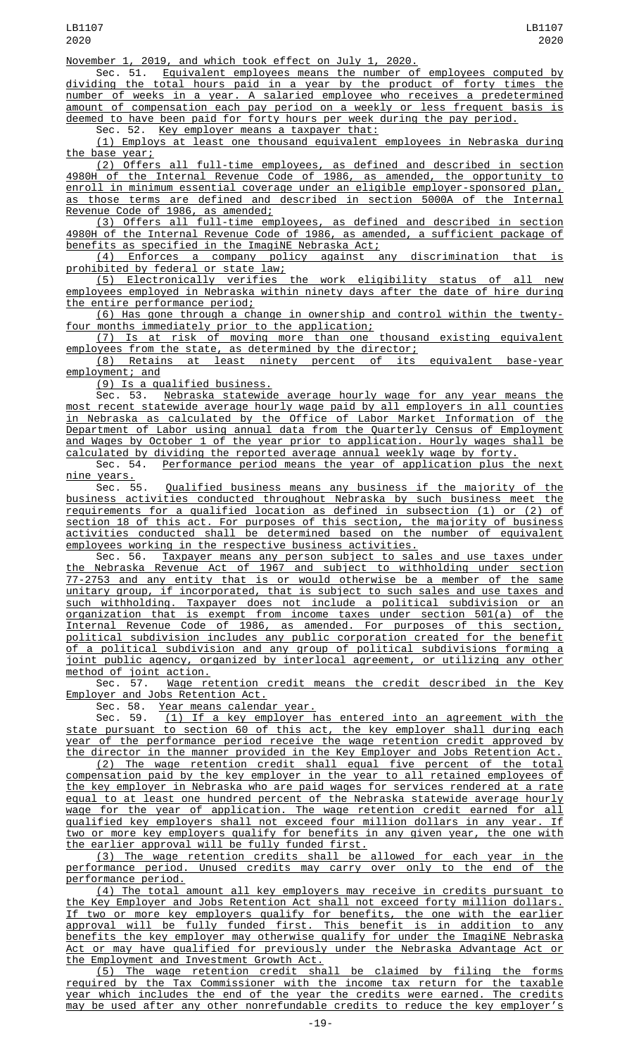November 1, 2019, and which took effect on July 1, 2020.

Sec. 51. Equivalent employees means the number of employees computed by dividing the total hours paid in a year by the product of forty times the number of weeks in a year. A salaried employee who receives a predetermined amount of compensation each pay period on a weekly or less frequent basis is deemed to have been paid for forty hours per week during the pay period.

Sec. 52. <u>Key employer means a taxpayer that:</u>

(1) Employs at least one thousand equivalent employees in Nebraska during the base year;

(2) Offers all full-time employees, as defined and described in section 4980H of the Internal Revenue Code of 1986, as amended, the opportunity to enroll in minimum essential coverage under an eligible employer-sponsored plan, as those terms are defined and described in section 5000A of the Internal Revenue Code of 1986, as amended;

(3) Offers all full-time employees, as defined and described in section 4980H of the Internal Revenue Code of 1986, as amended, a sufficient package of benefits as specified in the ImagiNE Nebraska Act;

(4) Enforces a company policy against any discrimination that is prohibited by federal or state law;<br>(5) Electronically verifies

(5) Electronically verifies the work eligibility status of all new employees employed in Nebraska within ninety days after the date of hire during the entire performance period;

(6) Has gone through a change in ownership and control within the twentyfour months immediately prior to the application;

(7) Is at risk of moving more than one thousand existing equivalent employees from the state, as determined by the director;

(8) Retains at least ninety percent of its equivalent base-year employment; and

(9) Is a qualified business.

Sec. 53. Nebraska statewide average hourly wage for any year means the most recent statewide average hourly wage paid by all employers in all counties in Nebraska as calculated by the Office of Labor Market Information of the Department of Labor using annual data from the Quarterly Census of Employment and Wages by October 1 of the year prior to application. Hourly wages shall be calculated by dividing the reported average annual weekly wage by forty.

Sec. 54. Performance period means the year of application plus the next nine years.

Sec. 55. Qualified business means any business if the majority of the business activities conducted throughout Nebraska by such business meet the requirements for a qualified location as defined in subsection (1) or (2) of section 18 of this act. For purposes of this section, the majority of business activities conducted shall be determined based on the number of equivalent employees working in the respective business activities.

Sec. 56. Taxpayer means any person subject to sales and use taxes under the Nebraska Revenue Act of 1967 and subject to withholding under section 77-2753 and any entity that is or would otherwise be a member of the same unitary group, if incorporated, that is subject to such sales and use taxes and such withholding. Taxpayer does not include a political subdivision or an organization that is exempt from income taxes under section 501(a) of the Internal Revenue Code of 1986, as amended. For purposes of this section, political subdivision includes any public corporation created for the benefit of a political subdivision and any group of political subdivisions forming a joint public agency, organized by interlocal agreement, or utilizing any other method of joint action.<br>Sec. 57. Wage re

Wage retention credit means the credit described in the Key Employer and Jobs Retention Act.<br>Sec. 58. <u>Year means calenda</u>

Sec. 58. <u>Year means calendar year.</u><br>Sec. 59. (1) If a key emplover h

 $(1)$  If a key employer has entered into an agreement with the state pursuant to section 60 of this act, the key employer shall during each year of the performance period receive the wage retention credit approved by the director in the manner provided in the Key Employer and Jobs Retention Act.

(2) The wage retention credit shall equal five percent of the total compensation paid by the key employer in the year to all retained employees of the key employer in Nebraska who are paid wages for services rendered at a rate equal to at least one hundred percent of the Nebraska statewide average hourly wage for the year of application. The wage retention credit earned for all qualified key employers shall not exceed four million dollars in any year. If two or more key employers qualify for benefits in any given year, the one with the earlier approval will be fully funded first.

(3) The wage retention credits shall be allowed for each year in the performance period. Unused credits may carry over only to the end of the performance period.

(4) The total amount all key employers may receive in credits pursuant to the Key Employer and Jobs Retention Act shall not exceed forty million dollars. If two or more key employers qualify for benefits, the one with the earlier approval will be fully funded first. This benefit is in addition to any benefits the key employer may otherwise qualify for under the ImagiNE Nebraska Act or may have qualified for previously under the Nebraska Advantage Act or the Employment and Investment Growth Act.

(5) The wage retention credit shall be claimed by filing the forms required by the Tax Commissioner with the income tax return for the taxable year which includes the end of the year the credits were earned. The credits may be used after any other nonrefundable credits to reduce the key employer's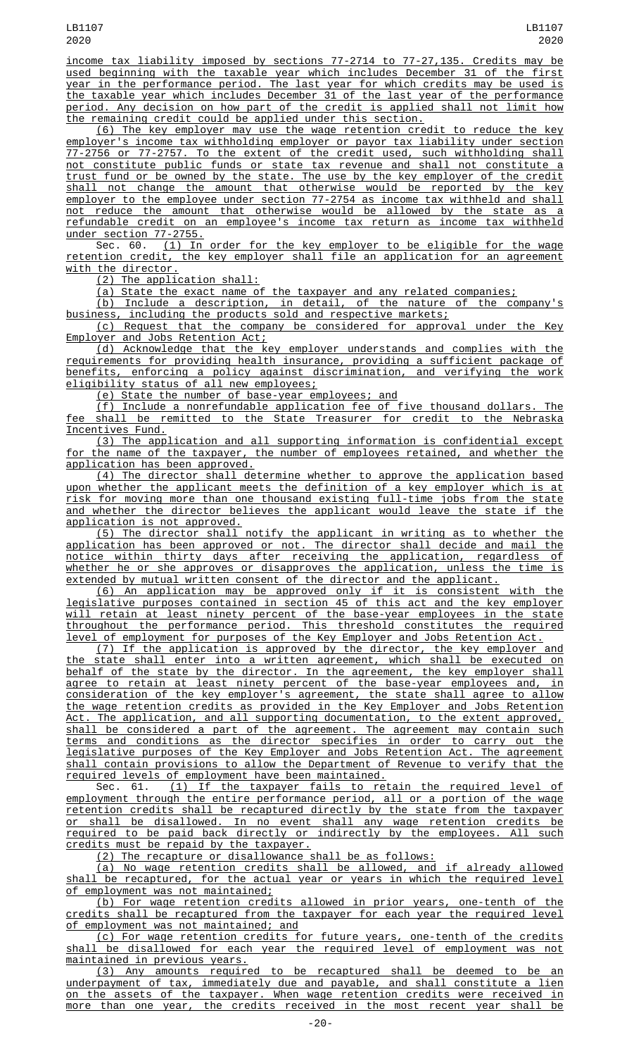income tax liability imposed by sections 77-2714 to 77-27,135. Credits may be used beginning with the taxable year which includes December 31 of the first year in the performance period. The last year for which credits may be used is the taxable year which includes December 31 of the last year of the performance period. Any decision on how part of the credit is applied shall not limit how the remaining credit could be applied under this section.

(6) The key employer may use the wage retention credit to reduce the key employer's income tax withholding employer or payor tax liability under section 77-2756 or 77-2757. To the extent of the credit used, such withholding shall not constitute public funds or state tax revenue and shall not constitute a trust fund or be owned by the state. The use by the key employer of the credit shall not change the amount that otherwise would be reported by the key employer to the employee under section 77-2754 as income tax withheld and shall not reduce the amount that otherwise would be allowed by the state as a refundable credit on an employee's income tax return as income tax withheld under section 77-2755.

Sec. 60. <u>(1) In order for the key employer to be eligible for the wage</u> retention credit, the key employer shall file an application for an agreement with the director.

(2) The application shall:

(a) State the exact name of the taxpayer and any related companies;

(b) Include a description, in detail, of the nature of the company's business, including the products sold and respective markets;

(c) Request that the company be considered for approval under the Key Employer and Jobs Retention Act;

(d) Acknowledge that the key employer understands and complies with the requirements for providing health insurance, providing a sufficient package of benefits, enforcing a policy against discrimination, and verifying the work eligibility status of all new employees;

(e) State the number of base-year employees; and

(f) Include a nonrefundable application fee of five thousand dollars. The fee shall be remitted to the State Treasurer for credit to the Nebraska Incentives Fund.

(3) The application and all supporting information is confidential except for the name of the taxpayer, the number of employees retained, and whether the application has been approved.

(4) The director shall determine whether to approve the application based upon whether the applicant meets the definition of a key employer which is at risk for moving more than one thousand existing full-time jobs from the state and whether the director believes the applicant would leave the state if the application is not approved.

(5) The director shall notify the applicant in writing as to whether the application has been approved or not. The director shall decide and mail the notice within thirty days after receiving the application, regardless of whether he or she approves or disapproves the application, unless the time is extended by mutual written consent of the director and the applicant.

(6) An application may be approved only if it is consistent with the legislative purposes contained in section 45 of this act and the key employer will retain at least ninety percent of the base-year employees in the state throughout the performance period. This threshold constitutes the required level of employment for purposes of the Key Employer and Jobs Retention Act.

(7) If the application is approved by the director, the key employer and state shall enter into a written agreement, which shall be executed on behalf of the state by the director. In the agreement, the key employer shall agree to retain at least ninety percent of the base-year employees and, in consideration of the key employer's agreement, the state shall agree to allow the wage retention credits as provided in the Key Employer and Jobs Retention Act. The application, and all supporting documentation, to the extent approved, shall be considered a part of the agreement. The agreement may contain such terms and conditions as the director specifies in order to carry out the legislative purposes of the Key Employer and Jobs Retention Act. The agreement shall contain provisions to allow the Department of Revenue to verify that the required levels of employment have been maintained.<br>Sec. 61. (1) If the taxpayer fails to ret

(1) If the taxpayer fails to retain the required level of employment through the entire performance period, all or a portion of the wage retention credits shall be recaptured directly by the state from the taxpayer or shall be disallowed. In no event shall any wage retention credits be required to be paid back directly or indirectly by the employees. All such credits must be repaid by the taxpayer.

(2) The recapture or disallowance shall be as follows:

(a) No wage retention credits shall be allowed, and if already allowed shall be recaptured, for the actual year or years in which the required level of employment was not maintained;

(b) For wage retention credits allowed in prior years, one-tenth of the credits shall be recaptured from the taxpayer for each year the required level of employment was not maintained; and

(c) For wage retention credits for future years, one-tenth of the credits shall be disallowed for each year the required level of employment was not maintained in previous years.

(3) Any amounts required to be recaptured shall be deemed to be an underpayment of tax, immediately due and payable, and shall constitute a lien on the assets of the taxpayer. When wage retention credits were received in more than one year, the credits received in the most recent year shall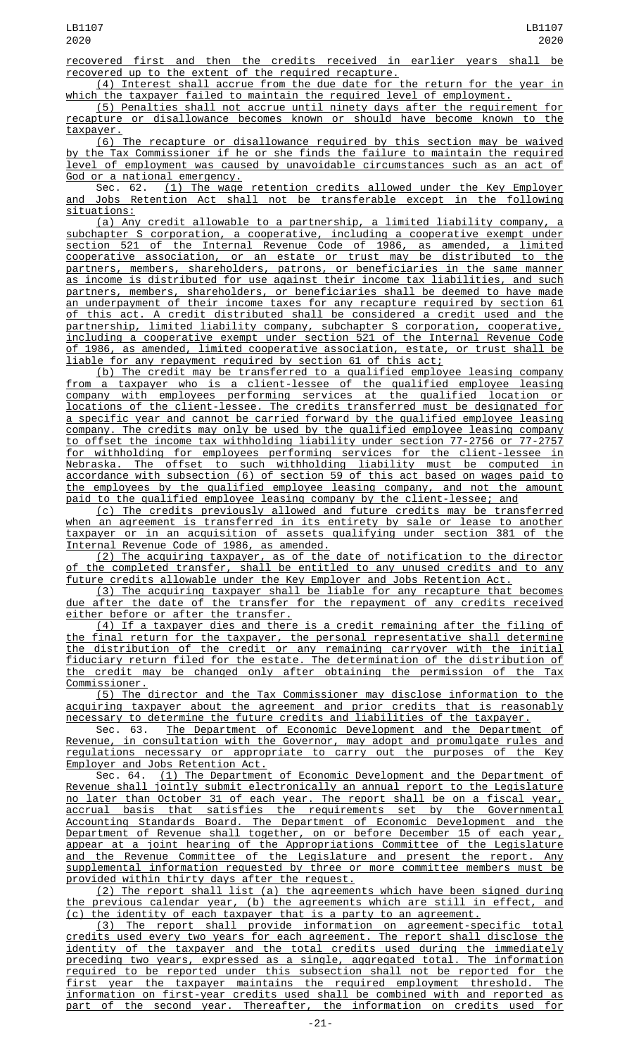recovered first and then the credits received in earlier years shall be recovered up to the extent of the required recapture.

(4) Interest shall accrue from the due date for the return for the year in  $\frac{1}{n}$  the taxpayer failed to maintain the required level of employment.

(5) Penalties shall not accrue until ninety days after the requirement for recapture or disallowance becomes known or should have become known to the taxpayer.

(6) The recapture or disallowance required by this section may be waived by the Tax Commissioner if he or she finds the failure to maintain the required level of employment was caused by unavoidable circumstances such as an act of God or a national emergency.

Sec. 62. (1) The wage retention credits allowed under the Key Employer and Jobs Retention Act shall not be transferable except in the following situations:

(a) Any credit allowable to a partnership, a limited liability company, a subchapter S corporation, a cooperative, including a cooperative exempt under section 521 of the Internal Revenue Code of 1986, as amended, a limited cooperative association, or an estate or trust may be distributed to the partners, members, shareholders, patrons, or beneficiaries in the same manner as income is distributed for use against their income tax liabilities, and such partners, members, shareholders, or beneficiaries shall be deemed to have made an underpayment of their income taxes for any recapture required by section 61 of this act. A credit distributed shall be considered a credit used and the partnership, limited liability company, subchapter S corporation, cooperative, including a cooperative exempt under section 521 of the Internal Revenue Code of 1986, as amended, limited cooperative association, estate, or trust shall be liable for any repayment required by section 61 of this act;

(b) The credit may be transferred to a qualified employee leasing company from a taxpayer who is a client-lessee of the qualified employee leasing<br>company with employees performing services at the qualified location or company with employees performing services at the qualified location or locations of the client-lessee. The credits transferred must be designated for a specific year and cannot be carried forward by the qualified employee leasing company. The credits may only be used by the qualified employee leasing company to offset the income tax withholding liability under section 77-2756 or 77-2757 for withholding for employees performing services for the client-lessee in Nebraska. The offset to such withholding liability must be computed in accordance with subsection (6) of section 59 of this act based on wages paid to the employees by the qualified employee leasing company, and not the amount paid to the qualified employee leasing company by the client-lessee; and

(c) The credits previously allowed and future credits may be transferred when an agreement is transferred in its entirety by sale or lease to another taxpayer or in an acquisition of assets qualifying under section 381 of the Internal Revenue Code of 1986, as amended.

(2) The acquiring taxpayer, as of the date of notification to the director of the completed transfer, shall be entitled to any unused credits and to any future credits allowable under the Key Employer and Jobs Retention Act.

(3) The acquiring taxpayer shall be liable for any recapture that becomes due after the date of the transfer for the repayment of any credits received either before or after the transfer.

(4) If a taxpayer dies and there is a credit remaining after the filing of the final return for the taxpayer, the personal representative shall determine the distribution of the credit or any remaining carryover with the initial fiduciary return filed for the estate. The determination of the distribution of the credit may be changed only after obtaining the permission of the Tax Commissioner.

(5) The director and the Tax Commissioner may disclose information to the acquiring taxpayer about the agreement and prior credits that is reasonably necessary to determine the future credits and liabilities of the taxpayer.

Sec. 63. <u>The Department of Economic Development and the Department of</u> Revenue, in consultation with the Governor, may adopt and promulgate rules and regulations necessary or appropriate to carry out the purposes of the Key Employer and Jobs Retention Act.

Sec. 64. (1) The Department of Economic Development and the Department of Revenue shall jointly submit electronically an annual report to the Legislature jointly submit electronically an annual report to the Legislature no later than October 31 of each year. The report shall be on a fiscal year, accrual basis that satisfies the requirements set by the Governmental Accounting Standards Board. The Department of Economic Development and the Department of Revenue shall together, on or before December 15 of each year, appear at a joint hearing of the Appropriations Committee of the Legislature and the Revenue Committee of the Legislature and present the report. Any supplemental information requested by three or more committee members must be provided within thirty days after the request.

(2) The report shall list (a) the agreements which have been signed during the previous calendar year, (b) the agreements which are still in effect, and (c) the identity of each taxpayer that is a party to an agreement.

(3) The report shall provide information on agreement-specific total credits used every two years for each agreement. The report shall disclose the identity of the taxpayer and the total credits used during the immediately preceding two years, expressed as a single, aggregated total. The information required to be reported under this subsection shall not be reported for the first year the taxpayer maintains the required employment threshold. The information on first-year credits used shall be combined with and reported as part of the second year. Thereafter, the information on credits used for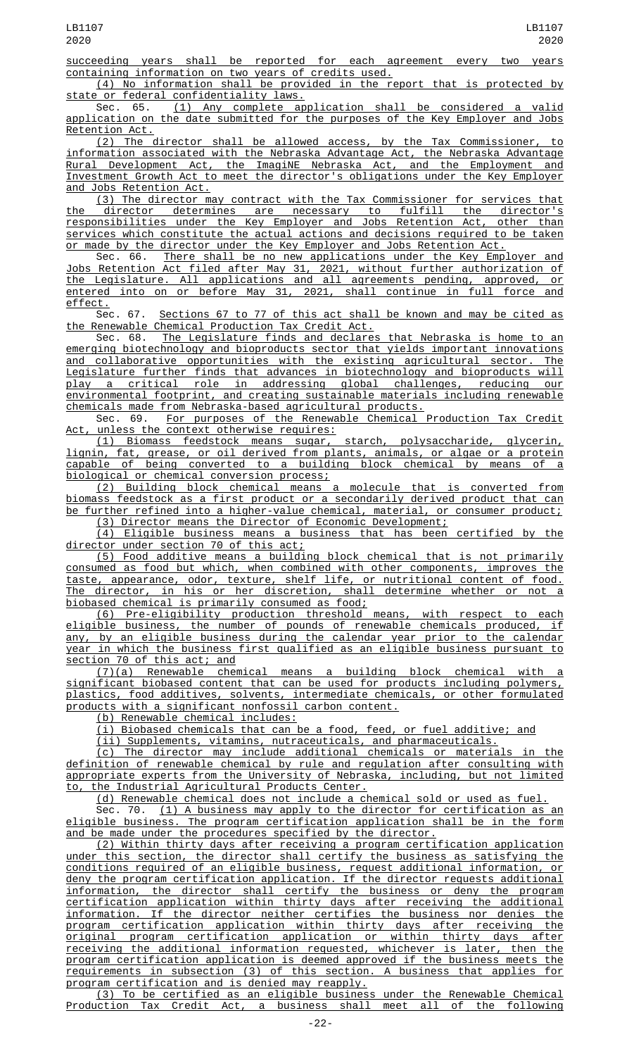succeeding years shall be reported for each agreement every two years containing information on two years of credits used.

(4) No information shall be provided in the report that is protected by state or federal confidentiality laws.

Sec. 65. (1) Any complete application shall be considered a valid application on the date submitted for the purposes of the Key Employer and Jobs Retention Act.

(2) The director shall be allowed access, by the Tax Commissioner, to information associated with the Nebraska Advantage Act, the Nebraska Advantage Rural Development Act, the ImagiNE Nebraska Act, and the Employment and Investment Growth Act to meet the director's obligations under the Key Employer and Jobs Retention Act.

(3) The director may contract with the Tax Commissioner for services that the director determines are necessary to fulfill the director's responsibilities under the Key Employer and Jobs Retention Act, other than services which constitute the actual actions and decisions required to be taken or made by the director under the Key Employer and Jobs Retention Act.<br>Sec. 66. There shall be no new applications under the Key Emp.

There shall be no new applications under the Key Employer and Jobs Retention Act filed after May 31, 2021, without further authorization of the Legislature. All applications and all agreements pending, approved, or entered into on or before May 31, 2021, shall continue in full force and <u>effect.</u><br>Sec. 67.

Sections 67 to 77 of this act shall be known and may be cited as the Renewable Chemical Production Tax Credit Act.<br>Sec. 68. The Legislature finds and declares

The Legislature finds and declares that Nebraska is home to an emerging biotechnology and bioproducts sector that yields important innovations<br>and collaborative opportunities with the existing agricultural sector. The and collaborative opportunities with the existing agricultural sector. Legislature further finds that advances in biotechnology and bioproducts will play a critical role in addressing global challenges, reducing our environmental footprint, and creating sustainable materials including renewable chemicals made from Nebraska-based agricultural products.

Sec. 69. For purposes of the Renewable Chemical Production Tax Credit Act, unless the context otherwise requires:

(1) Biomass feedstock means sugar, starch, polysaccharide, glycerin, lignin, fat, grease, or oil derived from plants, animals, or algae or a protein capable of being converted to a building block chemical by means of a biological or chemical conversion process;

(2) Building block chemical means a molecule that is converted from biomass feedstock as a first product or a secondarily derived product that can be further refined into a higher-value chemical, material, or consumer product; (3) Director means the Director of Economic Development;

(4) Eligible business means a business that has been certified by the director under section 70 of this act;

(5) Food additive means a building block chemical that is not primarily consumed as food but which, when combined with other components, improves the taste, appearance, odor, texture, shelf life, or nutritional content of food. The director, in his or her discretion, shall determine whether or not a biobased chemical is primarily consumed as food;

(6) Pre-eligibility production threshold means, with respect to each eligible business, the number of pounds of renewable chemicals produced, if any, by an eligible business during the calendar year prior to the calendar year in which the business first qualified as an eligible business pursuant to section 70 of this act; and

(7)(a) Renewable chemical means a building block chemical with a significant biobased content that can be used for products including polymers, plastics, food additives, solvents, intermediate chemicals, or other formulated products with a significant nonfossil carbon content.

(b) Renewable chemical includes:

(i) Biobased chemicals that can be a food, feed, or fuel additive; and

(ii) Supplements, vitamins, nutraceuticals, and pharmaceuticals.

(c) The director may include additional chemicals or materials in the definition of renewable chemical by rule and regulation after consulting with appropriate experts from the University of Nebraska, including, but not limited to, the Industrial Agricultural Products Center.

(d) Renewable chemical does not include a chemical sold or used as fuel.

Sec. 70. <u>(1) A business may apply to the director for certification as an</u> eligible business. The program certification application shall be in the form and be made under the procedures specified by the director.

(2) Within thirty days after receiving a program certification application under this section, the director shall certify the business as satisfying the conditions required of an eligible business, request additional information, or deny the program certification application. If the director requests additional information, the director shall certify the business or deny the program certification application within thirty days after receiving the additional information. If the director neither certifies the business nor denies the program certification application within thirty days after receiving the original program certification application or within thirty days after receiving the additional information requested, whichever is later, then the program certification application is deemed approved if the business meets the requirements in subsection (3) of this section. A business that applies for program certification and is denied may reapply.

(3) To be certified as an eligible business under the Renewable Chemical Production Tax Credit Act, a business shall meet all of the following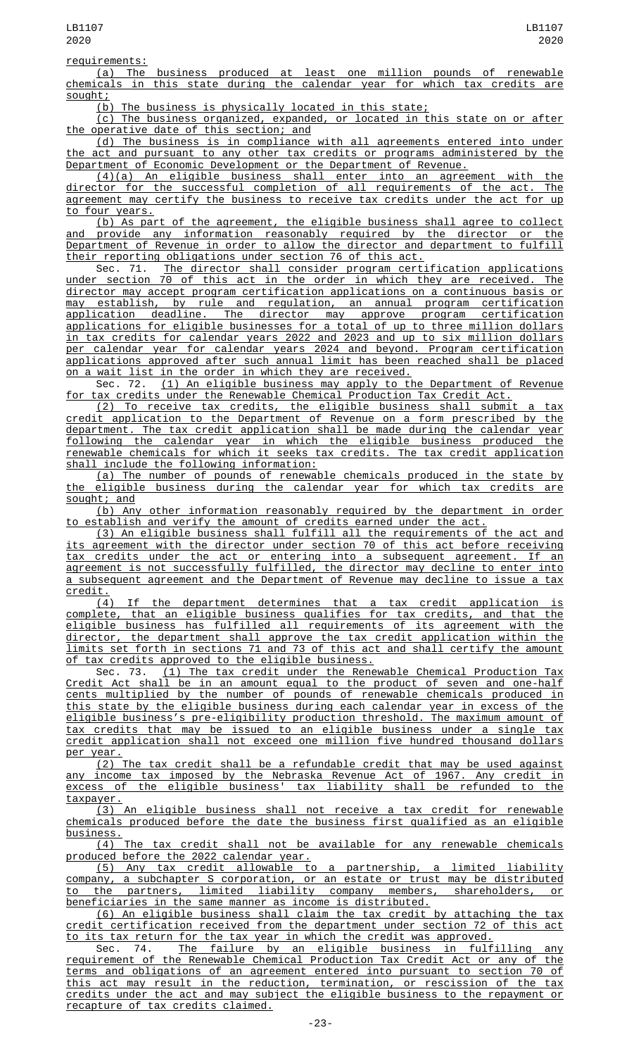(a) The business produced at least one million pounds of renewable chemicals in this state during the calendar year for which tax credits are sought;

(b) The business is physically located in this state;

(c) The business organized, expanded, or located in this state on or after the operative date of this section; and

(d) The business is in compliance with all agreements entered into under the act and pursuant to any other tax credits or programs administered by the Department of Economic Development or the Department of Revenue.

(4)(a) An eligible business shall enter into an agreement with the director for the successful completion of all requirements of the act. The agreement may certify the business to receive tax credits under the act for up to four years.

(b) As part of the agreement, the eligible business shall agree to collect and provide any information reasonably required by the director or the Department of Revenue in order to allow the director and department to fulfill

their reporting obligations under section 76 of this act.<br>Sec. 71. The director shall consider program cert Sec. 71. The director shall consider program certification applications under section 70 of this act in the order in which they are received. The director may accept program certification applications on a continuous basis or may establish, by rule and regulation, an annual program certification application deadline. The director may approve program certification applications for eligible businesses for a total of up to three million dollars in tax credits for calendar years 2022 and 2023 and up to six million dollars per calendar year for calendar years 2024 and beyond. Program certification applications approved after such annual limit has been reached shall be placed on a wait list in the order in which they are received.

Sec. 72. (1) An eligible business may apply to the Department of Revenue for tax credits under the Renewable Chemical Production Tax Credit Act.

(2) To receive tax credits, the eligible business shall submit a tax credit application to the Department of Revenue on a form prescribed by the department. The tax credit application shall be made during the calendar year following the calendar year in which the eligible business produced the renewable chemicals for which it seeks tax credits. The tax credit application shall include the following information:

(a) The number of pounds of renewable chemicals produced in the state by the eligible business during the calendar year for which tax credits are sought; and

(b) Any other information reasonably required by the department in order to establish and verify the amount of credits earned under the act.

(3) An eligible business shall fulfill all the requirements of the act and its agreement with the director under section 70 of this act before receiving tax credits under the act or entering into a subsequent agreement. If an agreement is not successfully fulfilled, the director may decline to enter into a subsequent agreement and the Department of Revenue may decline to issue a tax

 $\frac{\text{credit.}}{(4)}$ (4) If the department determines that a tax credit application is complete, that an eligible business qualifies for tax credits, and that the eligible business has fulfilled all requirements of its agreement with the director, the department shall approve the tax credit application within the limits set forth in sections 71 and 73 of this act and shall certify the amount of tax credits approved to the eligible business.

Sec. 73. <u>(1) The tax credit under the Renewable Chemical Production Tax</u> Credit Act shall be in an amount equal to the product of seven and one-half cents multiplied by the number of pounds of renewable chemicals produced in this state by the eligible business during each calendar year in excess of the eligible business's pre-eligibility production threshold. The maximum amount of tax credits that may be issued to an eligible business under a single tax credit application shall not exceed one million five hundred thousand dollars per year.

(2) The tax credit shall be a refundable credit that may be used against any income tax imposed by the Nebraska Revenue Act of 1967. Any credit in excess of the eligible business' tax liability shall be refunded to the taxpayer.

(3) An eligible business shall not receive a tax credit for renewable chemicals produced before the date the business first qualified as an eligible  $busines.  
(4) The$ </u>

tax credit shall not be available for any renewable chemicals produced before the 2022 calendar year.

(5) Any tax credit allowable to a partnership, a limited liability company, a subchapter S corporation, or an estate or trust may be distributed to the partners, limited liability company members, shareholders, or beneficiaries in the same manner as income is distributed.

(6) An eligible business shall claim the tax credit by attaching the tax credit certification received from the department under section 72 of this act to its tax return for the tax year in which the credit was approved.

Sec. 74. <u>The failure by an eligible business in fulfilling any</u> requirement of the Renewable Chemical Production Tax Credit Act or any of the terms and obligations of an agreement entered into pursuant to section 70 of this act may result in the reduction, termination, or rescission of the tax credits under the act and may subject the eligible business to the repayment or recapture of tax credits claimed.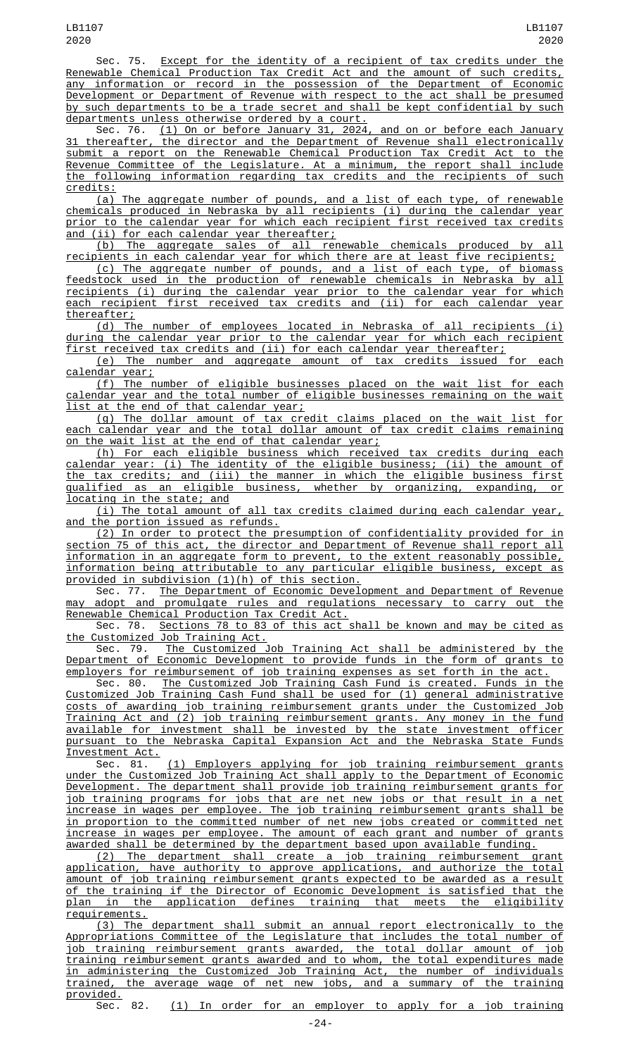Sec. 75. Except for the identity of a recipient of tax credits under the Renewable Chemical Production Tax Credit Act and the amount of such credits, any information or record in the possession of the Department of Economic Development or Department of Revenue with respect to the act shall be presumed by such departments to be a trade secret and shall be kept confidential by such departments unless otherwise ordered by a court.

Sec. 76. (1) On or before January 31, 2024, and on or before each January 31 thereafter, the director and the Department of Revenue shall electronically submit a report on the Renewable Chemical Production Tax Credit Act to the Revenue Committee of the Legislature. At a minimum, the report shall include the following information regarding tax credits and the recipients of such credits:

(a) The aggregate number of pounds, and a list of each type, of renewable chemicals produced in Nebraska by all recipients (i) during the calendar year prior to the calendar year for which each recipient first received tax credits and (ii) for each calendar year thereafter;

(b) The aggregate sales of all renewable chemicals produced by all recipients in each calendar year for which there are at least five recipients;

(c) The aggregate number of pounds, and a list of each type, of biomass feedstock used in the production of renewable chemicals in Nebraska by all recipients (i) during the calendar year prior to the calendar year for which each recipient first received tax credits and (ii) for each calendar year thereafter;

(d) The number of employees located in Nebraska of all recipients (i) during the calendar year prior to the calendar year for which each recipient first received tax credits and (ii) for each calendar year thereafter;

(e) The number and aggregate amount of tax credits issued for each calendar year;

(f) The number of eligible businesses placed on the wait list for each calendar year and the total number of eligible businesses remaining on the wait list at the end of that calendar year;

(g) The dollar amount of tax credit claims placed on the wait list for each calendar year and the total dollar amount of tax credit claims remaining on the wait list at the end of that calendar year;

(h) For each eligible business which received tax credits during each calendar year: (i) The identity of the eligible business; (ii) the amount of the tax credits; and (iii) the manner in which the eligible business first qualified as an eligible business, whether by organizing, expanding, or locating in the state; and

(i) The total amount of all tax credits claimed during each calendar year, and the portion issued as refunds.

(2) In order to protect the presumption of confidentiality provided for section 75 of this act, the director and Department of Revenue shall report all information in an aggregate form to prevent, to the extent reasonably possible, information being attributable to any particular eligible business, except as provided in subdivision (1)(h) of this section.

Sec. 77. The Department of Economic Development and Department of Revenue may adopt and promulgate rules and regulations necessary to carry out the Renewable Chemical Production Tax Credit Act.

Sec. 78. Sections 78 to 83 of this act shall be known and may be cited as the Customized Job Training Act.<br>Sec. 79. The Customized

Sec. 79. The Customized Job Training Act shall be administered by the Department of Economic Development to provide funds in the form of grants to Department of Economic Development to provide funds in the form of grants<br>employers for reimbursement of job training expenses as set forth in the act.

Sec. 80. The Customized Job Training Cash Fund is created. Funds in the Customized Job Training Cash Fund shall be used for (1) general administrative costs of awarding job training reimbursement grants under the Customized Job Training Act and (2) job training reimbursement grants. Any money in the fund available for investment shall be invested by the state investment officer pursuant to the Nebraska Capital Expansion Act and the Nebraska State Funds Investment Act.

Sec. 81. <u>(1) Employers applying for job training reimbursement grants</u> under the Customized Job Training Act shall apply to the Department of Economic Development. The department shall provide job training reimbursement grants for job training programs for jobs that are net new jobs or that result in a net increase in wages per employee. The job training reimbursement grants shall be in proportion to the committed number of net new jobs created or committed net increase in wages per employee. The amount of each grant and number of grants awarded shall be determined by the department based upon available funding.

(2) The department shall create a job training reimbursement grant application, have authority to approve applications, and authorize the total amount of job training reimbursement grants expected to be awarded as a result of the training if the Director of Economic Development is satisfied that the plan in the application defines training that meets the eligibility application defines training that meets the requirements.

(3) The department shall submit an annual report electronically to the Appropriations Committee of the Legislature that includes the total number of job training reimbursement grants awarded, the total dollar amount of job training reimbursement grants awarded and to whom, the total expenditures made in administering the Customized Job Training Act, the number of individuals trained, the average wage of net new jobs, and a summary of the training provided.<br>Sec. 82.

(1) In order for an employer to apply for a job training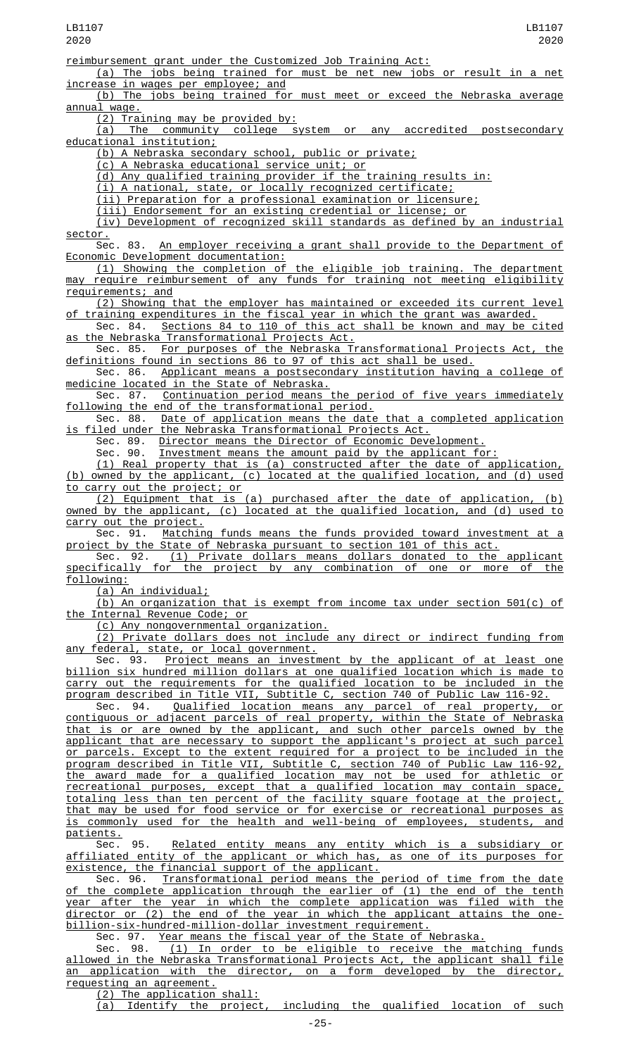(a) The jobs being trained for must be net new jobs or result in a net increase in wages per employee: and in wages per employee; and

(b) The jobs being trained for must meet or exceed the Nebraska average <u>annual wage.</u>

(2) Training may be provided by:

(a) The community college system or any accredited postsecondary educational institution;

(b) A Nebraska secondary school, public or private;

(c) A Nebraska educational service unit; or

(d) Any qualified training provider if the training results in:

(i) A national, state, or locally recognized certificate;

(ii) Preparation for a professional examination or licensure;

(iii) Endorsement for an existing credential or license; or

(iv) Development of recognized skill standards as defined by an industrial sector.

Sec. 83. An employer receiving a grant shall provide to the Department of Economic Development documentation:

(1) Showing the completion of the eligible job training. The department may require reimbursement of any funds for training not meeting eligibility requirements; and

(2) Showing that the employer has maintained or exceeded its current level of training expenditures in the fiscal year in which the grant was awarded.

Sec. 84. Sections 84 to 110 of this act shall be known and may be cited as the Nebraska Transformational Projects Act.

Sec. 85. For purposes of the Nebraska Transformational Projects Act, the definitions found in sections 86 to 97 of this act shall be used.<br>Sec. 86. Applicant means a postsecondary institution having

Applicant means a postsecondary institution having a college of medicine located in the State of Nebraska.

Sec. 87. Continuation period means the period of five years immediately following the end of the transformational period.

Sec. 88. Date of application means the date that a completed application is filed under the Nebraska Transformational Projects Act.<br>Sec. 89. Director means the Director of Economic Deve

Director means the Director of Economic Development.

Sec. 90. Investment means the amount paid by the applicant for:

(1) Real property that is (a) constructed after the date of application, (b) owned by the applicant, (c) located at the qualified location, and (d) used to carry out the project; or

(2) Equipment that is (a) purchased after the date of application, (b) owned by the applicant, (c) located at the qualified location, and (d) used to <u>carry out the project.</u><br>Sec. 91. Matchin

<u>Matching funds means the funds provided toward investment at a</u> project by the State of Nebraska pursuant to section 101 of this act.

Sec. 92. <u>(1) Private dollars means dollars donated to the applicant</u> specifically for the project by any combination of one or more of the following:

(a) An individual;

(b) An organization that is exempt from income tax under section 501(c) of the Internal Revenue Code; or

(c) Any nongovernmental organization.

(2) Private dollars does not include any direct or indirect funding from any federal, state, or local government.

Sec. 93. <u>Project means an investment by the applicant of at least one</u> billion six hundred million dollars at one qualified location which is made to carry out the requirements for the qualified location to be included in the program described in Title VII, Subtitle C, section 740 of Public Law 116-92.

Sec. 94. Qualified location means any parcel of real property, or contiguous or adjacent parcels of real property, within the State of Nebraska that is or are owned by the applicant, and such other parcels owned by the applicant that are necessary to support the applicant's project at such parcel or parcels. Except to the extent required for a project to be included in the program described in Title VII, Subtitle C, section 740 of Public Law 116-92, the award made for a qualified location may not be used for athletic or recreational purposes, except that a qualified location may contain space, totaling less than ten percent of the facility square footage at the project, that may be used for food service or for exercise or recreational purposes as is commonly used for the health and well-being of employees, students, and patients.

Sec. 95. <u>Related entity means any entity which is a subsidiary or</u> affiliated entity of the applicant or which has, as one of its purposes for existence, the financial support of the applicant.

Sec. 96. <u>Transformational period means the period of time from the date</u> of the complete application through the earlier of (1) the end of the tenth year after the year in which the complete application was filed with the director or (2) the end of the year in which the applicant attains the onebillion-six-hundred-million-dollar investment requirement.

Sec. 97. Year means the fiscal year of the State of Nebraska.

Sec. 98. <u>(1) In order to be eligible to receive the matching funds</u> allowed in the Nebraska Transformational Projects Act, the applicant shall file an application with the director, on a form developed by the director, requesting an agreement.

(2) The application shall:

(a) Identify the project, including the qualified location of such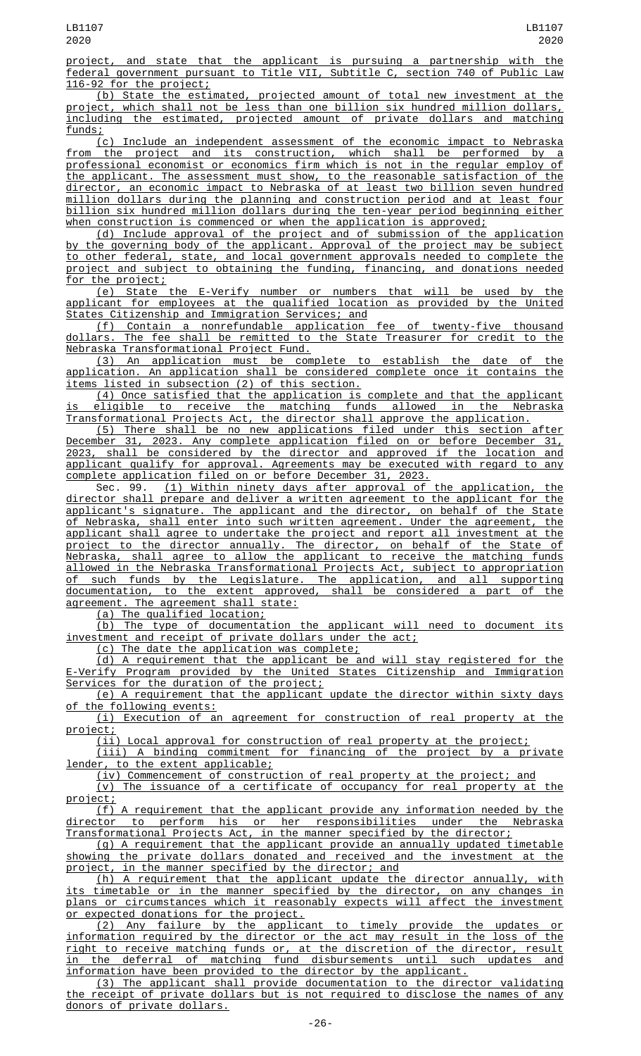project, and state that the applicant is pursuing a partnership with the federal government pursuant to Title VII, Subtitle C, section 740 of Public Law 116-92 for the project;

(b) State the estimated, projected amount of total new investment at the project, which shall not be less than one billion six hundred million dollars, including the estimated, projected amount of private dollars and matching funds;

(c) Include an independent assessment of the economic impact to Nebraska from the project and its construction, which shall be performed by a professional economist or economics firm which is not in the regular employ of the applicant. The assessment must show, to the reasonable satisfaction of the director, an economic impact to Nebraska of at least two billion seven hundred million dollars during the planning and construction period and at least four billion six hundred million dollars during the ten-year period beginning either when construction is commenced or when the application is approved;

(d) Include approval of the project and of submission of the application by the governing body of the applicant. Approval of the project may be subject to other federal, state, and local government approvals needed to complete the project and subject to obtaining the funding, financing, and donations needed for the project;

(e) State the E-Verify number or numbers that will be used by the applicant for employees at the qualified location as provided by the United States Citizenship and Immigration Services; and

(f) Contain a nonrefundable application fee of twenty-five thousand<br>dollars. The fee shall be remitted to the State Treasurer for credit to the The fee shall be remitted to the State Treasurer for credit to the Nebraska Transformational Project Fund.

(3) An application must be complete to establish the date of the application. An application shall be considered complete once it contains the items listed in subsection (2) of this section.

(4) Once satisfied that the application is complete and that the applicant is eligible to receive the matching funds allowed in the Nebraska Transformational Projects Act, the director shall approve the application.

(5) There shall be no new applications filed under this section after December 31, 2023. Any complete application filed on or before December 31, 2023, shall be considered by the director and approved if the location and applicant qualify for approval. Agreements may be executed with regard to any complete application filed on or before December 31, 2023.

Sec. 99. <u>(1) Within ninety days after approval of the application, the</u> director shall prepare and deliver a written agreement to the applicant for the applicant's signature. The applicant and the director, on behalf of the State of Nebraska, shall enter into such written agreement. Under the agreement, the applicant shall agree to undertake the project and report all investment at the project to the director annually. The director, on behalf of the State of Nebraska, shall agree to allow the applicant to receive the matching funds allowed in the Nebraska Transformational Projects Act, subject to appropriation of such funds by the Legislature. The application, and all supporting documentation, to the extent approved, shall be considered a part of the agreement. The agreement shall state:

(a) The qualified location;

(b) The type of documentation the applicant will need to document its investment and receipt of private dollars under the act;

(c) The date the application was complete;

(d) A requirement that the applicant be and will stay registered for the E-Verify Program provided by the United States Citizenship and Immigration Services for the duration of the project;

(e) A requirement that the applicant update the director within sixty days of the following events:

(i) Execution of an agreement for construction of real property at the project;<br><u>(ii</u>)

Local approval for construction of real property at the project;

(iii) A binding commitment for financing of the project by a private lender, to the extent applicable;

(iv) Commencement of construction of real property at the project; and

(v) The issuance of a certificate of occupancy for real property at the project;

(f) A requirement that the applicant provide any information needed by the director to perform his or her responsibilities under the Nebraska Transformational Projects Act, in the manner specified by the director;

(g) A requirement that the applicant provide an annually updated timetable showing the private dollars donated and received and the investment at the project, in the manner specified by the director; and

(h) A requirement that the applicant update the director annually, with its timetable or in the manner specified by the director, on any changes in plans or circumstances which it reasonably expects will affect the investment or expected donations for the project.

(2) Any failure by the applicant to timely provide the updates or information required by the director or the act may result in the loss of the right to receive matching funds or, at the discretion of the director, result in the deferral of matching fund disbursements until such updates and information have been provided to the director by the applicant.

(3) The applicant shall provide documentation to the director validating the receipt of private dollars but is not required to disclose the names of any donors of private dollars.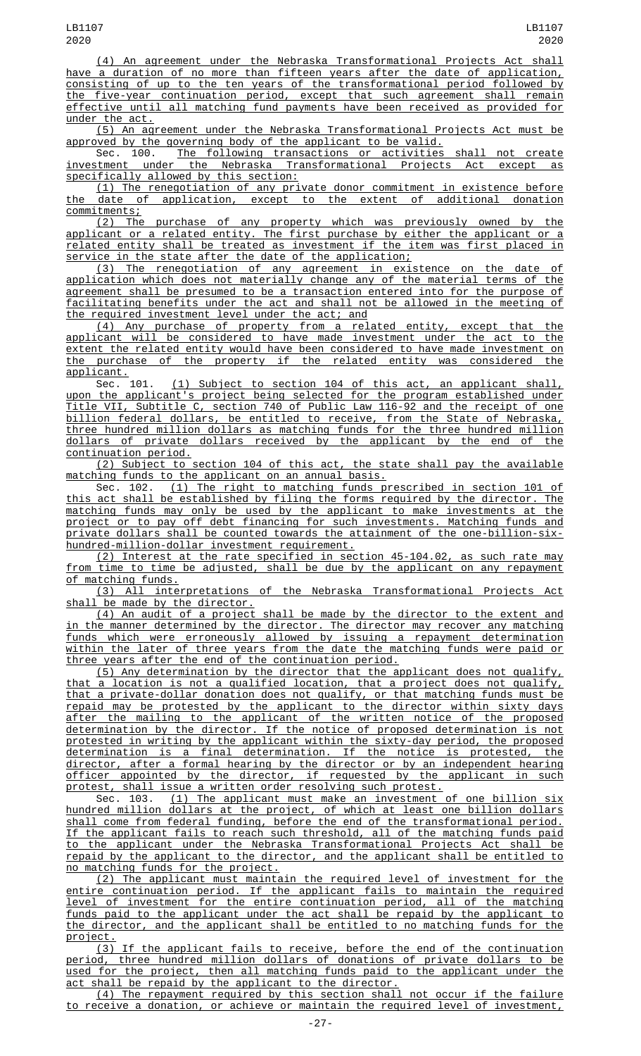(4) An agreement under the Nebraska Transformational Projects Act shall have a duration of no more than fifteen years after the date of application, consisting of up to the ten years of the transformational period followed by the five-year continuation period, except that such agreement shall remain effective until all matching fund payments have been received as provided for under the act.

(5) An agreement under the Nebraska Transformational Projects Act must be approved by the governing body of the applicant to be valid.

Sec. 100. The following transactions or activities shall not create investment under the Nebraska Transformational Projects Act except as specifically allowed by this section:

(1) The renegotiation of any private donor commitment in existence before the date of application, except to the extent of additional donation commitments;

(2) The purchase of any property which was previously owned by the applicant or a related entity. The first purchase by either the applicant or a related entity shall be treated as investment if the item was first placed in service in the state after the date of the application;

(3) The renegotiation of any agreement in existence on the date of application which does not materially change any of the material terms of the agreement shall be presumed to be a transaction entered into for the purpose of facilitating benefits under the act and shall not be allowed in the meeting of the required investment level under the act; and

(4) Any purchase of property from a related entity, except that the applicant will be considered to have made investment under the act to the extent the related entity would have been considered to have made investment on the purchase of the property if the related entity was considered the applicant.

Sec. 101. (1) Subject to section 104 of this act, an applicant shall, upon the applicant's project being selected for the program established under Title VII, Subtitle C, section 740 of Public Law 116-92 and the receipt of one billion federal dollars, be entitled to receive, from the State of Nebraska, three hundred million dollars as matching funds for the three hundred million dollars of private dollars received by the applicant by the end of the continuation period.

(2) Subject to section 104 of this act, the state shall pay the available matching funds to the applicant on an annual basis.

Sec. 102. (1) The right to matching funds prescribed in section 101 of this act shall be established by filing the forms required by the director. The matching funds may only be used by the applicant to make investments at the project or to pay off debt financing for such investments. Matching funds and private dollars shall be counted towards the attainment of the one-billion-sixhundred-million-dollar investment requirement.

(2) Interest at the rate specified in section 45-104.02, as such rate may from time to time be adjusted, shall be due by the applicant on any repayment of matching funds.

(3) All interpretations of the Nebraska Transformational Projects Act shall be made by the director.

(4) An audit of a project shall be made by the director to the extent and in the manner determined by the director. The director may recover any matching funds which were erroneously allowed by issuing a repayment determination within the later of three years from the date the matching funds were paid or three years after the end of the continuation period.

(5) Any determination by the director that the applicant does not qualify, that a location is not a qualified location, that a project does not qualify, that a private-dollar donation does not qualify, or that matching funds must be repaid may be protested by the applicant to the director within sixty days<br>after the mailing to the applicant of the written notice of the proposed the mailing to the applicant of the written notice of the proposed determination by the director. If the notice of proposed determination is not protested in writing by the applicant within the sixty-day period, the proposed determination is a final determination. If the notice is protested, the director, after a formal hearing by the director or by an independent hearing officer appointed by the director, if requested by the applicant in such protest, shall issue a written order resolving such protest.

Sec. 103. <u>(1) The applicant must make an investment of one billion six</u> hundred million dollars at the project, of which at least one billion dollars shall come from federal funding, before the end of the transformational period. If the applicant fails to reach such threshold, all of the matching funds paid to the applicant under the Nebraska Transformational Projects Act shall be repaid by the applicant to the director, and the applicant shall be entitled to no matching funds for the project.

(2) The applicant must maintain the required level of investment for the entire continuation period. If the applicant fails to maintain the required level of investment for the entire continuation period, all of the matching funds paid to the applicant under the act shall be repaid by the applicant to the director, and the applicant shall be entitled to no matching funds for the project.

(3) If the applicant fails to receive, before the end of the continuation period, three hundred million dollars of donations of private dollars to be used for the project, then all matching funds paid to the applicant under the act shall be repaid by the applicant to the director.

(4) The repayment required by this section shall not occur if the failure to receive a donation, or achieve or maintain the required level of investment,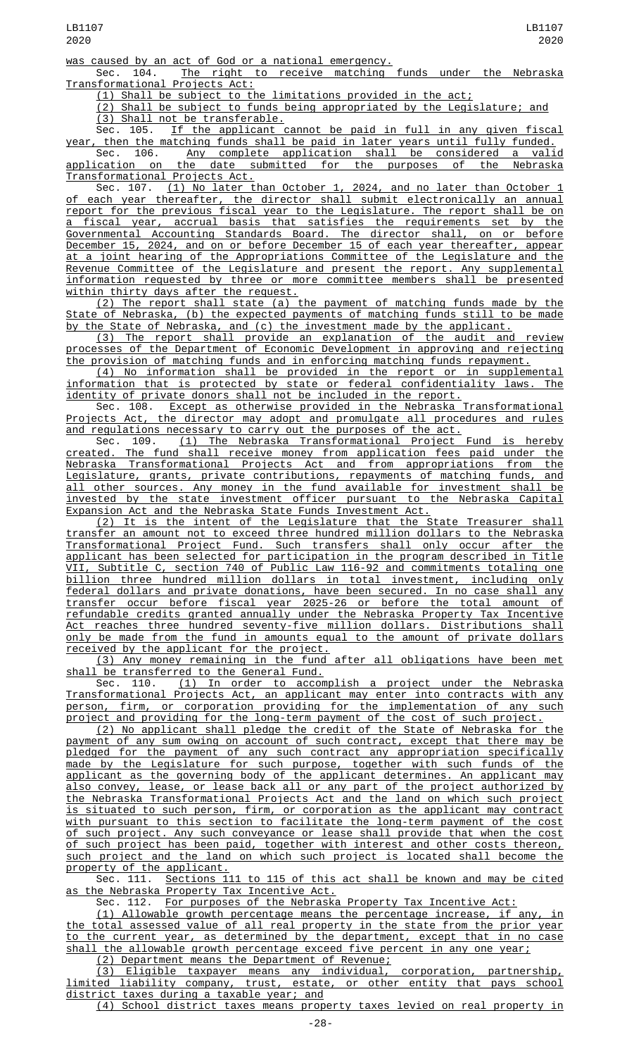Sec. 104. The right to receive matching funds under the Nebraska Transformational Projects Act:

(1) Shall be subject to the limitations provided in the act;

(2) Shall be subject to funds being appropriated by the Legislature; and (3) Shall not be transferable.

Sec. 105. If the applicant cannot be paid in full in any given fiscal year, then the matching funds shall be paid in later years until fully funded.

Sec. 106. <u>Any complete application shall be considered a valid</u> application on the date submitted for the purposes of the Nebraska Transformational Projects Act.

Sec. 107. <u>(1) No later than October 1, 2024, and no later than October 1</u> of each year thereafter, the director shall submit electronically an annual report for the previous fiscal year to the Legislature. The report shall be on a fiscal year, accrual basis that satisfies the requirements set by the Governmental Accounting Standards Board. The director shall, on or before December 15, 2024, and on or before December 15 of each year thereafter, appear at a joint hearing of the Appropriations Committee of the Legislature and the Revenue Committee of the Legislature and present the report. Any supplemental information requested by three or more committee members shall be presented within thirty days after the request.

(2) The report shall state (a) the payment of matching funds made by the State of Nebraska, (b) the expected payments of matching funds still to be made by the State of Nebraska, and (c) the investment made by the applicant.

(3) The report shall provide an explanation of the audit and review processes of the Department of Economic Development in approving and rejecting the provision of matching funds and in enforcing matching funds repayment.

(4) No information shall be provided in the report or in supplemental information that is protected by state or federal confidentiality laws. The identity of private donors shall not be included in the report.

Sec. 108. Except as otherwise provided in the Nebraska Transformational Projects Act, the director may adopt and promulgate all procedures and rules and regulations necessary to carry out the purposes of the act.

Sec. 109. (1) The Nebraska Transformational Project Fund is hereby created. The fund shall receive money from application fees paid under the<br>Nebraska Transformational Projects Act and from appropriations from the Nebraska Transformational Projects Act and from appropriations from Legislature, grants, private contributions, repayments of matching funds, and all other sources. Any money in the fund available for investment shall be invested by the state investment officer pursuant to the Nebraska Capital Expansion Act and the Nebraska State Funds Investment Act.

(2) It is the intent of the Legislature that the State Treasurer shall transfer an amount not to exceed three hundred million dollars to the Nebraska Transformational Project Fund. Such transfers shall only occur after the applicant has been selected for participation in the program described in Title VII, Subtitle C, section 740 of Public Law 116-92 and commitments totaling one billion three hundred million dollars in total investment, including only federal dollars and private donations, have been secured. In no case shall any transfer occur before fiscal year 2025-26 or before the total amount of refundable credits granted annually under the Nebraska Property Tax Incentive Act reaches three hundred seventy-five million dollars. Distributions shall only be made from the fund in amounts equal to the amount of private dollars received by the applicant for the project.

(3) Any money remaining in the fund after all obligations have been met shall be transferred to the General Fund.

Sec. 110. (1) In order to accomplish a project under the Nebraska Transformational Projects Act, an applicant may enter into contracts with any person, firm, or corporation providing for the implementation of any such project and providing for the long-term payment of the cost of such project.

(2) No applicant shall pledge the credit of the State of Nebraska for the payment of any sum owing on account of such contract, except that there may be pledged for the payment of any such contract any appropriation specifically made by the Legislature for such purpose, together with such funds of the applicant as the governing body of the applicant determines. An applicant may also convey, lease, or lease back all or any part of the project authorized by the Nebraska Transformational Projects Act and the land on which such project is situated to such person, firm, or corporation as the applicant may contract with pursuant to this section to facilitate the long-term payment of the cost of such project. Any such conveyance or lease shall provide that when the cost of such project has been paid, together with interest and other costs thereon, such project and the land on which such project is located shall become the property of the applicant.

Sec. 111. Sections 111 to 115 of this act shall be known and may be cited as the Nebraska Property Tax Incentive Act.

Sec. 112. For purposes of the Nebraska Property Tax Incentive Act:

(1) Allowable growth percentage means the percentage increase, if any, in the total assessed value of all real property in the state from the prior year to the current year, as determined by the department, except that in no case shall the allowable growth percentage exceed five percent in any one year;

(2) Department means the Department of Revenue;

(3) Eligible taxpayer means any individual, corporation, partnership, limited liability company, trust, estate, or other entity that pays school district taxes during a taxable year; and

(4) School district taxes means property taxes levied on real property in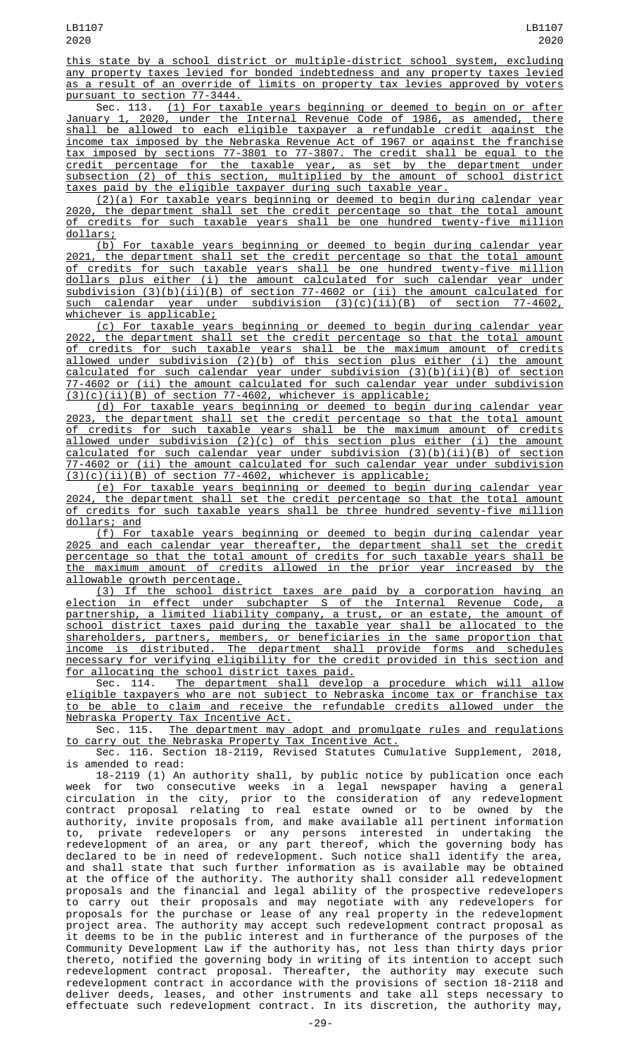this state by a school district or multiple-district school system, excluding any property taxes levied for bonded indebtedness and any property taxes levied as a result of an override of limits on property tax levies approved by voters pursuant to section 77-3444.

Sec. 113. (1) For taxable years beginning or deemed to begin on or after January 1, 2020, under the Internal Revenue Code of 1986, as amended, there shall be allowed to each eligible taxpayer a refundable credit against the income tax imposed by the Nebraska Revenue Act of 1967 or against the franchise tax imposed by sections 77-3801 to 77-3807. The credit shall be equal to the credit percentage for the taxable year, as set by the department under subsection (2) of this section, multiplied by the amount of school district taxes paid by the eligible taxpayer during such taxable year.

(2)(a) For taxable years beginning or deemed to begin during calendar year 2020, the department shall set the credit percentage so that the total amount of credits for such taxable years shall be one hundred twenty-five million dollars;

(b) For taxable years beginning or deemed to begin during calendar year 2021, the department shall set the credit percentage so that the total amount of credits for such taxable years shall be one hundred twenty-five million dollars plus either (i) the amount calculated for such calendar year under subdivision (3)(b)(ii)(B) of section 77-4602 or (ii) the amount calculated for such calendar year under subdivision (3)(c)(ii)(B) of section 77-4602, whichever is applicable;

(c) For taxable years beginning or deemed to begin during calendar year 2022, the department shall set the credit percentage so that the total amount of credits for such taxable years shall be the maximum amount of credits allowed under subdivision  $(2)(b)$  of this section plus either  $(i)$  the amount  $calculated$  for such calendar year under subdivision  $(3)(b)(ii)(B)$  of section 77-4602 or (ii) the amount calculated for such calendar year under subdivision (3)(c)(ii)(B) of section 77-4602, whichever is applicable;

(d) For taxable years beginning or deemed to begin during calendar year 2023, the department shall set the credit percentage so that the total amount of credits for such taxable years shall be the maximum amount of credits allowed under subdivision (2)(c) of this section plus either (i) the amount calculated for such calendar year under subdivision (3)(b)(ii)(B) of section 77-4602 or (ii) the amount calculated for such calendar year under subdivision (3)(c)(ii)(B) of section 77-4602, whichever is applicable;

(e) For taxable years beginning or deemed to begin during calendar year 2024, the department shall set the credit percentage so that the total amount of credits for such taxable years shall be three hundred seventy-five million dollars; and<br>(f) For

taxable years beginning or deemed to begin during calendar year 2025 and each calendar year thereafter, the department shall set the credit percentage so that the total amount of credits for such taxable years shall be the maximum amount of credits allowed in the prior year increased by the allowable growth percentage.

(3) If the school district taxes are paid by a corporation having an election in effect under subchapter S of the Internal Revenue Code, a partnership, a limited liability company, a trust, or an estate, the amount of school district taxes paid during the taxable year shall be allocated to the shareholders, partners, members, or beneficiaries in the same proportion that income is distributed. The department shall provide forms and schedules necessary for verifying eligibility for the credit provided in this section and for allocating the school district taxes paid.

Sec. 114. The department shall develop a procedure which will allow eligible taxpayers who are not subject to Nebraska income tax or franchise tax to be able to claim and receive the refundable credits allowed under the Nebraska Property Tax Incentive Act.

Sec. 115. The department may adopt and promulgate rules and regulations to carry out the Nebraska Property Tax Incentive Act.

Sec. 116. Section 18-2119, Revised Statutes Cumulative Supplement, 2018, is amended to read:

18-2119 (1) An authority shall, by public notice by publication once each week for two consecutive weeks in a legal newspaper having a general circulation in the city, prior to the consideration of any redevelopment contract proposal relating to real estate owned or to be owned by the authority, invite proposals from, and make available all pertinent information to, private redevelopers or any persons interested in undertaking the redevelopment of an area, or any part thereof, which the governing body has declared to be in need of redevelopment. Such notice shall identify the area, and shall state that such further information as is available may be obtained at the office of the authority. The authority shall consider all redevelopment proposals and the financial and legal ability of the prospective redevelopers to carry out their proposals and may negotiate with any redevelopers for proposals for the purchase or lease of any real property in the redevelopment project area. The authority may accept such redevelopment contract proposal as it deems to be in the public interest and in furtherance of the purposes of the Community Development Law if the authority has, not less than thirty days prior thereto, notified the governing body in writing of its intention to accept such redevelopment contract proposal. Thereafter, the authority may execute such redevelopment contract in accordance with the provisions of section 18-2118 and deliver deeds, leases, and other instruments and take all steps necessary to effectuate such redevelopment contract. In its discretion, the authority may,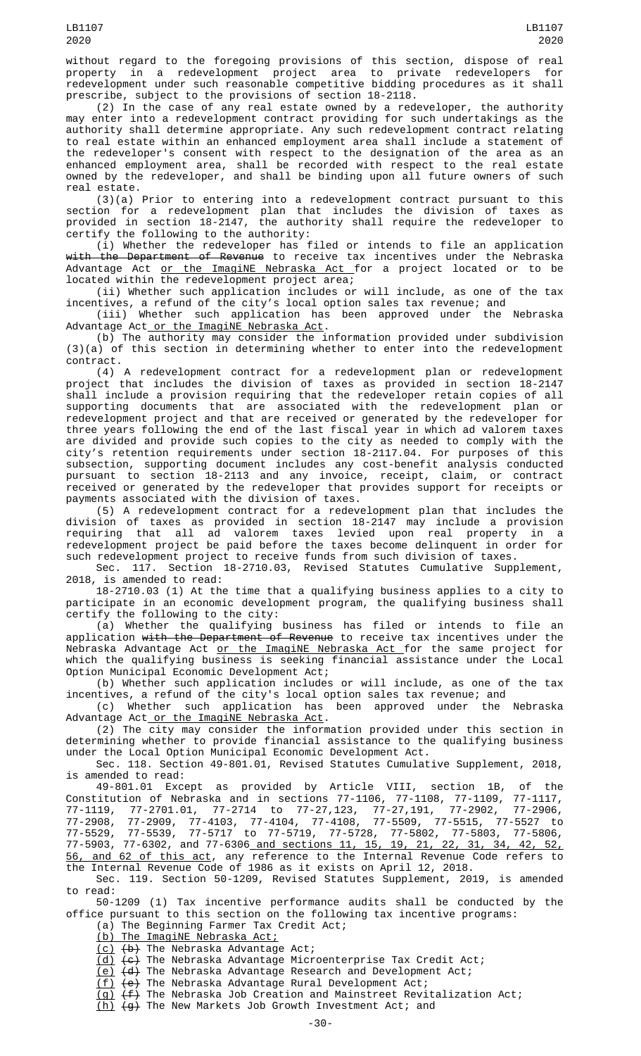without regard to the foregoing provisions of this section, dispose of real property in a redevelopment project area to private redevelopers for redevelopment under such reasonable competitive bidding procedures as it shall prescribe, subject to the provisions of section 18-2118.

(2) In the case of any real estate owned by a redeveloper, the authority may enter into a redevelopment contract providing for such undertakings as the authority shall determine appropriate. Any such redevelopment contract relating to real estate within an enhanced employment area shall include a statement of the redeveloper's consent with respect to the designation of the area as an enhanced employment area, shall be recorded with respect to the real estate owned by the redeveloper, and shall be binding upon all future owners of such real estate.

(3)(a) Prior to entering into a redevelopment contract pursuant to this section for a redevelopment plan that includes the division of taxes as provided in section 18-2147, the authority shall require the redeveloper to certify the following to the authority:

(i) Whether the redeveloper has filed or intends to file an application with the Department of Revenue to receive tax incentives under the Nebraska Advantage Act <u>or the ImagiNE Nebraska Act </u>for a project located or to be located within the redevelopment project area;

(ii) Whether such application includes or will include, as one of the tax incentives, a refund of the city's local option sales tax revenue; and

(iii) Whether such application has been approved under the Nebraska Advantage Act or the ImagiNE Nebraska Act.

(b) The authority may consider the information provided under subdivision (3)(a) of this section in determining whether to enter into the redevelopment contract.

(4) A redevelopment contract for a redevelopment plan or redevelopment project that includes the division of taxes as provided in section 18-2147 shall include a provision requiring that the redeveloper retain copies of all supporting documents that are associated with the redevelopment plan or redevelopment project and that are received or generated by the redeveloper for three years following the end of the last fiscal year in which ad valorem taxes are divided and provide such copies to the city as needed to comply with the city's retention requirements under section 18-2117.04. For purposes of this subsection, supporting document includes any cost-benefit analysis conducted pursuant to section 18-2113 and any invoice, receipt, claim, or contract received or generated by the redeveloper that provides support for receipts or payments associated with the division of taxes.

(5) A redevelopment contract for a redevelopment plan that includes the division of taxes as provided in section 18-2147 may include a provision requiring that all ad valorem taxes levied upon real property in a redevelopment project be paid before the taxes become delinquent in order for such redevelopment project to receive funds from such division of taxes.

Sec. 117. Section 18-2710.03, Revised Statutes Cumulative Supplement, 2018, is amended to read:

18-2710.03 (1) At the time that a qualifying business applies to a city to participate in an economic development program, the qualifying business shall certify the following to the city:

(a) Whether the qualifying business has filed or intends to file an application <del>with the Department of Revenue</del> to receive tax incentives under the Nebraska Advantage Act or the ImagiNE Nebraska Act for the same project for which the qualifying business is seeking financial assistance under the Local Option Municipal Economic Development Act;

(b) Whether such application includes or will include, as one of the tax incentives, a refund of the city's local option sales tax revenue; and

(c) Whether such application has been approved under the Nebraska Advantage Act or the ImagiNE Nebraska Act.

(2) The city may consider the information provided under this section in determining whether to provide financial assistance to the qualifying business under the Local Option Municipal Economic Development Act.

Sec. 118. Section 49-801.01, Revised Statutes Cumulative Supplement, 2018, is amended to read:<br>49-801.01 Except as provided by Article VIII, section 1B,

49-801.01 Except as provided by Article VIII, section 1B, of the Constitution of Nebraska and in sections 77-1106, 77-1108, 77-1109, 77-1117, 77-1119, 77-2701.01, 77-2714 to 77-27,123, 77-27,191, 77-2902, 77-2906, 77-2908, 77-2909, 77-4103, 77-4104, 77-4108, 77-5509, 77-5515, 77-5527 to 77-5529, 77-5539, 77-5717 to 77-5719, 77-5728, 77-5802, 77-5803, 77-5806, 77-5903, 77-6302, and 77-6306 and sections 11, 15, 19, 21, 22, 31, 34, 42, 52, 56, and 62 of this act, any reference to the Internal Revenue Code refers to

the Internal Revenue Code of 1986 as it exists on April 12, 2018.

Sec. 119. Section 50-1209, Revised Statutes Supplement, 2019, is amended to read:

50-1209 (1) Tax incentive performance audits shall be conducted by the office pursuant to this section on the following tax incentive programs:

(a) The Beginning Farmer Tax Credit Act;

(b) The ImagiNE Nebraska Act;

 $(c)$   $(b)$  The Nebraska Advantage Act;

(d) (c) The Nebraska Advantage Microenterprise Tax Credit Act;

<u>(e)</u> <del>(d)</del> The Nebraska Advantage Research and Development Act;

(f) (e) The Nebraska Advantage Rural Development Act;

 $\overline{(g)}$   $\overline{(f)}$  The Nebraska Job Creation and Mainstreet Revitalization Act;

(h) (g) The New Markets Job Growth Investment Act; and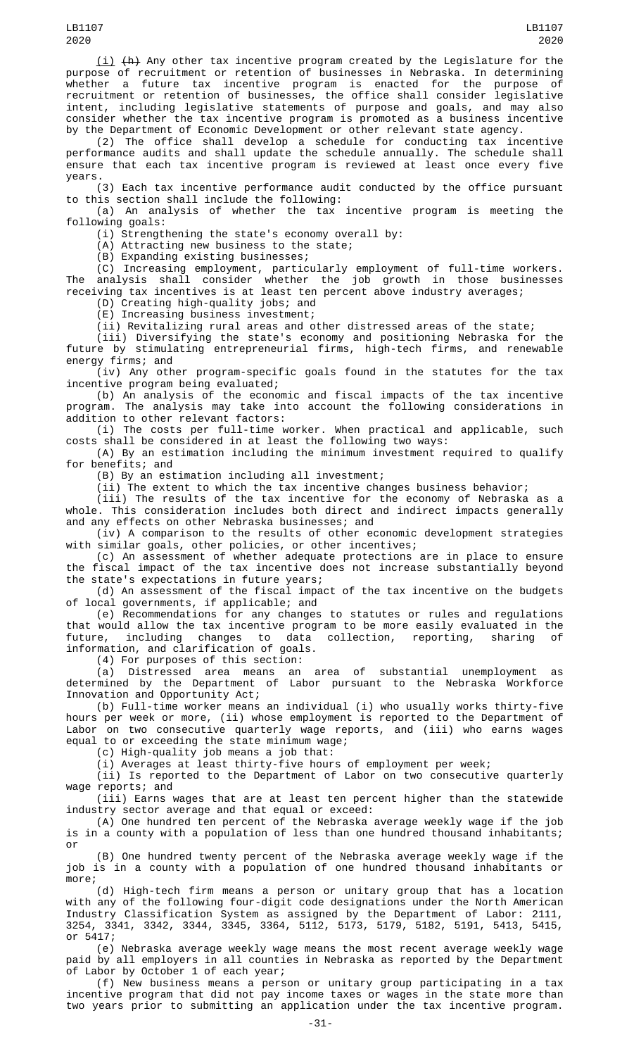(i) (h) Any other tax incentive program created by the Legislature for the purpose of recruitment or retention of businesses in Nebraska. In determining whether a future tax incentive program is enacted for the purpose of recruitment or retention of businesses, the office shall consider legislative intent, including legislative statements of purpose and goals, and may also consider whether the tax incentive program is promoted as a business incentive by the Department of Economic Development or other relevant state agency.

(2) The office shall develop a schedule for conducting tax incentive performance audits and shall update the schedule annually. The schedule shall ensure that each tax incentive program is reviewed at least once every five years.

(3) Each tax incentive performance audit conducted by the office pursuant to this section shall include the following:

(a) An analysis of whether the tax incentive program is meeting the following goals:

(i) Strengthening the state's economy overall by:

(A) Attracting new business to the state;

(B) Expanding existing businesses;

(C) Increasing employment, particularly employment of full-time workers. The analysis shall consider whether the job growth in those businesses receiving tax incentives is at least ten percent above industry averages;

(D) Creating high-quality jobs; and

(E) Increasing business investment;

(ii) Revitalizing rural areas and other distressed areas of the state;

(iii) Diversifying the state's economy and positioning Nebraska for the future by stimulating entrepreneurial firms, high-tech firms, and renewable energy firms; and

(iv) Any other program-specific goals found in the statutes for the tax incentive program being evaluated;

(b) An analysis of the economic and fiscal impacts of the tax incentive program. The analysis may take into account the following considerations in addition to other relevant factors:

(i) The costs per full-time worker. When practical and applicable, such costs shall be considered in at least the following two ways:

(A) By an estimation including the minimum investment required to qualify for benefits; and

(B) By an estimation including all investment;

(ii) The extent to which the tax incentive changes business behavior;

(iii) The results of the tax incentive for the economy of Nebraska as a whole. This consideration includes both direct and indirect impacts generally and any effects on other Nebraska businesses; and

(iv) A comparison to the results of other economic development strategies with similar goals, other policies, or other incentives;

(c) An assessment of whether adequate protections are in place to ensure the fiscal impact of the tax incentive does not increase substantially beyond the state's expectations in future years;

(d) An assessment of the fiscal impact of the tax incentive on the budgets of local governments, if applicable; and

(e) Recommendations for any changes to statutes or rules and regulations that would allow the tax incentive program to be more easily evaluated in the future, including changes to data collection, reporting, sharing information, and clarification of goals.

(4) For purposes of this section:

(a) Distressed area means an area of substantial unemployment as determined by the Department of Labor pursuant to the Nebraska Workforce Innovation and Opportunity Act;

(b) Full-time worker means an individual (i) who usually works thirty-five hours per week or more, (ii) whose employment is reported to the Department of Labor on two consecutive quarterly wage reports, and (iii) who earns wages equal to or exceeding the state minimum wage;

(c) High-quality job means a job that:

(i) Averages at least thirty-five hours of employment per week;

(ii) Is reported to the Department of Labor on two consecutive quarterly wage reports; and

(iii) Earns wages that are at least ten percent higher than the statewide industry sector average and that equal or exceed:

(A) One hundred ten percent of the Nebraska average weekly wage if the job is in a county with a population of less than one hundred thousand inhabitants; or

(B) One hundred twenty percent of the Nebraska average weekly wage if the job is in a county with a population of one hundred thousand inhabitants or more;

(d) High-tech firm means a person or unitary group that has a location with any of the following four-digit code designations under the North American Industry Classification System as assigned by the Department of Labor: 2111, 3254, 3341, 3342, 3344, 3345, 3364, 5112, 5173, 5179, 5182, 5191, 5413, 5415, or 5417;

(e) Nebraska average weekly wage means the most recent average weekly wage paid by all employers in all counties in Nebraska as reported by the Department of Labor by October 1 of each year;

(f) New business means a person or unitary group participating in a tax incentive program that did not pay income taxes or wages in the state more than two years prior to submitting an application under the tax incentive program.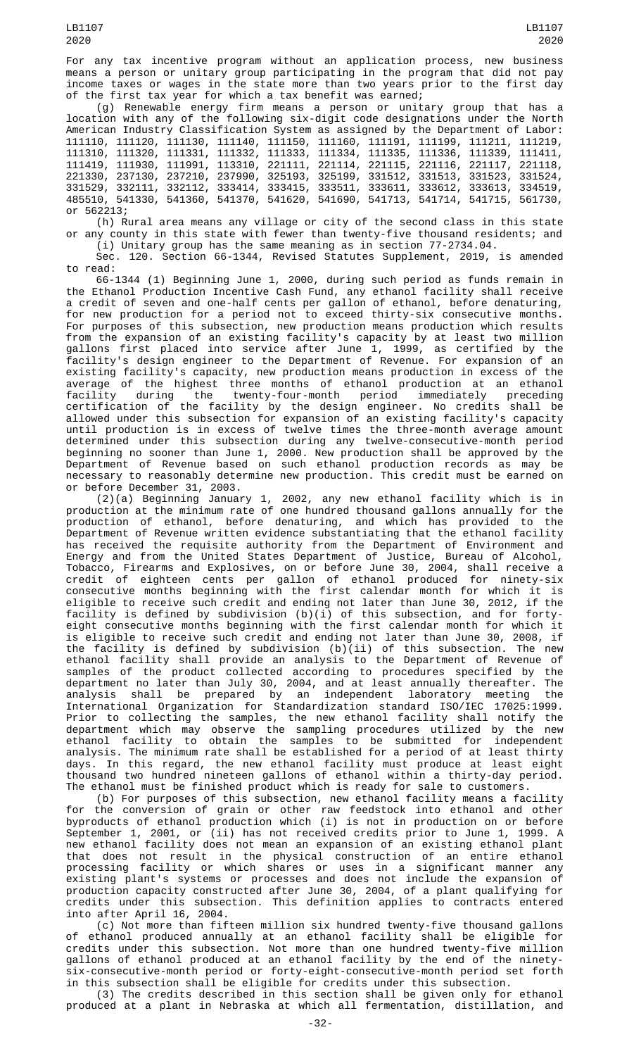For any tax incentive program without an application process, new business means a person or unitary group participating in the program that did not pay income taxes or wages in the state more than two years prior to the first day of the first tax year for which a tax benefit was earned;

(g) Renewable energy firm means a person or unitary group that has a location with any of the following six-digit code designations under the North American Industry Classification System as assigned by the Department of Labor: 111110, 111120, 111130, 111140, 111150, 111160, 111191, 111199, 111211, 111219, 111310, 111320, 111331, 111332, 111333, 111334, 111335, 111336, 111339, 111411, 111419, 111930, 111991, 113310, 221111, 221114, 221115, 221116, 221117, 221118, 221330, 237130, 237210, 237990, 325193, 325199, 331512, 331513, 331523, 331524, 331529, 332111, 332112, 333414, 333415, 333511, 333611, 333612, 333613, 334519, 485510, 541330, 541360, 541370, 541620, 541690, 541713, 541714, 541715, 561730, or 562213;

(h) Rural area means any village or city of the second class in this state or any county in this state with fewer than twenty-five thousand residents; and (i) Unitary group has the same meaning as in section 77-2734.04.

Sec. 120. Section 66-1344, Revised Statutes Supplement, 2019, is amended to read:

66-1344 (1) Beginning June 1, 2000, during such period as funds remain in the Ethanol Production Incentive Cash Fund, any ethanol facility shall receive a credit of seven and one-half cents per gallon of ethanol, before denaturing, for new production for a period not to exceed thirty-six consecutive months. For purposes of this subsection, new production means production which results from the expansion of an existing facility's capacity by at least two million gallons first placed into service after June 1, 1999, as certified by the facility's design engineer to the Department of Revenue. For expansion of an existing facility's capacity, new production means production in excess of the average of the highest three months of ethanol production at an ethanol facility during the twenty-four-month period immediately preceding certification of the facility by the design engineer. No credits shall be allowed under this subsection for expansion of an existing facility's capacity until production is in excess of twelve times the three-month average amount determined under this subsection during any twelve-consecutive-month period beginning no sooner than June 1, 2000. New production shall be approved by the Department of Revenue based on such ethanol production records as may be necessary to reasonably determine new production. This credit must be earned on or before December 31, 2003.

(2)(a) Beginning January 1, 2002, any new ethanol facility which is in production at the minimum rate of one hundred thousand gallons annually for the production of ethanol, before denaturing, and which has provided to the Department of Revenue written evidence substantiating that the ethanol facility has received the requisite authority from the Department of Environment and Energy and from the United States Department of Justice, Bureau of Alcohol, Tobacco, Firearms and Explosives, on or before June 30, 2004, shall receive a credit of eighteen cents per gallon of ethanol produced for ninety-six consecutive months beginning with the first calendar month for which it is eligible to receive such credit and ending not later than June 30, 2012, if the facility is defined by subdivision (b)(i) of this subsection, and for fortyeight consecutive months beginning with the first calendar month for which it is eligible to receive such credit and ending not later than June 30, 2008, if the facility is defined by subdivision (b)(ii) of this subsection. The new ethanol facility shall provide an analysis to the Department of Revenue of samples of the product collected according to procedures specified by the department no later than July 30, 2004, and at least annually thereafter. The analysis shall be prepared by an independent laboratory meeting the International Organization for Standardization standard ISO/IEC 17025:1999. Prior to collecting the samples, the new ethanol facility shall notify the department which may observe the sampling procedures utilized by the new ethanol facility to obtain the samples to be submitted for independent analysis. The minimum rate shall be established for a period of at least thirty days. In this regard, the new ethanol facility must produce at least eight thousand two hundred nineteen gallons of ethanol within a thirty-day period. The ethanol must be finished product which is ready for sale to customers.

(b) For purposes of this subsection, new ethanol facility means a facility for the conversion of grain or other raw feedstock into ethanol and other byproducts of ethanol production which (i) is not in production on or before September 1, 2001, or (ii) has not received credits prior to June 1, 1999. A new ethanol facility does not mean an expansion of an existing ethanol plant that does not result in the physical construction of an entire ethanol processing facility or which shares or uses in a significant manner any existing plant's systems or processes and does not include the expansion of production capacity constructed after June 30, 2004, of a plant qualifying for credits under this subsection. This definition applies to contracts entered into after April 16, 2004.

(c) Not more than fifteen million six hundred twenty-five thousand gallons of ethanol produced annually at an ethanol facility shall be eligible for credits under this subsection. Not more than one hundred twenty-five million gallons of ethanol produced at an ethanol facility by the end of the ninetysix-consecutive-month period or forty-eight-consecutive-month period set forth in this subsection shall be eligible for credits under this subsection.

(3) The credits described in this section shall be given only for ethanol produced at a plant in Nebraska at which all fermentation, distillation, and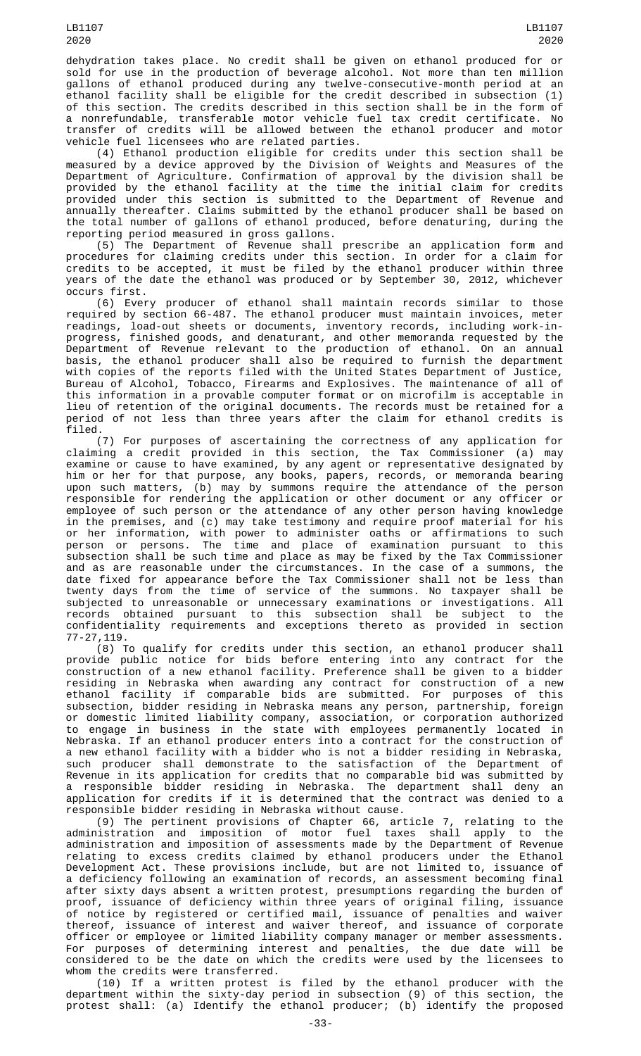dehydration takes place. No credit shall be given on ethanol produced for or sold for use in the production of beverage alcohol. Not more than ten million gallons of ethanol produced during any twelve-consecutive-month period at an ethanol facility shall be eligible for the credit described in subsection (1) of this section. The credits described in this section shall be in the form of a nonrefundable, transferable motor vehicle fuel tax credit certificate. No transfer of credits will be allowed between the ethanol producer and motor vehicle fuel licensees who are related parties.

(4) Ethanol production eligible for credits under this section shall be measured by a device approved by the Division of Weights and Measures of the Department of Agriculture. Confirmation of approval by the division shall be provided by the ethanol facility at the time the initial claim for credits provided under this section is submitted to the Department of Revenue and annually thereafter. Claims submitted by the ethanol producer shall be based on the total number of gallons of ethanol produced, before denaturing, during the reporting period measured in gross gallons.

(5) The Department of Revenue shall prescribe an application form and procedures for claiming credits under this section. In order for a claim for credits to be accepted, it must be filed by the ethanol producer within three years of the date the ethanol was produced or by September 30, 2012, whichever occurs first.

(6) Every producer of ethanol shall maintain records similar to those required by section 66-487. The ethanol producer must maintain invoices, meter readings, load-out sheets or documents, inventory records, including work-inprogress, finished goods, and denaturant, and other memoranda requested by the Department of Revenue relevant to the production of ethanol. On an annual basis, the ethanol producer shall also be required to furnish the department with copies of the reports filed with the United States Department of Justice, Bureau of Alcohol, Tobacco, Firearms and Explosives. The maintenance of all of this information in a provable computer format or on microfilm is acceptable in lieu of retention of the original documents. The records must be retained for a period of not less than three years after the claim for ethanol credits is filed.

(7) For purposes of ascertaining the correctness of any application for claiming a credit provided in this section, the Tax Commissioner (a) may examine or cause to have examined, by any agent or representative designated by him or her for that purpose, any books, papers, records, or memoranda bearing upon such matters, (b) may by summons require the attendance of the person responsible for rendering the application or other document or any officer or employee of such person or the attendance of any other person having knowledge in the premises, and (c) may take testimony and require proof material for his or her information, with power to administer oaths or affirmations to such person or persons. The time and place of examination pursuant to this subsection shall be such time and place as may be fixed by the Tax Commissioner and as are reasonable under the circumstances. In the case of a summons, the date fixed for appearance before the Tax Commissioner shall not be less than twenty days from the time of service of the summons. No taxpayer shall be subjected to unreasonable or unnecessary examinations or investigations. All records obtained pursuant to this subsection shall be subject to the confidentiality requirements and exceptions thereto as provided in section 77-27,119.

(8) To qualify for credits under this section, an ethanol producer shall provide public notice for bids before entering into any contract for the construction of a new ethanol facility. Preference shall be given to a bidder residing in Nebraska when awarding any contract for construction of a new ethanol facility if comparable bids are submitted. For purposes of this subsection, bidder residing in Nebraska means any person, partnership, foreign or domestic limited liability company, association, or corporation authorized to engage in business in the state with employees permanently located in Nebraska. If an ethanol producer enters into a contract for the construction of a new ethanol facility with a bidder who is not a bidder residing in Nebraska, such producer shall demonstrate to the satisfaction of the Department of Revenue in its application for credits that no comparable bid was submitted by a responsible bidder residing in Nebraska. The department shall deny an application for credits if it is determined that the contract was denied to a responsible bidder residing in Nebraska without cause.

(9) The pertinent provisions of Chapter 66, article 7, relating to the administration and imposition of motor fuel taxes shall apply to the administration and imposition of assessments made by the Department of Revenue relating to excess credits claimed by ethanol producers under the Ethanol Development Act. These provisions include, but are not limited to, issuance of a deficiency following an examination of records, an assessment becoming final after sixty days absent a written protest, presumptions regarding the burden of proof, issuance of deficiency within three years of original filing, issuance of notice by registered or certified mail, issuance of penalties and waiver thereof, issuance of interest and waiver thereof, and issuance of corporate officer or employee or limited liability company manager or member assessments. For purposes of determining interest and penalties, the due date will be considered to be the date on which the credits were used by the licensees to whom the credits were transferred.

(10) If a written protest is filed by the ethanol producer with the department within the sixty-day period in subsection (9) of this section, the protest shall: (a) Identify the ethanol producer; (b) identify the proposed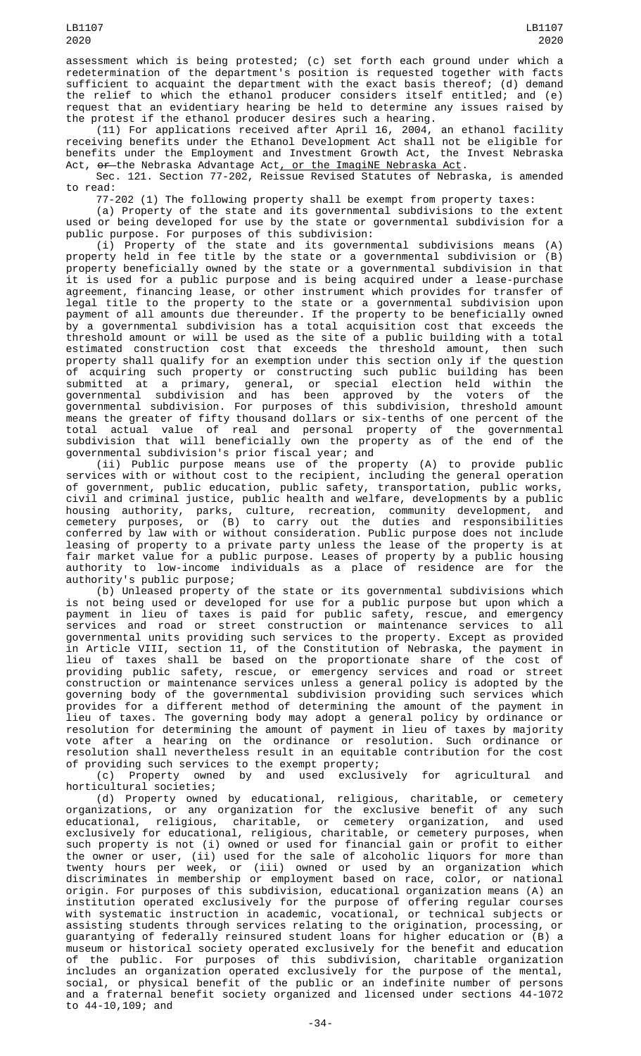assessment which is being protested; (c) set forth each ground under which a redetermination of the department's position is requested together with facts sufficient to acquaint the department with the exact basis thereof; (d) demand the relief to which the ethanol producer considers itself entitled; and (e) request that an evidentiary hearing be held to determine any issues raised by the protest if the ethanol producer desires such a hearing.

(11) For applications received after April 16, 2004, an ethanol facility receiving benefits under the Ethanol Development Act shall not be eligible for benefits under the Employment and Investment Growth Act, the Invest Nebraska Act, or the Nebraska Advantage Act, or the ImagiNE Nebraska Act.

Sec. 121. Section 77-202, Reissue Revised Statutes of Nebraska, is amended to read:

77-202 (1) The following property shall be exempt from property taxes:

(a) Property of the state and its governmental subdivisions to the extent used or being developed for use by the state or governmental subdivision for a public purpose. For purposes of this subdivision:

(i) Property of the state and its governmental subdivisions means (A) property held in fee title by the state or a governmental subdivision or (B) property beneficially owned by the state or a governmental subdivision in that it is used for a public purpose and is being acquired under a lease-purchase agreement, financing lease, or other instrument which provides for transfer of legal title to the property to the state or a governmental subdivision upon payment of all amounts due thereunder. If the property to be beneficially owned by a governmental subdivision has a total acquisition cost that exceeds the threshold amount or will be used as the site of a public building with a total estimated construction cost that exceeds the threshold amount, then such property shall qualify for an exemption under this section only if the question of acquiring such property or constructing such public building has been submitted at a primary, general, or special election held within the governmental subdivision and has been approved by the voters of the governmental subdivision. For purposes of this subdivision, threshold amount means the greater of fifty thousand dollars or six-tenths of one percent of the total actual value of real and personal property of the governmental subdivision that will beneficially own the property as of the end of the governmental subdivision's prior fiscal year; and

(ii) Public purpose means use of the property (A) to provide public services with or without cost to the recipient, including the general operation of government, public education, public safety, transportation, public works, civil and criminal justice, public health and welfare, developments by a public housing authority, parks, culture, recreation, community development, and cemetery purposes, or (B) to carry out the duties and responsibilities conferred by law with or without consideration. Public purpose does not include leasing of property to a private party unless the lease of the property is at fair market value for a public purpose. Leases of property by a public housing authority to low-income individuals as a place of residence are for the authority's public purpose;

(b) Unleased property of the state or its governmental subdivisions which is not being used or developed for use for a public purpose but upon which a payment in lieu of taxes is paid for public safety, rescue, and emergency services and road or street construction or maintenance services to all governmental units providing such services to the property. Except as provided in Article VIII, section 11, of the Constitution of Nebraska, the payment in lieu of taxes shall be based on the proportionate share of the cost of providing public safety, rescue, or emergency services and road or street construction or maintenance services unless a general policy is adopted by the governing body of the governmental subdivision providing such services which provides for a different method of determining the amount of the payment in lieu of taxes. The governing body may adopt a general policy by ordinance or resolution for determining the amount of payment in lieu of taxes by majority vote after a hearing on the ordinance or resolution. Such ordinance or resolution shall nevertheless result in an equitable contribution for the cost of providing such services to the exempt property;

(c) Property owned by and used exclusively for agricultural and horticultural societies;

(d) Property owned by educational, religious, charitable, or cemetery organizations, or any organization for the exclusive benefit of any such educational, religious, charitable, or cemetery organization, and used exclusively for educational, religious, charitable, or cemetery purposes, when such property is not (i) owned or used for financial gain or profit to either the owner or user, (ii) used for the sale of alcoholic liquors for more than twenty hours per week, or (iii) owned or used by an organization which discriminates in membership or employment based on race, color, or national origin. For purposes of this subdivision, educational organization means (A) an institution operated exclusively for the purpose of offering regular courses with systematic instruction in academic, vocational, or technical subjects or assisting students through services relating to the origination, processing, or guarantying of federally reinsured student loans for higher education or (B) a museum or historical society operated exclusively for the benefit and education of the public. For purposes of this subdivision, charitable organization includes an organization operated exclusively for the purpose of the mental, social, or physical benefit of the public or an indefinite number of persons and a fraternal benefit society organized and licensed under sections 44-1072 to 44-10,109; and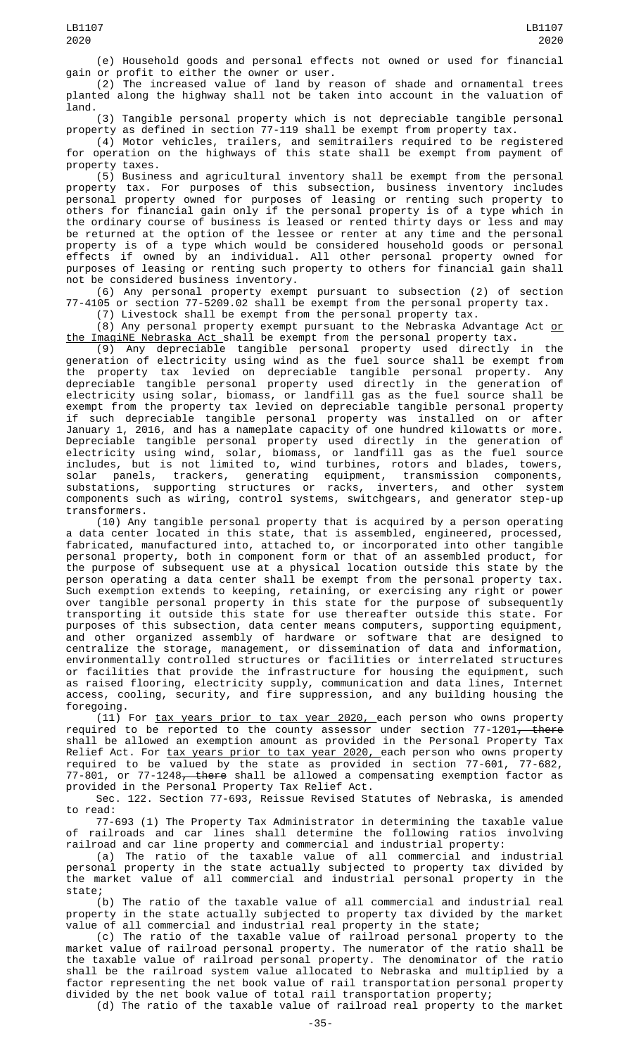(e) Household goods and personal effects not owned or used for financial gain or profit to either the owner or user.

(2) The increased value of land by reason of shade and ornamental trees planted along the highway shall not be taken into account in the valuation of land.

(3) Tangible personal property which is not depreciable tangible personal property as defined in section 77-119 shall be exempt from property tax.

(4) Motor vehicles, trailers, and semitrailers required to be registered for operation on the highways of this state shall be exempt from payment of property taxes.

(5) Business and agricultural inventory shall be exempt from the personal property tax. For purposes of this subsection, business inventory includes personal property owned for purposes of leasing or renting such property to others for financial gain only if the personal property is of a type which in the ordinary course of business is leased or rented thirty days or less and may be returned at the option of the lessee or renter at any time and the personal property is of a type which would be considered household goods or personal effects if owned by an individual. All other personal property owned for purposes of leasing or renting such property to others for financial gain shall not be considered business inventory.

(6) Any personal property exempt pursuant to subsection (2) of section 77-4105 or section 77-5209.02 shall be exempt from the personal property tax.

(7) Livestock shall be exempt from the personal property tax.

(8) Any personal property exempt pursuant to the Nebraska Advantage Act <u>or</u> the ImagiNE Nebraska Act shall be exempt from the personal property tax.

(9) Any depreciable tangible personal property used directly in the generation of electricity using wind as the fuel source shall be exempt from the property tax levied on depreciable tangible personal property. Any depreciable tangible personal property used directly in the generation of electricity using solar, biomass, or landfill gas as the fuel source shall be exempt from the property tax levied on depreciable tangible personal property if such depreciable tangible personal property was installed on or after January 1, 2016, and has a nameplate capacity of one hundred kilowatts or more. Depreciable tangible personal property used directly in the generation of electricity using wind, solar, biomass, or landfill gas as the fuel source includes, but is not limited to, wind turbines, rotors and blades, towers, solar panels, trackers, generating equipment, transmission components, substations, supporting structures or racks, inverters, and other system components such as wiring, control systems, switchgears, and generator step-up transformers.

(10) Any tangible personal property that is acquired by a person operating a data center located in this state, that is assembled, engineered, processed, fabricated, manufactured into, attached to, or incorporated into other tangible personal property, both in component form or that of an assembled product, for the purpose of subsequent use at a physical location outside this state by the person operating a data center shall be exempt from the personal property tax. Such exemption extends to keeping, retaining, or exercising any right or power over tangible personal property in this state for the purpose of subsequently transporting it outside this state for use thereafter outside this state. For purposes of this subsection, data center means computers, supporting equipment, and other organized assembly of hardware or software that are designed to centralize the storage, management, or dissemination of data and information, environmentally controlled structures or facilities or interrelated structures or facilities that provide the infrastructure for housing the equipment, such as raised flooring, electricity supply, communication and data lines, Internet access, cooling, security, and fire suppression, and any building housing the foregoing.

(11) For tax years prior to tax year 2020, each person who owns property required to be reported to the county assessor under section 77-1201<del>, there</del> shall be allowed an exemption amount as provided in the Personal Property Tax Relief Act. For <u>tax years prior to tax year 2020, </u>each person who owns property required to be valued by the state as provided in section 77-601, 77-682, 77-801, or 77-1248<del>, there</del> shall be allowed a compensating exemption factor as provided in the Personal Property Tax Relief Act.

Sec. 122. Section 77-693, Reissue Revised Statutes of Nebraska, is amended to read:

77-693 (1) The Property Tax Administrator in determining the taxable value of railroads and car lines shall determine the following ratios involving railroad and car line property and commercial and industrial property:

(a) The ratio of the taxable value of all commercial and industrial personal property in the state actually subjected to property tax divided by the market value of all commercial and industrial personal property in the state;

(b) The ratio of the taxable value of all commercial and industrial real property in the state actually subjected to property tax divided by the market value of all commercial and industrial real property in the state;

(c) The ratio of the taxable value of railroad personal property to the market value of railroad personal property. The numerator of the ratio shall be the taxable value of railroad personal property. The denominator of the ratio shall be the railroad system value allocated to Nebraska and multiplied by a factor representing the net book value of rail transportation personal property divided by the net book value of total rail transportation property;

(d) The ratio of the taxable value of railroad real property to the market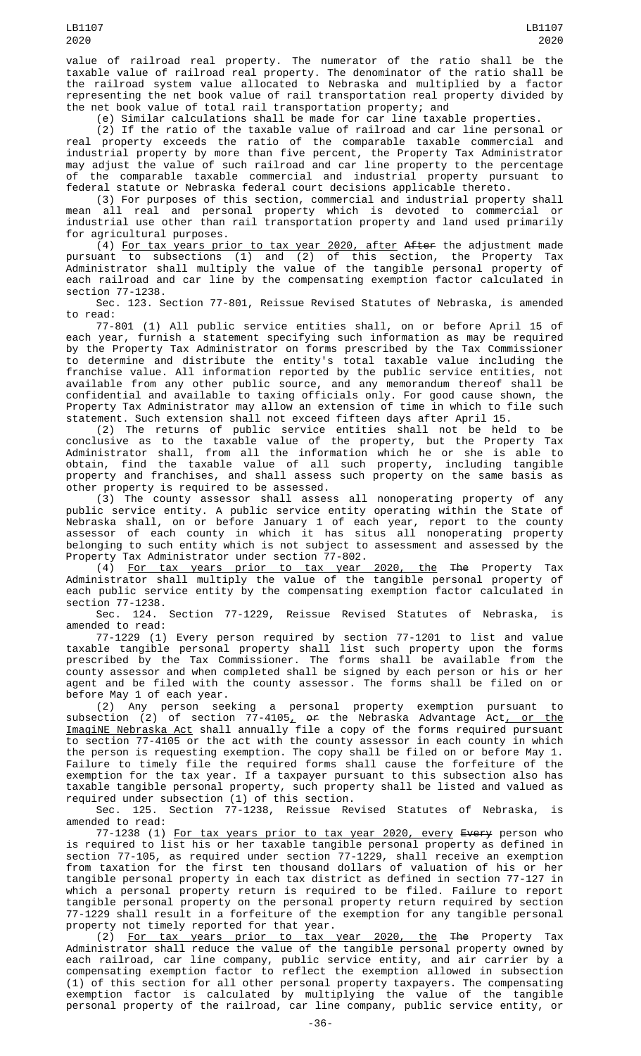value of railroad real property. The numerator of the ratio shall be the taxable value of railroad real property. The denominator of the ratio shall be the railroad system value allocated to Nebraska and multiplied by a factor representing the net book value of rail transportation real property divided by the net book value of total rail transportation property; and

(e) Similar calculations shall be made for car line taxable properties.

(2) If the ratio of the taxable value of railroad and car line personal or real property exceeds the ratio of the comparable taxable commercial and industrial property by more than five percent, the Property Tax Administrator may adjust the value of such railroad and car line property to the percentage of the comparable taxable commercial and industrial property pursuant to federal statute or Nebraska federal court decisions applicable thereto.

(3) For purposes of this section, commercial and industrial property shall mean all real and personal property which is devoted to commercial or industrial use other than rail transportation property and land used primarily for agricultural purposes.

(4) For tax years prior to tax year 2020, after After the adjustment made pursuant to subsections (1) and (2) of this section, the Property Tax Administrator shall multiply the value of the tangible personal property of each railroad and car line by the compensating exemption factor calculated in section 77-1238.

Sec. 123. Section 77-801, Reissue Revised Statutes of Nebraska, is amended to read:

77-801 (1) All public service entities shall, on or before April 15 of each year, furnish a statement specifying such information as may be required by the Property Tax Administrator on forms prescribed by the Tax Commissioner to determine and distribute the entity's total taxable value including the franchise value. All information reported by the public service entities, not available from any other public source, and any memorandum thereof shall be confidential and available to taxing officials only. For good cause shown, the Property Tax Administrator may allow an extension of time in which to file such statement. Such extension shall not exceed fifteen days after April 15.

(2) The returns of public service entities shall not be held to be conclusive as to the taxable value of the property, but the Property Tax Administrator shall, from all the information which he or she is able to obtain, find the taxable value of all such property, including tangible property and franchises, and shall assess such property on the same basis as other property is required to be assessed.

(3) The county assessor shall assess all nonoperating property of any public service entity. A public service entity operating within the State of Nebraska shall, on or before January 1 of each year, report to the county assessor of each county in which it has situs all nonoperating property belonging to such entity which is not subject to assessment and assessed by the Property Tax Administrator under section 77-802.

(4) For tax years prior to tax year 2020, the The Property Tax Administrator shall multiply the value of the tangible personal property of each public service entity by the compensating exemption factor calculated in section 77-1238.

Sec. 124. Section 77-1229, Reissue Revised Statutes of Nebraska, is amended to read:

77-1229 (1) Every person required by section 77-1201 to list and value taxable tangible personal property shall list such property upon the forms prescribed by the Tax Commissioner. The forms shall be available from the county assessor and when completed shall be signed by each person or his or her agent and be filed with the county assessor. The forms shall be filed on or before May 1 of each year.

(2) Any person seeking a personal property exemption pursuant to subsection (2) of section 77-4105<u>,</u> <del>or</del> the Nebraska Advantage Act<u>, or the</u> ImagiNE Nebraska Act shall annually file a copy of the forms required pursuant to section 77-4105 or the act with the county assessor in each county in which the person is requesting exemption. The copy shall be filed on or before May 1. Failure to timely file the required forms shall cause the forfeiture of the exemption for the tax year. If a taxpayer pursuant to this subsection also has taxable tangible personal property, such property shall be listed and valued as required under subsection (1) of this section.

Sec. 125. Section 77-1238, Reissue Revised Statutes of Nebraska, is amended to read:

77-1238 (1) <u>For tax years prior to tax year 2020, every</u> <del>Every</del> person who is required to list his or her taxable tangible personal property as defined in section 77-105, as required under section 77-1229, shall receive an exemption from taxation for the first ten thousand dollars of valuation of his or her tangible personal property in each tax district as defined in section 77-127 in which a personal property return is required to be filed. Failure to report tangible personal property on the personal property return required by section 77-1229 shall result in a forfeiture of the exemption for any tangible personal property not timely reported for that year.

(2) For tax years prior to tax year 2020, the The Property Tax Administrator shall reduce the value of the tangible personal property owned by each railroad, car line company, public service entity, and air carrier by a compensating exemption factor to reflect the exemption allowed in subsection (1) of this section for all other personal property taxpayers. The compensating exemption factor is calculated by multiplying the value of the tangible personal property of the railroad, car line company, public service entity, or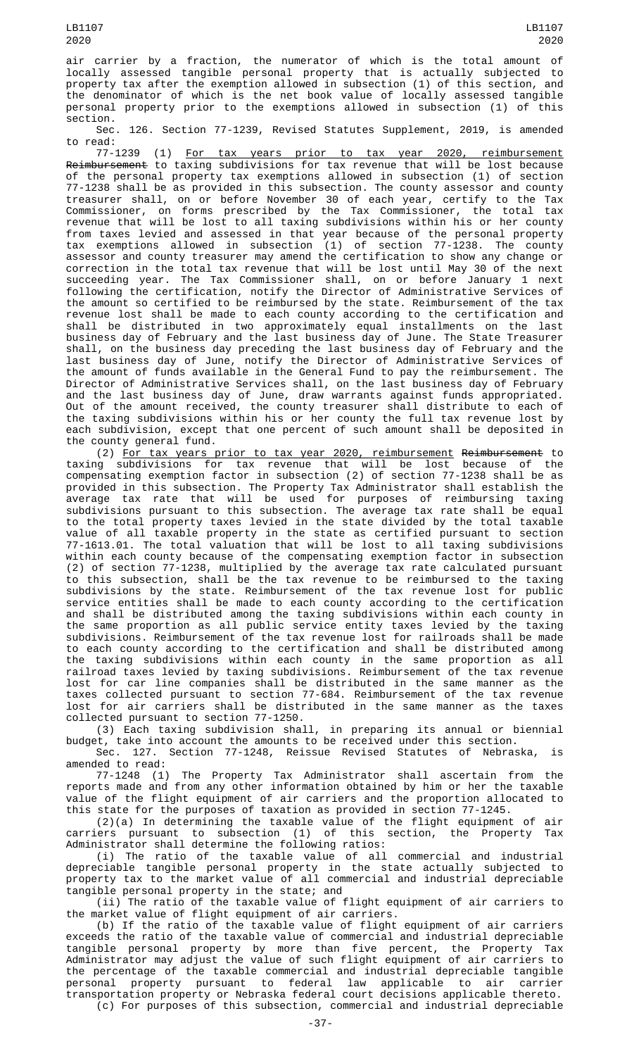air carrier by a fraction, the numerator of which is the total amount of locally assessed tangible personal property that is actually subjected to property tax after the exemption allowed in subsection (1) of this section, and the denominator of which is the net book value of locally assessed tangible personal property prior to the exemptions allowed in subsection (1) of this section.

Sec. 126. Section 77-1239, Revised Statutes Supplement, 2019, is amended to read:<br>77-1239

77-1239 (1) For tax years prior to tax year 2020, reimbursement Reimbursement to taxing subdivisions for tax revenue that will be lost because of the personal property tax exemptions allowed in subsection (1) of section 77-1238 shall be as provided in this subsection. The county assessor and county treasurer shall, on or before November 30 of each year, certify to the Tax Commissioner, on forms prescribed by the Tax Commissioner, the total tax revenue that will be lost to all taxing subdivisions within his or her county from taxes levied and assessed in that year because of the personal property tax exemptions allowed in subsection (1) of section 77-1238. The county assessor and county treasurer may amend the certification to show any change or correction in the total tax revenue that will be lost until May 30 of the next succeeding year. The Tax Commissioner shall, on or before January 1 next following the certification, notify the Director of Administrative Services of the amount so certified to be reimbursed by the state. Reimbursement of the tax revenue lost shall be made to each county according to the certification and shall be distributed in two approximately equal installments on the last business day of February and the last business day of June. The State Treasurer shall, on the business day preceding the last business day of February and the last business day of June, notify the Director of Administrative Services of the amount of funds available in the General Fund to pay the reimbursement. The Director of Administrative Services shall, on the last business day of February and the last business day of June, draw warrants against funds appropriated. Out of the amount received, the county treasurer shall distribute to each of the taxing subdivisions within his or her county the full tax revenue lost by each subdivision, except that one percent of such amount shall be deposited in the county general fund.

(2) For tax years prior to tax year 2020, reimbursement Reimbursement to taxing subdivisions for tax revenue that will be lost because of the compensating exemption factor in subsection (2) of section 77-1238 shall be as provided in this subsection. The Property Tax Administrator shall establish the average tax rate that will be used for purposes of reimbursing taxing subdivisions pursuant to this subsection. The average tax rate shall be equal to the total property taxes levied in the state divided by the total taxable value of all taxable property in the state as certified pursuant to section 77-1613.01. The total valuation that will be lost to all taxing subdivisions within each county because of the compensating exemption factor in subsection (2) of section 77-1238, multiplied by the average tax rate calculated pursuant to this subsection, shall be the tax revenue to be reimbursed to the taxing subdivisions by the state. Reimbursement of the tax revenue lost for public service entities shall be made to each county according to the certification and shall be distributed among the taxing subdivisions within each county in the same proportion as all public service entity taxes levied by the taxing subdivisions. Reimbursement of the tax revenue lost for railroads shall be made to each county according to the certification and shall be distributed among the taxing subdivisions within each county in the same proportion as all railroad taxes levied by taxing subdivisions. Reimbursement of the tax revenue lost for car line companies shall be distributed in the same manner as the taxes collected pursuant to section 77-684. Reimbursement of the tax revenue lost for air carriers shall be distributed in the same manner as the taxes collected pursuant to section 77-1250.

(3) Each taxing subdivision shall, in preparing its annual or biennial budget, take into account the amounts to be received under this section.

Sec. 127. Section 77-1248, Reissue Revised Statutes of Nebraska, is amended to read:

77-1248 (1) The Property Tax Administrator shall ascertain from the reports made and from any other information obtained by him or her the taxable value of the flight equipment of air carriers and the proportion allocated to this state for the purposes of taxation as provided in section 77-1245.

(2)(a) In determining the taxable value of the flight equipment of air carriers pursuant to subsection (1) of this section, the Property Tax Administrator shall determine the following ratios:

(i) The ratio of the taxable value of all commercial and industrial depreciable tangible personal property in the state actually subjected to property tax to the market value of all commercial and industrial depreciable tangible personal property in the state; and

(ii) The ratio of the taxable value of flight equipment of air carriers to the market value of flight equipment of air carriers.

(b) If the ratio of the taxable value of flight equipment of air carriers exceeds the ratio of the taxable value of commercial and industrial depreciable tangible personal property by more than five percent, the Property Tax Administrator may adjust the value of such flight equipment of air carriers to the percentage of the taxable commercial and industrial depreciable tangible personal property pursuant to federal law applicable to air carrier transportation property or Nebraska federal court decisions applicable thereto. (c) For purposes of this subsection, commercial and industrial depreciable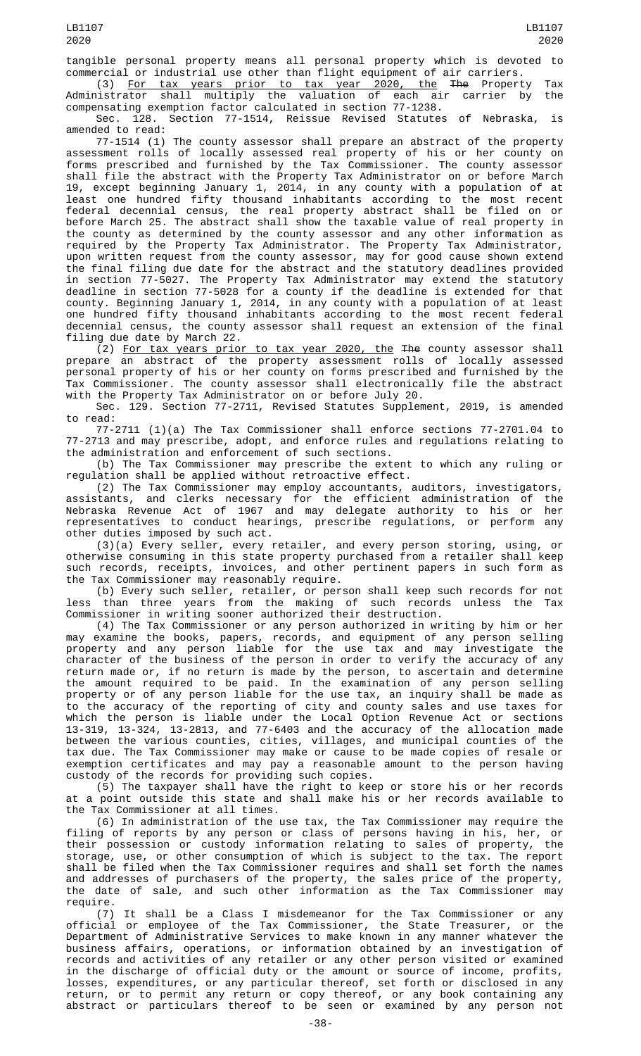tangible personal property means all personal property which is devoted to commercial or industrial use other than flight equipment of air carriers.

(3) For tax years prior to tax year 2020, the The Property Tax Administrator shall multiply the valuation of each air carrier by the compensating exemption factor calculated in section 77-1238.

Sec. 128. Section 77-1514, Reissue Revised Statutes of Nebraska, is amended to read:

77-1514 (1) The county assessor shall prepare an abstract of the property assessment rolls of locally assessed real property of his or her county on forms prescribed and furnished by the Tax Commissioner. The county assessor shall file the abstract with the Property Tax Administrator on or before March 19, except beginning January 1, 2014, in any county with a population of at least one hundred fifty thousand inhabitants according to the most recent federal decennial census, the real property abstract shall be filed on or before March 25. The abstract shall show the taxable value of real property in the county as determined by the county assessor and any other information as required by the Property Tax Administrator. The Property Tax Administrator, upon written request from the county assessor, may for good cause shown extend the final filing due date for the abstract and the statutory deadlines provided in section 77-5027. The Property Tax Administrator may extend the statutory deadline in section 77-5028 for a county if the deadline is extended for that county. Beginning January 1, 2014, in any county with a population of at least one hundred fifty thousand inhabitants according to the most recent federal decennial census, the county assessor shall request an extension of the final filing due date by March 22.

(2) For tax years prior to tax year 2020, the The county assessor shall prepare an abstract of the property assessment rolls of locally assessed personal property of his or her county on forms prescribed and furnished by the Tax Commissioner. The county assessor shall electronically file the abstract with the Property Tax Administrator on or before July 20.

Sec. 129. Section 77-2711, Revised Statutes Supplement, 2019, is amended to read:

77-2711 (1)(a) The Tax Commissioner shall enforce sections 77-2701.04 to 77-2713 and may prescribe, adopt, and enforce rules and regulations relating to the administration and enforcement of such sections.

(b) The Tax Commissioner may prescribe the extent to which any ruling or regulation shall be applied without retroactive effect.

(2) The Tax Commissioner may employ accountants, auditors, investigators, assistants, and clerks necessary for the efficient administration of the assistants, and clerks necessary for the efficient administration of the Nebraska Revenue Act of 1967 and may delegate authority to his or her representatives to conduct hearings, prescribe regulations, or perform any representatives to conduct hearings, prescribe regulations, or perform any other duties imposed by such act.

(3)(a) Every seller, every retailer, and every person storing, using, or otherwise consuming in this state property purchased from a retailer shall keep such records, receipts, invoices, and other pertinent papers in such form as the Tax Commissioner may reasonably require.

(b) Every such seller, retailer, or person shall keep such records for not less than three years from the making of such records unless the Tax Commissioner in writing sooner authorized their destruction.

(4) The Tax Commissioner or any person authorized in writing by him or her may examine the books, papers, records, and equipment of any person selling property and any person liable for the use tax and may investigate the character of the business of the person in order to verify the accuracy of any return made or, if no return is made by the person, to ascertain and determine the amount required to be paid. In the examination of any person selling property or of any person liable for the use tax, an inquiry shall be made as to the accuracy of the reporting of city and county sales and use taxes for which the person is liable under the Local Option Revenue Act or sections 13-319, 13-324, 13-2813, and 77-6403 and the accuracy of the allocation made between the various counties, cities, villages, and municipal counties of the tax due. The Tax Commissioner may make or cause to be made copies of resale or exemption certificates and may pay a reasonable amount to the person having custody of the records for providing such copies.

(5) The taxpayer shall have the right to keep or store his or her records at a point outside this state and shall make his or her records available to the Tax Commissioner at all times.

(6) In administration of the use tax, the Tax Commissioner may require the filing of reports by any person or class of persons having in his, her, or their possession or custody information relating to sales of property, the storage, use, or other consumption of which is subject to the tax. The report shall be filed when the Tax Commissioner requires and shall set forth the names and addresses of purchasers of the property, the sales price of the property, the date of sale, and such other information as the Tax Commissioner may require.

(7) It shall be a Class I misdemeanor for the Tax Commissioner or any official or employee of the Tax Commissioner, the State Treasurer, or the Department of Administrative Services to make known in any manner whatever the business affairs, operations, or information obtained by an investigation of records and activities of any retailer or any other person visited or examined in the discharge of official duty or the amount or source of income, profits, losses, expenditures, or any particular thereof, set forth or disclosed in any return, or to permit any return or copy thereof, or any book containing any abstract or particulars thereof to be seen or examined by any person not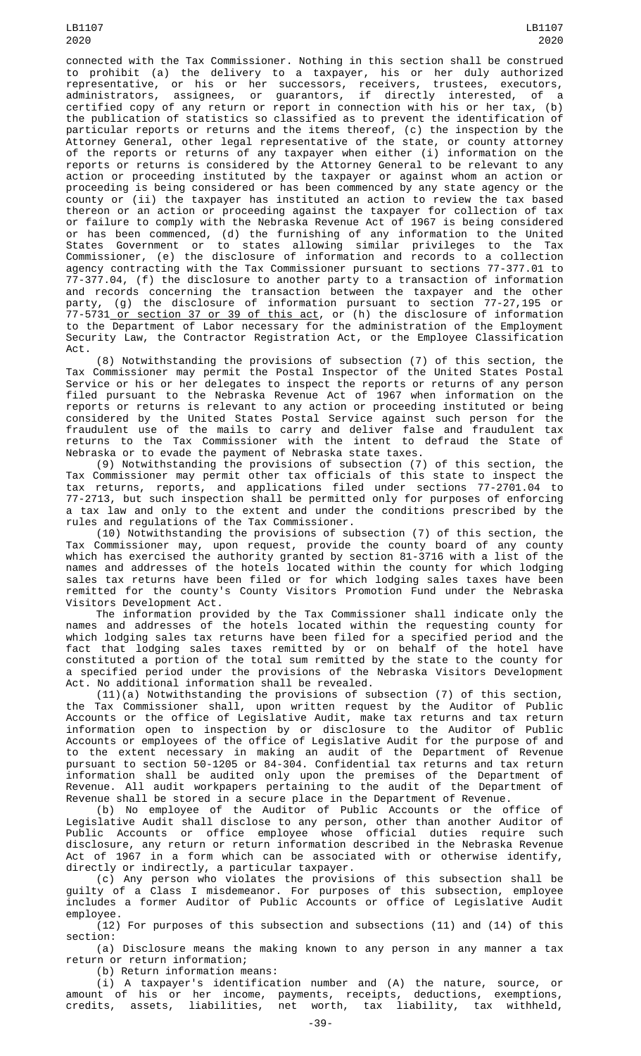LB1107 2020

connected with the Tax Commissioner. Nothing in this section shall be construed to prohibit (a) the delivery to a taxpayer, his or her duly authorized representative, or his or her successors, receivers, trustees, executors, administrators, assignees, or guarantors, if directly interested, of a certified copy of any return or report in connection with his or her tax, (b) the publication of statistics so classified as to prevent the identification of particular reports or returns and the items thereof, (c) the inspection by the Attorney General, other legal representative of the state, or county attorney of the reports or returns of any taxpayer when either (i) information on the reports or returns is considered by the Attorney General to be relevant to any action or proceeding instituted by the taxpayer or against whom an action or proceeding is being considered or has been commenced by any state agency or the county or (ii) the taxpayer has instituted an action to review the tax based thereon or an action or proceeding against the taxpayer for collection of tax or failure to comply with the Nebraska Revenue Act of 1967 is being considered or has been commenced, (d) the furnishing of any information to the United States Government or to states allowing similar privileges to the Tax Commissioner, (e) the disclosure of information and records to a collection agency contracting with the Tax Commissioner pursuant to sections 77-377.01 to 77-377.04, (f) the disclosure to another party to a transaction of information and records concerning the transaction between the taxpayer and the other party, (g) the disclosure of information pursuant to section 77-27,195 or 77-5731 or section 37 or 39 of this act, or (h) the disclosure of information to the Department of Labor necessary for the administration of the Employment Security Law, the Contractor Registration Act, or the Employee Classification Act.

(8) Notwithstanding the provisions of subsection (7) of this section, the Tax Commissioner may permit the Postal Inspector of the United States Postal Service or his or her delegates to inspect the reports or returns of any person filed pursuant to the Nebraska Revenue Act of 1967 when information on the reports or returns is relevant to any action or proceeding instituted or being considered by the United States Postal Service against such person for the fraudulent use of the mails to carry and deliver false and fraudulent tax returns to the Tax Commissioner with the intent to defraud the State of Nebraska or to evade the payment of Nebraska state taxes.

(9) Notwithstanding the provisions of subsection (7) of this section, the Tax Commissioner may permit other tax officials of this state to inspect the tax returns, reports, and applications filed under sections 77-2701.04 to 77-2713, but such inspection shall be permitted only for purposes of enforcing a tax law and only to the extent and under the conditions prescribed by the rules and regulations of the Tax Commissioner.

(10) Notwithstanding the provisions of subsection (7) of this section, the Tax Commissioner may, upon request, provide the county board of any county which has exercised the authority granted by section 81-3716 with a list of the names and addresses of the hotels located within the county for which lodging sales tax returns have been filed or for which lodging sales taxes have been remitted for the county's County Visitors Promotion Fund under the Nebraska Visitors Development Act.

The information provided by the Tax Commissioner shall indicate only the names and addresses of the hotels located within the requesting county for which lodging sales tax returns have been filed for a specified period and the fact that lodging sales taxes remitted by or on behalf of the hotel have constituted a portion of the total sum remitted by the state to the county for a specified period under the provisions of the Nebraska Visitors Development Act. No additional information shall be revealed.

(11)(a) Notwithstanding the provisions of subsection (7) of this section, the Tax Commissioner shall, upon written request by the Auditor of Public Accounts or the office of Legislative Audit, make tax returns and tax return information open to inspection by or disclosure to the Auditor of Public Accounts or employees of the office of Legislative Audit for the purpose of and to the extent necessary in making an audit of the Department of Revenue pursuant to section 50-1205 or 84-304. Confidential tax returns and tax return information shall be audited only upon the premises of the Department of Revenue. All audit workpapers pertaining to the audit of the Department of Revenue shall be stored in a secure place in the Department of Revenue.

(b) No employee of the Auditor of Public Accounts or the office of Legislative Audit shall disclose to any person, other than another Auditor of Public Accounts or office employee whose official duties require such disclosure, any return or return information described in the Nebraska Revenue Act of 1967 in a form which can be associated with or otherwise identify, directly or indirectly, a particular taxpayer.

(c) Any person who violates the provisions of this subsection shall be guilty of a Class I misdemeanor. For purposes of this subsection, employee includes a former Auditor of Public Accounts or office of Legislative Audit employee.

(12) For purposes of this subsection and subsections (11) and (14) of this section:

(a) Disclosure means the making known to any person in any manner a tax return or return information;

(b) Return information means:

(i) A taxpayer's identification number and (A) the nature, source, or amount of his or her income, payments, receipts, deductions, exemptions, credits, assets, liabilities, net worth, tax liability, tax withheld,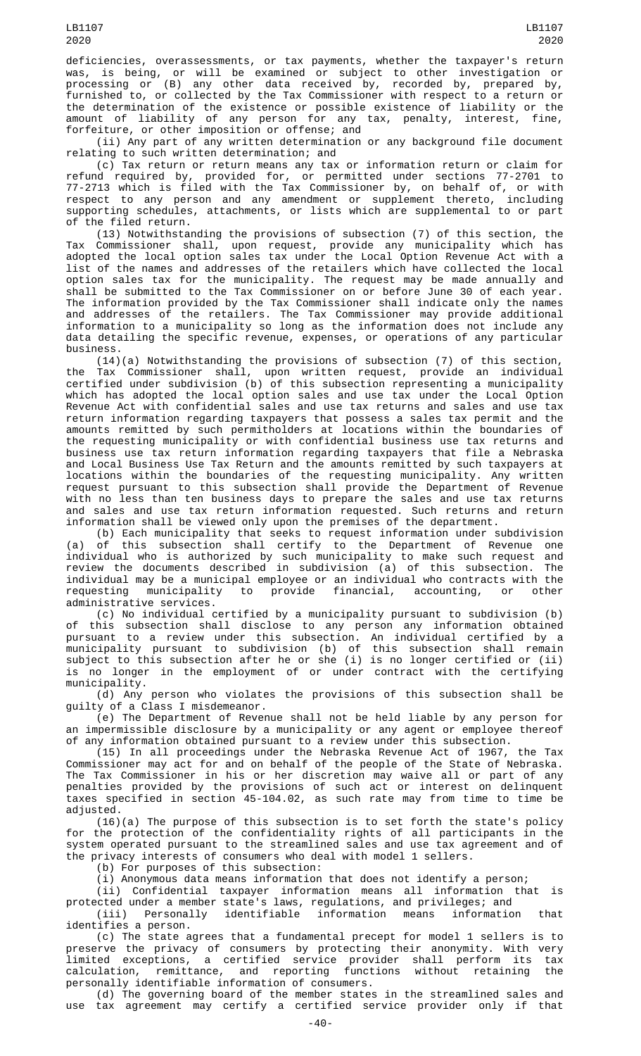deficiencies, overassessments, or tax payments, whether the taxpayer's return was, is being, or will be examined or subject to other investigation or processing or (B) any other data received by, recorded by, prepared by, furnished to, or collected by the Tax Commissioner with respect to a return or the determination of the existence or possible existence of liability or the amount of liability of any person for any tax, penalty, interest, fine, forfeiture, or other imposition or offense; and

(ii) Any part of any written determination or any background file document relating to such written determination; and

(c) Tax return or return means any tax or information return or claim for refund required by, provided for, or permitted under sections 77-2701 to 77-2713 which is filed with the Tax Commissioner by, on behalf of, or with respect to any person and any amendment or supplement thereto, including supporting schedules, attachments, or lists which are supplemental to or part of the filed return.

(13) Notwithstanding the provisions of subsection (7) of this section, the Tax Commissioner shall, upon request, provide any municipality which has adopted the local option sales tax under the Local Option Revenue Act with a list of the names and addresses of the retailers which have collected the local option sales tax for the municipality. The request may be made annually and shall be submitted to the Tax Commissioner on or before June 30 of each year. The information provided by the Tax Commissioner shall indicate only the names and addresses of the retailers. The Tax Commissioner may provide additional information to a municipality so long as the information does not include any data detailing the specific revenue, expenses, or operations of any particular business.

(14)(a) Notwithstanding the provisions of subsection (7) of this section, the Tax Commissioner shall, upon written request, provide an individual certified under subdivision (b) of this subsection representing a municipality which has adopted the local option sales and use tax under the Local Option Revenue Act with confidential sales and use tax returns and sales and use tax return information regarding taxpayers that possess a sales tax permit and the amounts remitted by such permitholders at locations within the boundaries of the requesting municipality or with confidential business use tax returns and business use tax return information regarding taxpayers that file a Nebraska and Local Business Use Tax Return and the amounts remitted by such taxpayers at locations within the boundaries of the requesting municipality. Any written request pursuant to this subsection shall provide the Department of Revenue with no less than ten business days to prepare the sales and use tax returns and sales and use tax return information requested. Such returns and return information shall be viewed only upon the premises of the department.

(b) Each municipality that seeks to request information under subdivision (a) of this subsection shall certify to the Department of Revenue one individual who is authorized by such municipality to make such request and review the documents described in subdivision (a) of this subsection. The individual may be a municipal employee or an individual who contracts with the requesting municipality to provide financial, accounting, or other administrative services.

(c) No individual certified by a municipality pursuant to subdivision (b) of this subsection shall disclose to any person any information obtained pursuant to a review under this subsection. An individual certified by a municipality pursuant to subdivision (b) of this subsection shall remain subject to this subsection after he or she (i) is no longer certified or (ii) is no longer in the employment of or under contract with the certifying municipality.

(d) Any person who violates the provisions of this subsection shall be guilty of a Class I misdemeanor.

(e) The Department of Revenue shall not be held liable by any person for an impermissible disclosure by a municipality or any agent or employee thereof of any information obtained pursuant to a review under this subsection.

(15) In all proceedings under the Nebraska Revenue Act of 1967, the Tax Commissioner may act for and on behalf of the people of the State of Nebraska. The Tax Commissioner in his or her discretion may waive all or part of any penalties provided by the provisions of such act or interest on delinquent taxes specified in section 45-104.02, as such rate may from time to time be adjusted.

(16)(a) The purpose of this subsection is to set forth the state's policy for the protection of the confidentiality rights of all participants in the system operated pursuant to the streamlined sales and use tax agreement and of the privacy interests of consumers who deal with model 1 sellers.

(b) For purposes of this subsection:

(i) Anonymous data means information that does not identify a person;

(ii) Confidential taxpayer information means all information that is protected under a member state's laws, regulations, and privileges; and (iii) Personally identifiable information means information that identifies a person.

(c) The state agrees that a fundamental precept for model 1 sellers is to preserve the privacy of consumers by protecting their anonymity. With very limited exceptions, a certified service provider shall perform its tax calculation, remittance, and reporting functions without retaining the personally identifiable information of consumers.

(d) The governing board of the member states in the streamlined sales and use tax agreement may certify a certified service provider only if that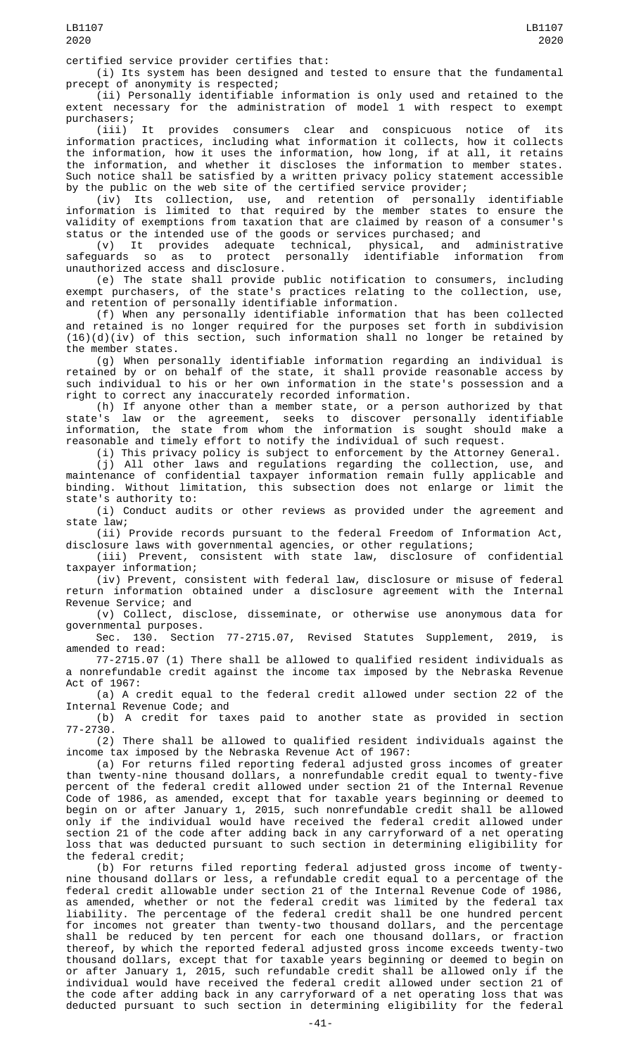certified service provider certifies that:

(i) Its system has been designed and tested to ensure that the fundamental precept of anonymity is respected;

(ii) Personally identifiable information is only used and retained to the extent necessary for the administration of model 1 with respect to exempt purchasers;

(iii) It provides consumers clear and conspicuous notice of its information practices, including what information it collects, how it collects the information, how it uses the information, how long, if at all, it retains the information, and whether it discloses the information to member states. Such notice shall be satisfied by a written privacy policy statement accessible by the public on the web site of the certified service provider;

(iv) Its collection, use, and retention of personally identifiable information is limited to that required by the member states to ensure the validity of exemptions from taxation that are claimed by reason of a consumer's status or the intended use of the goods or services purchased; and<br>(v) It provides adequate technical, physical, and a

(v) It provides adequate technical, physical, and administrative safeguards so as to protect personally unauthorized access and disclosure.

(e) The state shall provide public notification to consumers, including exempt purchasers, of the state's practices relating to the collection, use, and retention of personally identifiable information.

(f) When any personally identifiable information that has been collected and retained is no longer required for the purposes set forth in subdivision  $(16)(d)(iv)$  of this section, such information shall no longer be retained by the member states.

(g) When personally identifiable information regarding an individual is retained by or on behalf of the state, it shall provide reasonable access by such individual to his or her own information in the state's possession and a right to correct any inaccurately recorded information.

(h) If anyone other than a member state, or a person authorized by that state's law or the agreement, seeks to discover personally identifiable information, the state from whom the information is sought should make a reasonable and timely effort to notify the individual of such request.

(i) This privacy policy is subject to enforcement by the Attorney General.

(j) All other laws and regulations regarding the collection, use, and maintenance of confidential taxpayer information remain fully applicable and binding. Without limitation, this subsection does not enlarge or limit the state's authority to:

(i) Conduct audits or other reviews as provided under the agreement and state law;

(ii) Provide records pursuant to the federal Freedom of Information Act, disclosure laws with governmental agencies, or other regulations; disclosure laws with governmental agencies, or other regulations;

(iii) Prevent, consistent with state law, disclosure of confidential taxpayer information;

(iv) Prevent, consistent with federal law, disclosure or misuse of federal return information obtained under a disclosure agreement with the Internal Revenue Service; and

(v) Collect, disclose, disseminate, or otherwise use anonymous data for governmental purposes.

Sec. 130. Section 77-2715.07, Revised Statutes Supplement, 2019, is amended to read:

77-2715.07 (1) There shall be allowed to qualified resident individuals as a nonrefundable credit against the income tax imposed by the Nebraska Revenue Act of 1967:

(a) A credit equal to the federal credit allowed under section 22 of the Internal Revenue Code; and

(b) A credit for taxes paid to another state as provided in section 77-2730.

(2) There shall be allowed to qualified resident individuals against the income tax imposed by the Nebraska Revenue Act of 1967:

(a) For returns filed reporting federal adjusted gross incomes of greater than twenty-nine thousand dollars, a nonrefundable credit equal to twenty-five percent of the federal credit allowed under section 21 of the Internal Revenue Code of 1986, as amended, except that for taxable years beginning or deemed to begin on or after January 1, 2015, such nonrefundable credit shall be allowed only if the individual would have received the federal credit allowed under section 21 of the code after adding back in any carryforward of a net operating loss that was deducted pursuant to such section in determining eligibility for the federal credit;

(b) For returns filed reporting federal adjusted gross income of twentynine thousand dollars or less, a refundable credit equal to a percentage of the federal credit allowable under section 21 of the Internal Revenue Code of 1986, as amended, whether or not the federal credit was limited by the federal tax liability. The percentage of the federal credit shall be one hundred percent for incomes not greater than twenty-two thousand dollars, and the percentage shall be reduced by ten percent for each one thousand dollars, or fraction thereof, by which the reported federal adjusted gross income exceeds twenty-two thousand dollars, except that for taxable years beginning or deemed to begin on or after January 1, 2015, such refundable credit shall be allowed only if the individual would have received the federal credit allowed under section 21 of the code after adding back in any carryforward of a net operating loss that was deducted pursuant to such section in determining eligibility for the federal

LB1107 2020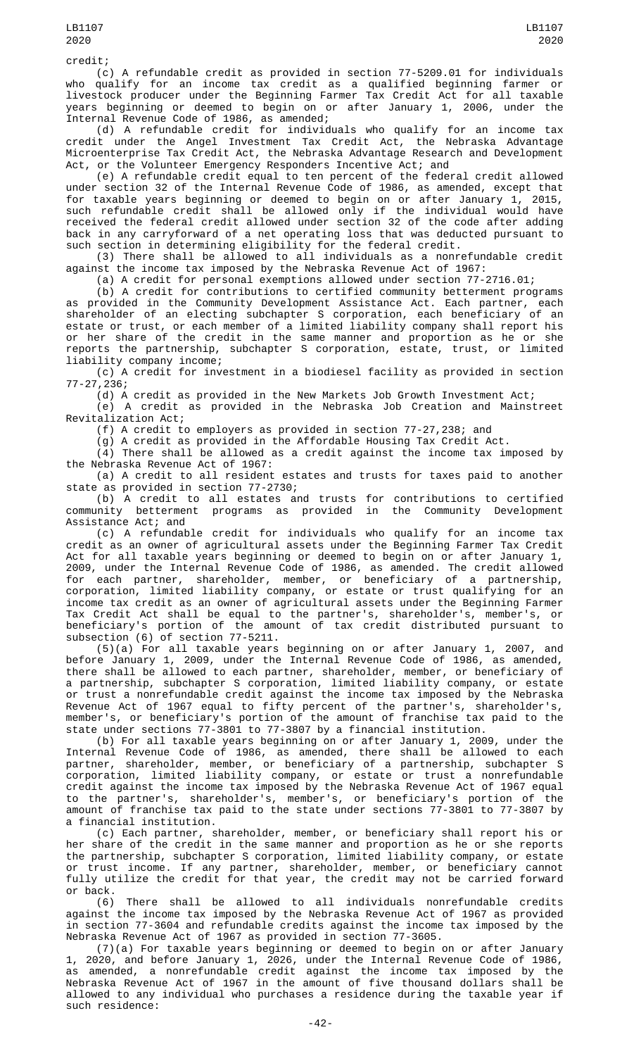(c) A refundable credit as provided in section 77-5209.01 for individuals who qualify for an income tax credit as a qualified beginning farmer or livestock producer under the Beginning Farmer Tax Credit Act for all taxable years beginning or deemed to begin on or after January 1, 2006, under the Internal Revenue Code of 1986, as amended;

(d) A refundable credit for individuals who qualify for an income tax credit under the Angel Investment Tax Credit Act, the Nebraska Advantage Microenterprise Tax Credit Act, the Nebraska Advantage Research and Development Act, or the Volunteer Emergency Responders Incentive Act; and

(e) A refundable credit equal to ten percent of the federal credit allowed under section 32 of the Internal Revenue Code of 1986, as amended, except that for taxable years beginning or deemed to begin on or after January 1, 2015, such refundable credit shall be allowed only if the individual would have received the federal credit allowed under section 32 of the code after adding back in any carryforward of a net operating loss that was deducted pursuant to such section in determining eligibility for the federal credit.

(3) There shall be allowed to all individuals as a nonrefundable credit against the income tax imposed by the Nebraska Revenue Act of 1967:

(a) A credit for personal exemptions allowed under section 77-2716.01;

(b) A credit for contributions to certified community betterment programs as provided in the Community Development Assistance Act. Each partner, each shareholder of an electing subchapter S corporation, each beneficiary of an estate or trust, or each member of a limited liability company shall report his or her share of the credit in the same manner and proportion as he or she reports the partnership, subchapter S corporation, estate, trust, or limited liability company income;

(c) A credit for investment in a biodiesel facility as provided in section 77-27,236;

(d) A credit as provided in the New Markets Job Growth Investment Act; (e) A credit as provided in the Nebraska Job Creation and Mainstreet Revitalization Act;

(f) A credit to employers as provided in section 77-27,238; and

(g) A credit as provided in the Affordable Housing Tax Credit Act.

(4) There shall be allowed as a credit against the income tax imposed by the Nebraska Revenue Act of 1967:

(a) A credit to all resident estates and trusts for taxes paid to another state as provided in section 77-2730;

(b) A credit to all estates and trusts for contributions to certified community betterment programs as provided in the Community Development Assistance Act; and

(c) A refundable credit for individuals who qualify for an income tax credit as an owner of agricultural assets under the Beginning Farmer Tax Credit Act for all taxable years beginning or deemed to begin on or after January 1, 2009, under the Internal Revenue Code of 1986, as amended. The credit allowed for each partner, shareholder, member, or beneficiary of a partnership, corporation, limited liability company, or estate or trust qualifying for an income tax credit as an owner of agricultural assets under the Beginning Farmer Tax Credit Act shall be equal to the partner's, shareholder's, member's, or beneficiary's portion of the amount of tax credit distributed pursuant to subsection (6) of section 77-5211.

(5)(a) For all taxable years beginning on or after January 1, 2007, and before January 1, 2009, under the Internal Revenue Code of 1986, as amended, there shall be allowed to each partner, shareholder, member, or beneficiary of a partnership, subchapter S corporation, limited liability company, or estate or trust a nonrefundable credit against the income tax imposed by the Nebraska Revenue Act of 1967 equal to fifty percent of the partner's, shareholder's, member's, or beneficiary's portion of the amount of franchise tax paid to the state under sections 77-3801 to 77-3807 by a financial institution.

(b) For all taxable years beginning on or after January 1, 2009, under the Internal Revenue Code of 1986, as amended, there shall be allowed to each partner, shareholder, member, or beneficiary of a partnership, subchapter S corporation, limited liability company, or estate or trust a nonrefundable credit against the income tax imposed by the Nebraska Revenue Act of 1967 equal to the partner's, shareholder's, member's, or beneficiary's portion of the amount of franchise tax paid to the state under sections 77-3801 to 77-3807 by a financial institution.

(c) Each partner, shareholder, member, or beneficiary shall report his or her share of the credit in the same manner and proportion as he or she reports the partnership, subchapter S corporation, limited liability company, or estate or trust income. If any partner, shareholder, member, or beneficiary cannot fully utilize the credit for that year, the credit may not be carried forward or back.

(6) There shall be allowed to all individuals nonrefundable credits against the income tax imposed by the Nebraska Revenue Act of 1967 as provided in section 77-3604 and refundable credits against the income tax imposed by the Nebraska Revenue Act of 1967 as provided in section 77-3605.

(7)(a) For taxable years beginning or deemed to begin on or after January 1, 2020, and before January 1, 2026, under the Internal Revenue Code of 1986, as amended, a nonrefundable credit against the income tax imposed by the Nebraska Revenue Act of 1967 in the amount of five thousand dollars shall be allowed to any individual who purchases a residence during the taxable year if such residence: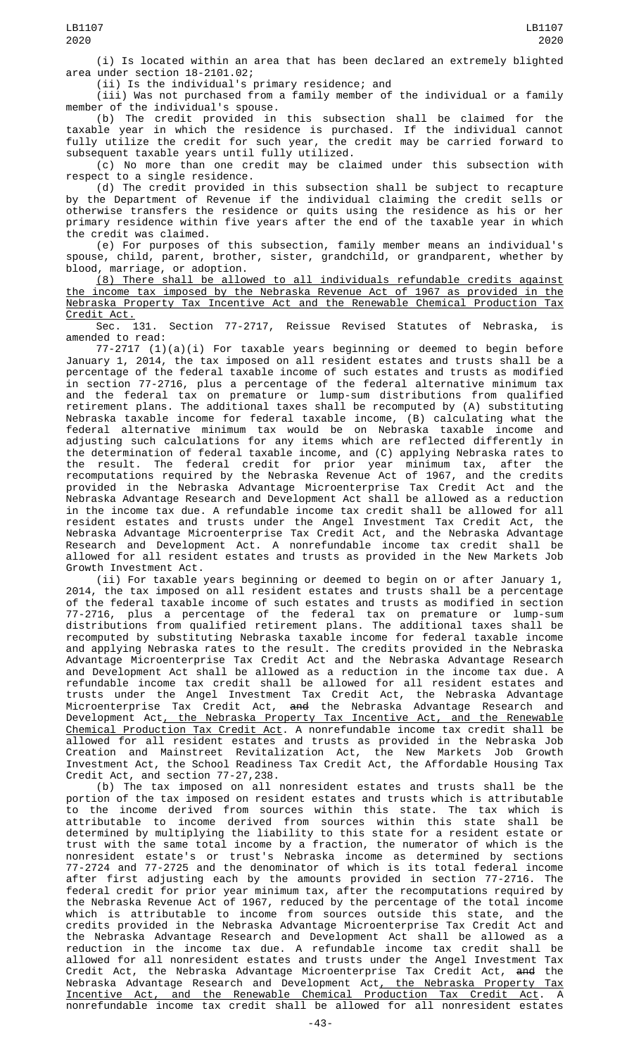(i) Is located within an area that has been declared an extremely blighted area under section 18-2101.02;

(ii) Is the individual's primary residence; and

(iii) Was not purchased from a family member of the individual or a family member of the individual's spouse.

(b) The credit provided in this subsection shall be claimed for the taxable year in which the residence is purchased. If the individual cannot fully utilize the credit for such year, the credit may be carried forward to subsequent taxable years until fully utilized.

(c) No more than one credit may be claimed under this subsection with respect to a single residence.

(d) The credit provided in this subsection shall be subject to recapture by the Department of Revenue if the individual claiming the credit sells or otherwise transfers the residence or quits using the residence as his or her primary residence within five years after the end of the taxable year in which the credit was claimed.

(e) For purposes of this subsection, family member means an individual's spouse, child, parent, brother, sister, grandchild, or grandparent, whether by blood, marriage, or adoption.

(8) There shall be allowed to all individuals refundable credits against the income tax imposed by the Nebraska Revenue Act of 1967 as provided in the Nebraska Property Tax Incentive Act and the Renewable Chemical Production Tax Credit Act.

Sec. 131. Section 77-2717, Reissue Revised Statutes of Nebraska, is amended to read:

77-2717 (1)(a)(i) For taxable years beginning or deemed to begin before January 1, 2014, the tax imposed on all resident estates and trusts shall be a percentage of the federal taxable income of such estates and trusts as modified in section 77-2716, plus a percentage of the federal alternative minimum tax and the federal tax on premature or lump-sum distributions from qualified retirement plans. The additional taxes shall be recomputed by (A) substituting Nebraska taxable income for federal taxable income, (B) calculating what the federal alternative minimum tax would be on Nebraska taxable income and adjusting such calculations for any items which are reflected differently in the determination of federal taxable income, and (C) applying Nebraska rates to the result. The federal credit for prior year minimum tax, after the recomputations required by the Nebraska Revenue Act of 1967, and the credits provided in the Nebraska Advantage Microenterprise Tax Credit Act and the Nebraska Advantage Research and Development Act shall be allowed as a reduction in the income tax due. A refundable income tax credit shall be allowed for all resident estates and trusts under the Angel Investment Tax Credit Act, the Nebraska Advantage Microenterprise Tax Credit Act, and the Nebraska Advantage Research and Development Act. A nonrefundable income tax credit shall be allowed for all resident estates and trusts as provided in the New Markets Job Growth Investment Act.

(ii) For taxable years beginning or deemed to begin on or after January 1, 2014, the tax imposed on all resident estates and trusts shall be a percentage of the federal taxable income of such estates and trusts as modified in section 77-2716, plus a percentage of the federal tax on premature or lump-sum distributions from qualified retirement plans. The additional taxes shall be recomputed by substituting Nebraska taxable income for federal taxable income and applying Nebraska rates to the result. The credits provided in the Nebraska Advantage Microenterprise Tax Credit Act and the Nebraska Advantage Research and Development Act shall be allowed as a reduction in the income tax due. A refundable income tax credit shall be allowed for all resident estates and trusts under the Angel Investment Tax Credit Act, the Nebraska Advantage Microenterprise Tax Credit Act, <del>and</del> the Nebraska Advantage Research and Development Act, the Nebraska Property Tax Incentive Act, and the Renewable Chemical Production Tax Credit Act. A nonrefundable income tax credit shall be allowed for all resident estates and trusts as provided in the Nebraska Job Creation and Mainstreet Revitalization Act, the New Markets Job Growth Investment Act, the School Readiness Tax Credit Act, the Affordable Housing Tax Credit Act, and section 77-27,238.

(b) The tax imposed on all nonresident estates and trusts shall be the portion of the tax imposed on resident estates and trusts which is attributable to the income derived from sources within this state. The tax which is attributable to income derived from sources within this state shall be determined by multiplying the liability to this state for a resident estate or trust with the same total income by a fraction, the numerator of which is the nonresident estate's or trust's Nebraska income as determined by sections 77-2724 and 77-2725 and the denominator of which is its total federal income after first adjusting each by the amounts provided in section 77-2716. The federal credit for prior year minimum tax, after the recomputations required by the Nebraska Revenue Act of 1967, reduced by the percentage of the total income which is attributable to income from sources outside this state, and the credits provided in the Nebraska Advantage Microenterprise Tax Credit Act and the Nebraska Advantage Research and Development Act shall be allowed as a reduction in the income tax due. A refundable income tax credit shall be allowed for all nonresident estates and trusts under the Angel Investment Tax Credit Act, the Nebraska Advantage Microenterprise Tax Credit Act, <del>and</del> the Nebraska Advantage Research and Development Act, the Nebraska Property Tax Incentive Act, and the Renewable Chemical Production Tax Credit Act. A nonrefundable income tax credit shall be allowed for all nonresident estates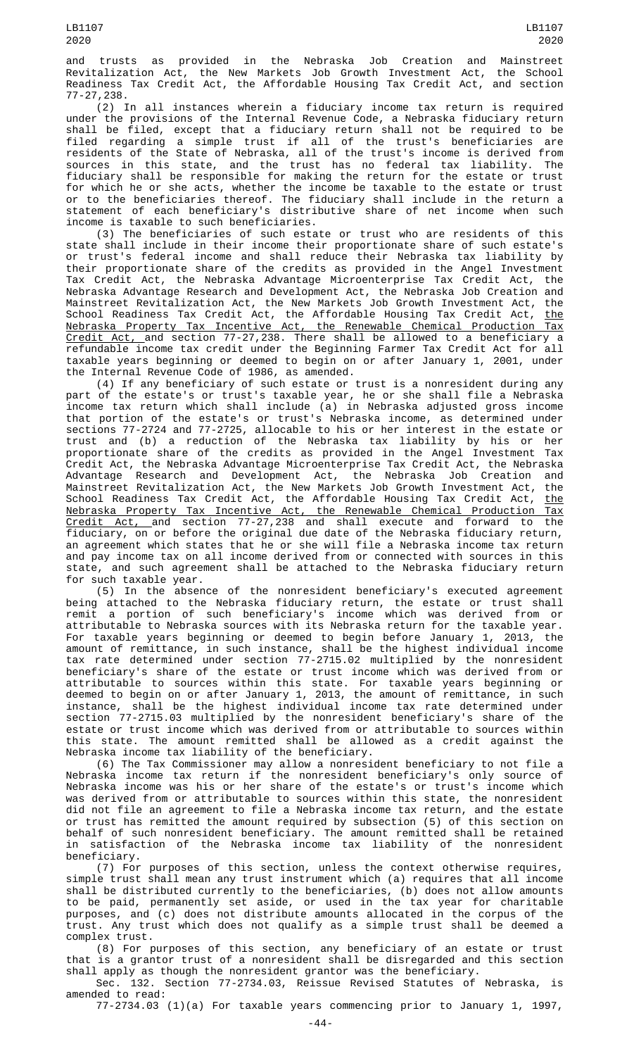(2) In all instances wherein a fiduciary income tax return is required under the provisions of the Internal Revenue Code, a Nebraska fiduciary return shall be filed, except that a fiduciary return shall not be required to be filed regarding a simple trust if all of the trust's beneficiaries are residents of the State of Nebraska, all of the trust's income is derived from sources in this state, and the trust has no federal tax liability. The fiduciary shall be responsible for making the return for the estate or trust for which he or she acts, whether the income be taxable to the estate or trust or to the beneficiaries thereof. The fiduciary shall include in the return a statement of each beneficiary's distributive share of net income when such income is taxable to such beneficiaries.

(3) The beneficiaries of such estate or trust who are residents of this state shall include in their income their proportionate share of such estate's or trust's federal income and shall reduce their Nebraska tax liability by their proportionate share of the credits as provided in the Angel Investment Tax Credit Act, the Nebraska Advantage Microenterprise Tax Credit Act, the Nebraska Advantage Research and Development Act, the Nebraska Job Creation and Mainstreet Revitalization Act, the New Markets Job Growth Investment Act, the School Readiness Tax Credit Act, the Affordable Housing Tax Credit Act, <u>the</u> Nebraska Property Tax Incentive Act, the Renewable Chemical Production Tax Credit Act, and section 77-27,238. There shall be allowed to a beneficiary a refundable income tax credit under the Beginning Farmer Tax Credit Act for all taxable years beginning or deemed to begin on or after January 1, 2001, under the Internal Revenue Code of 1986, as amended.

(4) If any beneficiary of such estate or trust is a nonresident during any part of the estate's or trust's taxable year, he or she shall file a Nebraska income tax return which shall include (a) in Nebraska adjusted gross income that portion of the estate's or trust's Nebraska income, as determined under sections 77-2724 and 77-2725, allocable to his or her interest in the estate or trust and (b) a reduction of the Nebraska tax liability by his or her proportionate share of the credits as provided in the Angel Investment Tax Credit Act, the Nebraska Advantage Microenterprise Tax Credit Act, the Nebraska Advantage Research and Development Act, the Nebraska Job Creation and Mainstreet Revitalization Act, the New Markets Job Growth Investment Act, the School Readiness Tax Credit Act, the Affordable Housing Tax Credit Act, <u>the</u> Nebraska Property Tax Incentive Act, the Renewable Chemical Production Tax <u>Credit Act, a</u>nd section 77-27,238 and shall execute and forward to the fiduciary, on or before the original due date of the Nebraska fiduciary return, an agreement which states that he or she will file a Nebraska income tax return and pay income tax on all income derived from or connected with sources in this state, and such agreement shall be attached to the Nebraska fiduciary return for such taxable year.

(5) In the absence of the nonresident beneficiary's executed agreement being attached to the Nebraska fiduciary return, the estate or trust shall remit a portion of such beneficiary's income which was derived from or attributable to Nebraska sources with its Nebraska return for the taxable year. For taxable years beginning or deemed to begin before January 1, 2013, the amount of remittance, in such instance, shall be the highest individual income tax rate determined under section 77-2715.02 multiplied by the nonresident beneficiary's share of the estate or trust income which was derived from or attributable to sources within this state. For taxable years beginning or deemed to begin on or after January 1, 2013, the amount of remittance, in such instance, shall be the highest individual income tax rate determined under section 77-2715.03 multiplied by the nonresident beneficiary's share of the estate or trust income which was derived from or attributable to sources within this state. The amount remitted shall be allowed as a credit against the Nebraska income tax liability of the beneficiary.

(6) The Tax Commissioner may allow a nonresident beneficiary to not file a Nebraska income tax return if the nonresident beneficiary's only source of Nebraska income was his or her share of the estate's or trust's income which was derived from or attributable to sources within this state, the nonresident did not file an agreement to file a Nebraska income tax return, and the estate or trust has remitted the amount required by subsection (5) of this section on behalf of such nonresident beneficiary. The amount remitted shall be retained in satisfaction of the Nebraska income tax liability of the nonresident beneficiary.

(7) For purposes of this section, unless the context otherwise requires, simple trust shall mean any trust instrument which (a) requires that all income shall be distributed currently to the beneficiaries, (b) does not allow amounts to be paid, permanently set aside, or used in the tax year for charitable purposes, and (c) does not distribute amounts allocated in the corpus of the trust. Any trust which does not qualify as a simple trust shall be deemed a complex trust.

(8) For purposes of this section, any beneficiary of an estate or trust that is a grantor trust of a nonresident shall be disregarded and this section shall apply as though the nonresident grantor was the beneficiary.

Sec. 132. Section 77-2734.03, Reissue Revised Statutes of Nebraska, is amended to read:

77-2734.03 (1)(a) For taxable years commencing prior to January 1, 1997,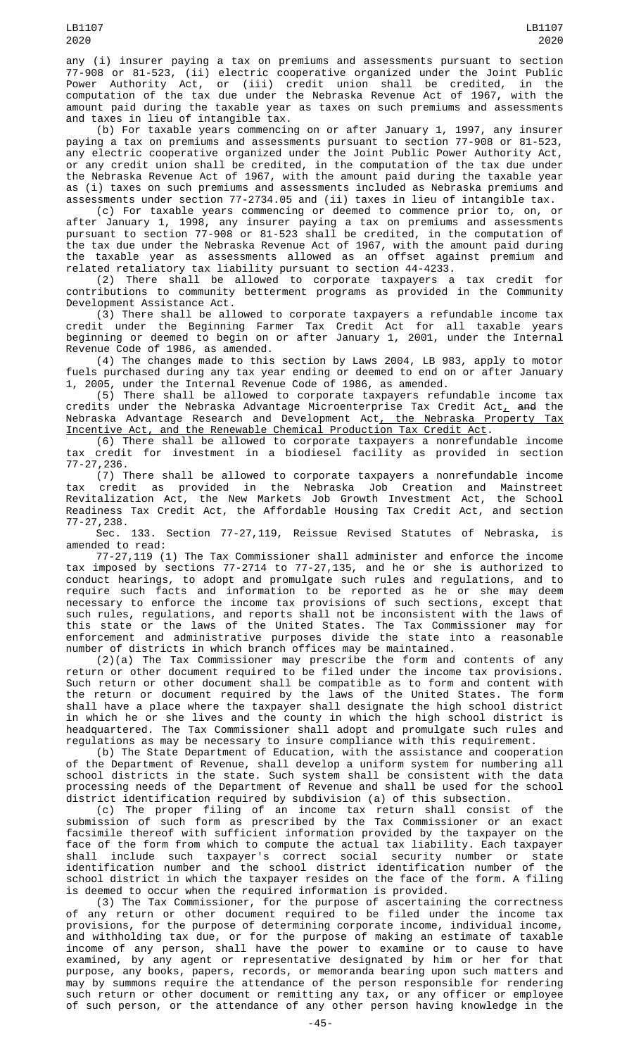any (i) insurer paying a tax on premiums and assessments pursuant to section 77-908 or 81-523, (ii) electric cooperative organized under the Joint Public<br>Power Authority Act, or (iii) credit union shall be credited, in the Power Authority Act, or (iii) credit union shall be credited, in the computation of the tax due under the Nebraska Revenue Act of 1967, with the amount paid during the taxable year as taxes on such premiums and assessments and taxes in lieu of intangible tax.

(b) For taxable years commencing on or after January 1, 1997, any insurer paying a tax on premiums and assessments pursuant to section 77-908 or 81-523, any electric cooperative organized under the Joint Public Power Authority Act, or any credit union shall be credited, in the computation of the tax due under the Nebraska Revenue Act of 1967, with the amount paid during the taxable year as (i) taxes on such premiums and assessments included as Nebraska premiums and assessments under section 77-2734.05 and (ii) taxes in lieu of intangible tax.

(c) For taxable years commencing or deemed to commence prior to, on, or after January 1, 1998, any insurer paying a tax on premiums and assessments pursuant to section 77-908 or 81-523 shall be credited, in the computation of the tax due under the Nebraska Revenue Act of 1967, with the amount paid during the taxable year as assessments allowed as an offset against premium and related retaliatory tax liability pursuant to section 44-4233.

(2) There shall be allowed to corporate taxpayers a tax credit for contributions to community betterment programs as provided in the Community Development Assistance Act.

(3) There shall be allowed to corporate taxpayers a refundable income tax credit under the Beginning Farmer Tax Credit Act for all taxable years beginning or deemed to begin on or after January 1, 2001, under the Internal Revenue Code of 1986, as amended.

(4) The changes made to this section by Laws 2004, LB 983, apply to motor fuels purchased during any tax year ending or deemed to end on or after January 1, 2005, under the Internal Revenue Code of 1986, as amended.

(5) There shall be allowed to corporate taxpayers refundable income tax credits under the Nebraska Advantage Microenterprise Tax Credit Act $_{\rm {\mathcal L}}$  <del>and</del> the Nebraska Advantage Research and Development Act, the Nebraska Property Tax Incentive Act, and the Renewable Chemical Production Tax Credit Act.

(6) There shall be allowed to corporate taxpayers a nonrefundable income tax credit for investment in a biodiesel facility as provided in section 77-27,236.

(7) There shall be allowed to corporate taxpayers a nonrefundable income tax credit as provided in the Nebraska Job Creation and Mainstreet Revitalization Act, the New Markets Job Growth Investment Act, the School Readiness Tax Credit Act, the Affordable Housing Tax Credit Act, and section 77-27,238.

Sec. 133. Section 77-27,119, Reissue Revised Statutes of Nebraska, is amended to read:

77-27,119 (1) The Tax Commissioner shall administer and enforce the income tax imposed by sections 77-2714 to 77-27,135, and he or she is authorized to conduct hearings, to adopt and promulgate such rules and regulations, and to require such facts and information to be reported as he or she may deem necessary to enforce the income tax provisions of such sections, except that such rules, regulations, and reports shall not be inconsistent with the laws of this state or the laws of the United States. The Tax Commissioner may for enforcement and administrative purposes divide the state into a reasonable number of districts in which branch offices may be maintained.

(2)(a) The Tax Commissioner may prescribe the form and contents of any return or other document required to be filed under the income tax provisions. Such return or other document shall be compatible as to form and content with the return or document required by the laws of the United States. The form shall have a place where the taxpayer shall designate the high school district in which he or she lives and the county in which the high school district is headquartered. The Tax Commissioner shall adopt and promulgate such rules and regulations as may be necessary to insure compliance with this requirement.

(b) The State Department of Education, with the assistance and cooperation of the Department of Revenue, shall develop a uniform system for numbering all school districts in the state. Such system shall be consistent with the data processing needs of the Department of Revenue and shall be used for the school district identification required by subdivision (a) of this subsection.

(c) The proper filing of an income tax return shall consist of the submission of such form as prescribed by the Tax Commissioner or an exact facsimile thereof with sufficient information provided by the taxpayer on the face of the form from which to compute the actual tax liability. Each taxpayer shall include such taxpayer's correct social security number or state identification number and the school district identification number of the school district in which the taxpayer resides on the face of the form. A filing is deemed to occur when the required information is provided.

(3) The Tax Commissioner, for the purpose of ascertaining the correctness of any return or other document required to be filed under the income tax provisions, for the purpose of determining corporate income, individual income, and withholding tax due, or for the purpose of making an estimate of taxable income of any person, shall have the power to examine or to cause to have examined, by any agent or representative designated by him or her for that purpose, any books, papers, records, or memoranda bearing upon such matters and may by summons require the attendance of the person responsible for rendering such return or other document or remitting any tax, or any officer or employee of such person, or the attendance of any other person having knowledge in the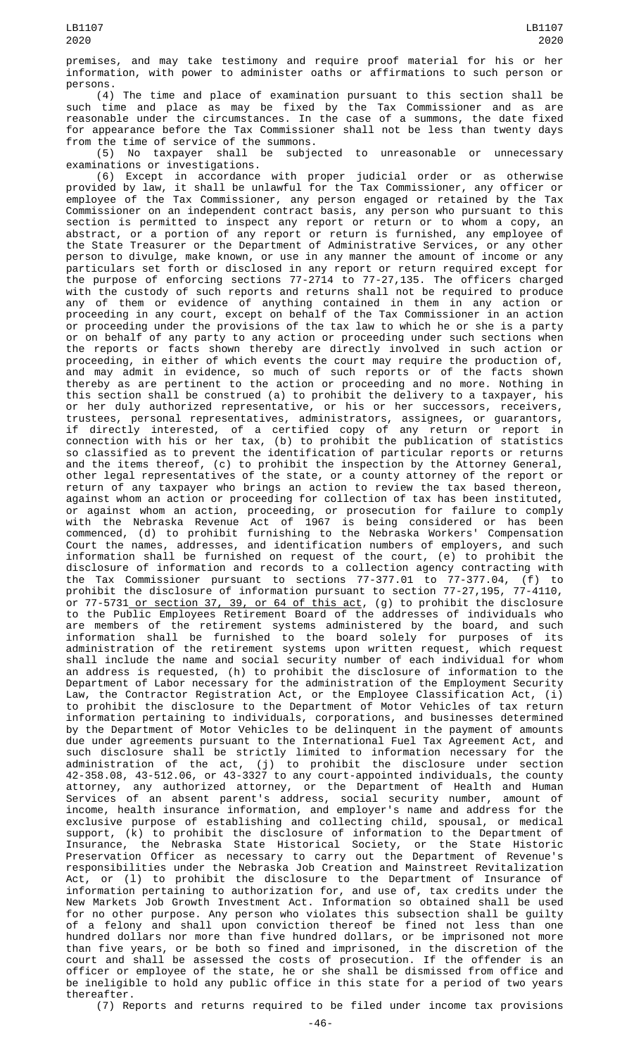premises, and may take testimony and require proof material for his or her information, with power to administer oaths or affirmations to such person or persons.

(4) The time and place of examination pursuant to this section shall be such time and place as may be fixed by the Tax Commissioner and as are reasonable under the circumstances. In the case of a summons, the date fixed for appearance before the Tax Commissioner shall not be less than twenty days from the time of service of the summons.

(5) No taxpayer shall be subjected to unreasonable or unnecessary examinations or investigations.

(6) Except in accordance with proper judicial order or as otherwise provided by law, it shall be unlawful for the Tax Commissioner, any officer or employee of the Tax Commissioner, any person engaged or retained by the Tax Commissioner on an independent contract basis, any person who pursuant to this section is permitted to inspect any report or return or to whom a copy, an abstract, or a portion of any report or return is furnished, any employee of the State Treasurer or the Department of Administrative Services, or any other person to divulge, make known, or use in any manner the amount of income or any particulars set forth or disclosed in any report or return required except for the purpose of enforcing sections 77-2714 to 77-27,135. The officers charged with the custody of such reports and returns shall not be required to produce any of them or evidence of anything contained in them in any action or proceeding in any court, except on behalf of the Tax Commissioner in an action or proceeding under the provisions of the tax law to which he or she is a party or on behalf of any party to any action or proceeding under such sections when the reports or facts shown thereby are directly involved in such action or proceeding, in either of which events the court may require the production of, and may admit in evidence, so much of such reports or of the facts shown thereby as are pertinent to the action or proceeding and no more. Nothing in this section shall be construed (a) to prohibit the delivery to a taxpayer, his or her duly authorized representative, or his or her successors, receivers, trustees, personal representatives, administrators, assignees, or guarantors, if directly interested, of a certified copy of any return or report in connection with his or her tax, (b) to prohibit the publication of statistics so classified as to prevent the identification of particular reports or returns and the items thereof, (c) to prohibit the inspection by the Attorney General, other legal representatives of the state, or a county attorney of the report or return of any taxpayer who brings an action to review the tax based thereon, against whom an action or proceeding for collection of tax has been instituted, or against whom an action, proceeding, or prosecution for failure to comply with the Nebraska Revenue Act of 1967 is being considered or has been commenced, (d) to prohibit furnishing to the Nebraska Workers' Compensation Court the names, addresses, and identification numbers of employers, and such information shall be furnished on request of the court, (e) to prohibit the disclosure of information and records to a collection agency contracting with the Tax Commissioner pursuant to sections 77-377.01 to 77-377.04, (f) to prohibit the disclosure of information pursuant to section 77-27,195, 77-4110, or 77-5731\_<u>or section 37, 39, or 64 of this act</u>, (g) to prohibit the disclosure to the Public Employees Retirement Board of the addresses of individuals who are members of the retirement systems administered by the board, and such information shall be furnished to the board solely for purposes of its administration of the retirement systems upon written request, which request shall include the name and social security number of each individual for whom an address is requested, (h) to prohibit the disclosure of information to the Department of Labor necessary for the administration of the Employment Security Law, the Contractor Registration Act, or the Employee Classification Act, (i) to prohibit the disclosure to the Department of Motor Vehicles of tax return information pertaining to individuals, corporations, and businesses determined by the Department of Motor Vehicles to be delinquent in the payment of amounts due under agreements pursuant to the International Fuel Tax Agreement Act, and such disclosure shall be strictly limited to information necessary for the administration of the act, (j) to prohibit the disclosure under section 42-358.08, 43-512.06, or 43-3327 to any court-appointed individuals, the county attorney, any authorized attorney, or the Department of Health and Human Services of an absent parent's address, social security number, amount of income, health insurance information, and employer's name and address for the exclusive purpose of establishing and collecting child, spousal, or medical support, (k) to prohibit the disclosure of information to the Department of Insurance, the Nebraska State Historical Society, or the State Historic Preservation Officer as necessary to carry out the Department of Revenue's responsibilities under the Nebraska Job Creation and Mainstreet Revitalization Act, or (l) to prohibit the disclosure to the Department of Insurance of information pertaining to authorization for, and use of, tax credits under the New Markets Job Growth Investment Act. Information so obtained shall be used for no other purpose. Any person who violates this subsection shall be guilty of a felony and shall upon conviction thereof be fined not less than one hundred dollars nor more than five hundred dollars, or be imprisoned not more than five years, or be both so fined and imprisoned, in the discretion of the court and shall be assessed the costs of prosecution. If the offender is an officer or employee of the state, he or she shall be dismissed from office and be ineligible to hold any public office in this state for a period of two years thereafter.

(7) Reports and returns required to be filed under income tax provisions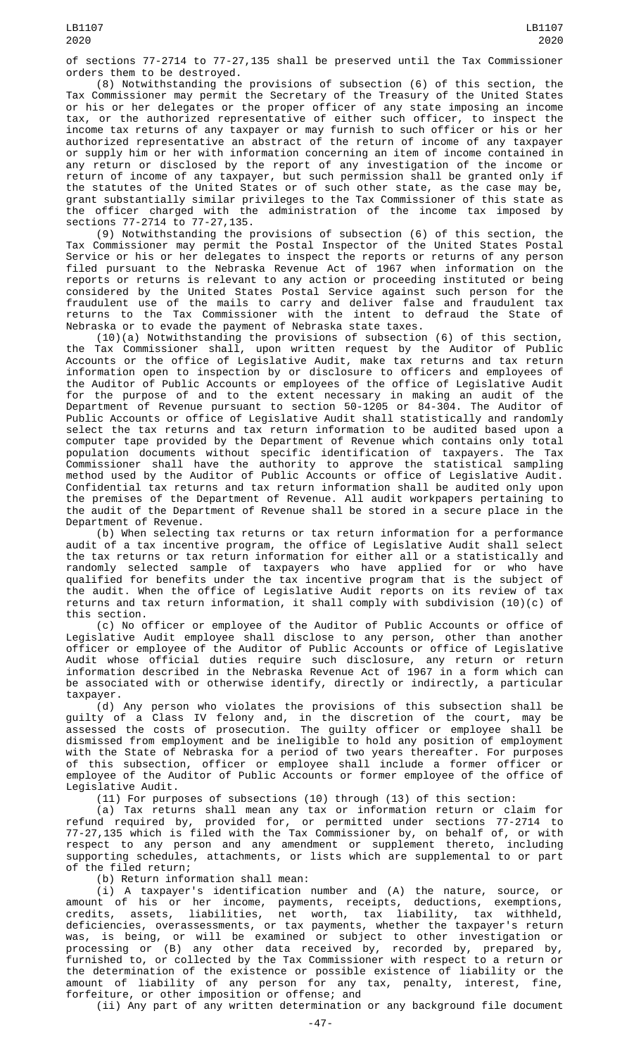of sections 77-2714 to 77-27,135 shall be preserved until the Tax Commissioner orders them to be destroyed.

(8) Notwithstanding the provisions of subsection (6) of this section, the Tax Commissioner may permit the Secretary of the Treasury of the United States or his or her delegates or the proper officer of any state imposing an income tax, or the authorized representative of either such officer, to inspect the income tax returns of any taxpayer or may furnish to such officer or his or her authorized representative an abstract of the return of income of any taxpayer or supply him or her with information concerning an item of income contained in any return or disclosed by the report of any investigation of the income or return of income of any taxpayer, but such permission shall be granted only if the statutes of the United States or of such other state, as the case may be, grant substantially similar privileges to the Tax Commissioner of this state as the officer charged with the administration of the income tax imposed by sections 77-2714 to 77-27,135.

(9) Notwithstanding the provisions of subsection (6) of this section, the Tax Commissioner may permit the Postal Inspector of the United States Postal Service or his or her delegates to inspect the reports or returns of any person filed pursuant to the Nebraska Revenue Act of 1967 when information on the reports or returns is relevant to any action or proceeding instituted or being considered by the United States Postal Service against such person for the fraudulent use of the mails to carry and deliver false and fraudulent tax returns to the Tax Commissioner with the intent to defraud the State of Nebraska or to evade the payment of Nebraska state taxes.

(10)(a) Notwithstanding the provisions of subsection (6) of this section, the Tax Commissioner shall, upon written request by the Auditor of Public Accounts or the office of Legislative Audit, make tax returns and tax return information open to inspection by or disclosure to officers and employees of the Auditor of Public Accounts or employees of the office of Legislative Audit for the purpose of and to the extent necessary in making an audit of the Department of Revenue pursuant to section 50-1205 or 84-304. The Auditor of Public Accounts or office of Legislative Audit shall statistically and randomly select the tax returns and tax return information to be audited based upon a computer tape provided by the Department of Revenue which contains only total population documents without specific identification of taxpayers. The Tax Commissioner shall have the authority to approve the statistical sampling method used by the Auditor of Public Accounts or office of Legislative Audit. Confidential tax returns and tax return information shall be audited only upon the premises of the Department of Revenue. All audit workpapers pertaining to the audit of the Department of Revenue shall be stored in a secure place in the Department of Revenue.

(b) When selecting tax returns or tax return information for a performance audit of a tax incentive program, the office of Legislative Audit shall select the tax returns or tax return information for either all or a statistically and randomly selected sample of taxpayers who have applied for or who have qualified for benefits under the tax incentive program that is the subject of the audit. When the office of Legislative Audit reports on its review of tax returns and tax return information, it shall comply with subdivision (10)(c) of this section.

(c) No officer or employee of the Auditor of Public Accounts or office of Legislative Audit employee shall disclose to any person, other than another officer or employee of the Auditor of Public Accounts or office of Legislative Audit whose official duties require such disclosure, any return or return information described in the Nebraska Revenue Act of 1967 in a form which can be associated with or otherwise identify, directly or indirectly, a particular taxpayer.

(d) Any person who violates the provisions of this subsection shall be guilty of a Class IV felony and, in the discretion of the court, may be assessed the costs of prosecution. The guilty officer or employee shall be dismissed from employment and be ineligible to hold any position of employment with the State of Nebraska for a period of two years thereafter. For purposes of this subsection, officer or employee shall include a former officer or employee of the Auditor of Public Accounts or former employee of the office of Legislative Audit.

(11) For purposes of subsections (10) through (13) of this section:

(a) Tax returns shall mean any tax or information return or claim for refund required by, provided for, or permitted under sections 77-2714 to 77-27,135 which is filed with the Tax Commissioner by, on behalf of, or with respect to any person and any amendment or supplement thereto, including supporting schedules, attachments, or lists which are supplemental to or part of the filed return;

(b) Return information shall mean:

(i) A taxpayer's identification number and (A) the nature, source, or amount of his or her income, payments, receipts, deductions, exemptions, credits, assets, liabilities, net worth, tax liability, tax withheld, deficiencies, overassessments, or tax payments, whether the taxpayer's return was, is being, or will be examined or subject to other investigation or processing or (B) any other data received by, recorded by, prepared by, furnished to, or collected by the Tax Commissioner with respect to a return or the determination of the existence or possible existence of liability or the amount of liability of any person for any tax, penalty, interest, fine, forfeiture, or other imposition or offense; and

(ii) Any part of any written determination or any background file document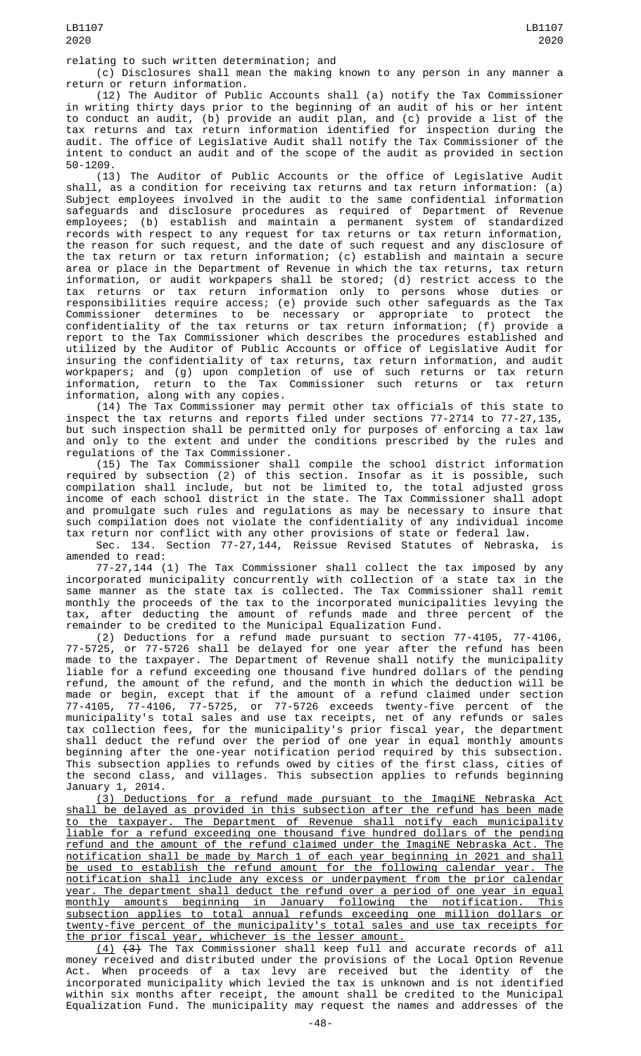relating to such written determination; and

(c) Disclosures shall mean the making known to any person in any manner a return or return information.

(12) The Auditor of Public Accounts shall (a) notify the Tax Commissioner in writing thirty days prior to the beginning of an audit of his or her intent to conduct an audit, (b) provide an audit plan, and (c) provide a list of the tax returns and tax return information identified for inspection during the audit. The office of Legislative Audit shall notify the Tax Commissioner of the intent to conduct an audit and of the scope of the audit as provided in section 50-1209.

(13) The Auditor of Public Accounts or the office of Legislative Audit shall, as a condition for receiving tax returns and tax return information: (a) Subject employees involved in the audit to the same confidential information safeguards and disclosure procedures as required of Department of Revenue employees; (b) establish and maintain a permanent system of standardized records with respect to any request for tax returns or tax return information, the reason for such request, and the date of such request and any disclosure of the tax return or tax return information; (c) establish and maintain a secure area or place in the Department of Revenue in which the tax returns, tax return information, or audit workpapers shall be stored; (d) restrict access to the tax returns or tax return information only to persons whose duties or responsibilities require access; (e) provide such other safeguards as the Tax Commissioner determines to be necessary or appropriate to protect the confidentiality of the tax returns or tax return information; (f) provide a report to the Tax Commissioner which describes the procedures established and utilized by the Auditor of Public Accounts or office of Legislative Audit for insuring the confidentiality of tax returns, tax return information, and audit workpapers; and (g) upon completion of use of such returns or tax return information, return to the Tax Commissioner such returns or tax return information, along with any copies.

(14) The Tax Commissioner may permit other tax officials of this state to inspect the tax returns and reports filed under sections 77-2714 to 77-27,135, but such inspection shall be permitted only for purposes of enforcing a tax law and only to the extent and under the conditions prescribed by the rules and regulations of the Tax Commissioner.

(15) The Tax Commissioner shall compile the school district information required by subsection (2) of this section. Insofar as it is possible, such compilation shall include, but not be limited to, the total adjusted gross income of each school district in the state. The Tax Commissioner shall adopt and promulgate such rules and regulations as may be necessary to insure that such compilation does not violate the confidentiality of any individual income tax return nor conflict with any other provisions of state or federal law.

Sec. 134. Section 77-27,144, Reissue Revised Statutes of Nebraska, is amended to read:

77-27,144 (1) The Tax Commissioner shall collect the tax imposed by any incorporated municipality concurrently with collection of a state tax in the same manner as the state tax is collected. The Tax Commissioner shall remit monthly the proceeds of the tax to the incorporated municipalities levying the tax, after deducting the amount of refunds made and three percent of the remainder to be credited to the Municipal Equalization Fund.

(2) Deductions for a refund made pursuant to section 77-4105, 77-4106, 77-5725, or 77-5726 shall be delayed for one year after the refund has been made to the taxpayer. The Department of Revenue shall notify the municipality liable for a refund exceeding one thousand five hundred dollars of the pending refund, the amount of the refund, and the month in which the deduction will be made or begin, except that if the amount of a refund claimed under section 77-4105, 77-4106, 77-5725, or 77-5726 exceeds twenty-five percent of the municipality's total sales and use tax receipts, net of any refunds or sales tax collection fees, for the municipality's prior fiscal year, the department shall deduct the refund over the period of one year in equal monthly amounts beginning after the one-year notification period required by this subsection. This subsection applies to refunds owed by cities of the first class, cities of the second class, and villages. This subsection applies to refunds beginning January 1, 2014.

(3) Deductions for a refund made pursuant to the ImagiNE Nebraska Act shall be delayed as provided in this subsection after the refund has been made to the taxpayer. The Department of Revenue shall notify each municipality liable for a refund exceeding one thousand five hundred dollars of the pending refund and the amount of the refund claimed under the ImagiNE Nebraska Act. notification shall be made by March 1 of each year beginning in 2021 and shall be used to establish the refund amount for the following calendar year. The notification shall include any excess or underpayment from the prior calendar year. The department shall deduct the refund over a period of one year in equal monthly amounts beginning in January following the notification. This subsection applies to total annual refunds exceeding one million dollars or twenty-five percent of the municipality's total sales and use tax receipts for the prior fiscal year, whichever is the lesser amount.

 $(4)$   $(3)$  The Tax Commissioner shall keep full and accurate records of all money received and distributed under the provisions of the Local Option Revenue Act. When proceeds of a tax levy are received but the identity of the incorporated municipality which levied the tax is unknown and is not identified within six months after receipt, the amount shall be credited to the Municipal Equalization Fund. The municipality may request the names and addresses of the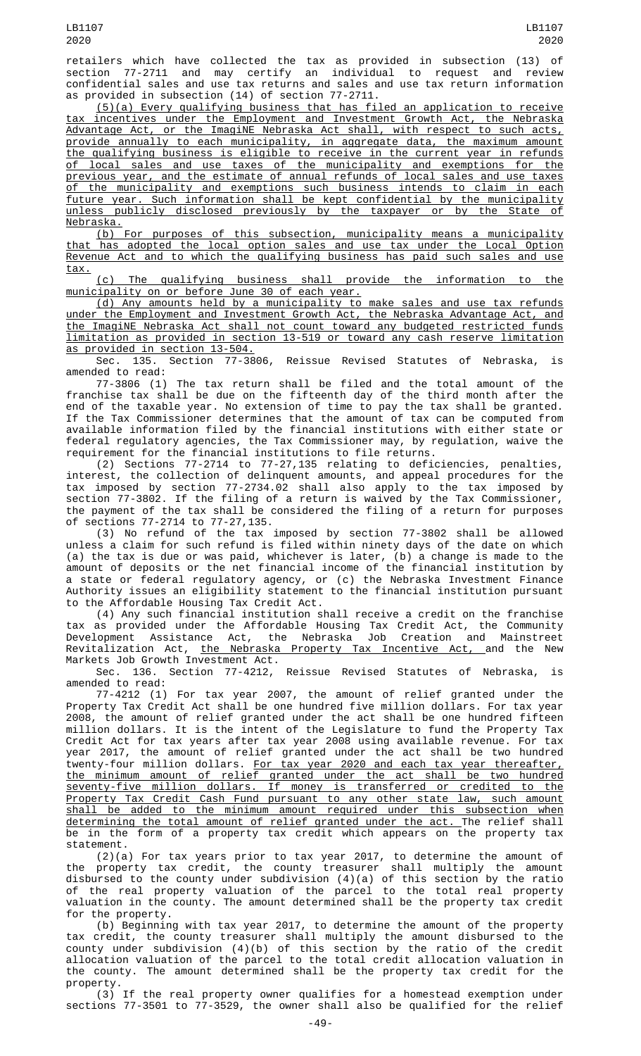retailers which have collected the tax as provided in subsection (13) of section 77-2711 and may certify an individual to request and review confidential sales and use tax returns and sales and use tax return information as provided in subsection (14) of section 77-2711.

(5)(a) Every qualifying business that has filed an application to receive tax incentives under the Employment and Investment Growth Act, the Nebraska Advantage Act, or the ImagiNE Nebraska Act shall, with respect to such acts, provide annually to each municipality, in aggregate data, the maximum amount the qualifying business is eligible to receive in the current year in refunds of local sales and use taxes of the municipality and exemptions for the previous year, and the estimate of annual refunds of local sales and use taxes of the municipality and exemptions such business intends to claim in each future year. Such information shall be kept confidential by the municipality unless publicly disclosed previously by the taxpayer or by the State of Nebraska.

(b) For purposes of this subsection, municipality means a municipality that has adopted the local option sales and use tax under the Local Option Revenue Act and to which the qualifying business has paid such sales and use tax.

(c) The qualifying business shall provide the information to the municipality on or before June 30 of each year.

(d) Any amounts held by a municipality to make sales and use tax refunds under the Employment and Investment Growth Act, the Nebraska Advantage Act, and the ImagiNE Nebraska Act shall not count toward any budgeted restricted funds limitation as provided in section 13-519 or toward any cash reserve limitation as provided in section 13-504.

Sec. 135. Section 77-3806, Reissue Revised Statutes of Nebraska, is amended to read:

77-3806 (1) The tax return shall be filed and the total amount of the franchise tax shall be due on the fifteenth day of the third month after the end of the taxable year. No extension of time to pay the tax shall be granted. If the Tax Commissioner determines that the amount of tax can be computed from available information filed by the financial institutions with either state or federal regulatory agencies, the Tax Commissioner may, by regulation, waive the requirement for the financial institutions to file returns.

(2) Sections 77-2714 to 77-27,135 relating to deficiencies, penalties, interest, the collection of delinquent amounts, and appeal procedures for the tax imposed by section 77-2734.02 shall also apply to the tax imposed by section 77-3802. If the filing of a return is waived by the Tax Commissioner, the payment of the tax shall be considered the filing of a return for purposes of sections 77-2714 to 77-27,135.

(3) No refund of the tax imposed by section 77-3802 shall be allowed unless a claim for such refund is filed within ninety days of the date on which (a) the tax is due or was paid, whichever is later, (b) a change is made to the amount of deposits or the net financial income of the financial institution by a state or federal regulatory agency, or (c) the Nebraska Investment Finance Authority issues an eligibility statement to the financial institution pursuant to the Affordable Housing Tax Credit Act.

(4) Any such financial institution shall receive a credit on the franchise tax as provided under the Affordable Housing Tax Credit Act, the Community Development Assistance Act, the Nebraska Job Creation and Mainstreet Revitalization Act, the Nebraska Property Tax Incentive Act, and the New Markets Job Growth Investment Act.

Sec. 136. Section 77-4212, Reissue Revised Statutes of Nebraska, is<br>amended to read: amended to read:

77-4212 (1) For tax year 2007, the amount of relief granted under the Property Tax Credit Act shall be one hundred five million dollars. For tax year 2008, the amount of relief granted under the act shall be one hundred fifteen million dollars. It is the intent of the Legislature to fund the Property Tax Credit Act for tax years after tax year 2008 using available revenue. For tax year 2017, the amount of relief granted under the act shall be two hundred twenty-four million dollars. For tax year 2020 and each tax year thereafter, the minimum amount of relief granted under the act shall be two hundred seventy-five million dollars. If money is transferred or credited to the Property Tax Credit Cash Fund pursuant to any other state law, such amount shall be added to the minimum amount required under this subsection when determining the total amount of relief granted under the act. The relief shall be in the form of a property tax credit which appears on the property tax statement.

(2)(a) For tax years prior to tax year 2017, to determine the amount of the property tax credit, the county treasurer shall multiply the amount disbursed to the county under subdivision (4)(a) of this section by the ratio of the real property valuation of the parcel to the total real property valuation in the county. The amount determined shall be the property tax credit for the property.

(b) Beginning with tax year 2017, to determine the amount of the property tax credit, the county treasurer shall multiply the amount disbursed to the county under subdivision (4)(b) of this section by the ratio of the credit allocation valuation of the parcel to the total credit allocation valuation in the county. The amount determined shall be the property tax credit for the property.

(3) If the real property owner qualifies for a homestead exemption under sections 77-3501 to 77-3529, the owner shall also be qualified for the relief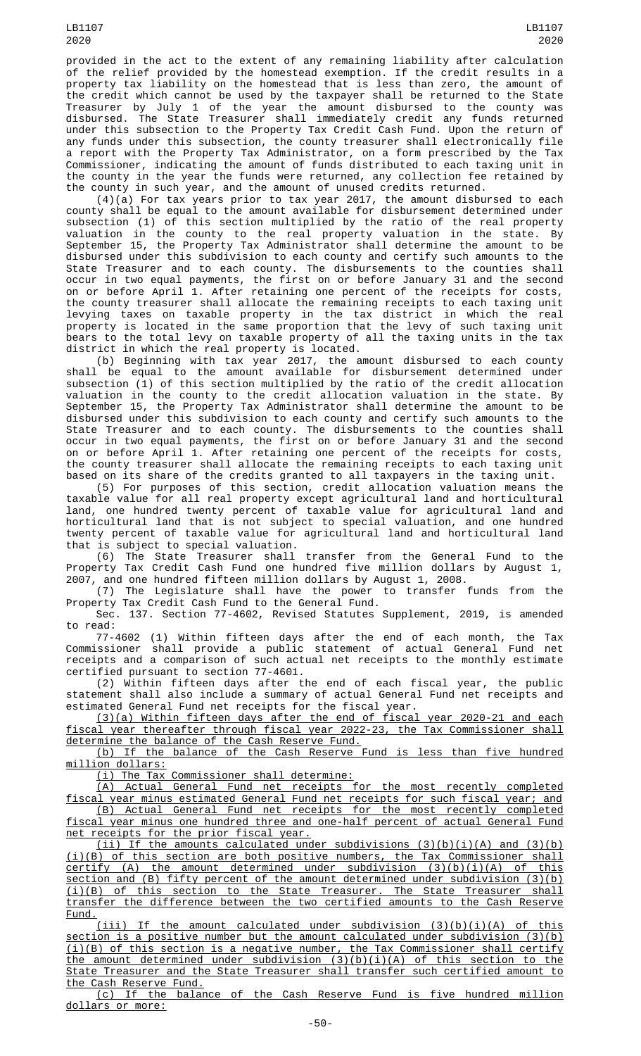provided in the act to the extent of any remaining liability after calculation of the relief provided by the homestead exemption. If the credit results in a property tax liability on the homestead that is less than zero, the amount of the credit which cannot be used by the taxpayer shall be returned to the State Treasurer by July 1 of the year the amount disbursed to the county was disbursed. The State Treasurer shall immediately credit any funds returned under this subsection to the Property Tax Credit Cash Fund. Upon the return of any funds under this subsection, the county treasurer shall electronically file a report with the Property Tax Administrator, on a form prescribed by the Tax Commissioner, indicating the amount of funds distributed to each taxing unit in the county in the year the funds were returned, any collection fee retained by the county in such year, and the amount of unused credits returned.

(4)(a) For tax years prior to tax year 2017, the amount disbursed to each county shall be equal to the amount available for disbursement determined under subsection (1) of this section multiplied by the ratio of the real property valuation in the county to the real property valuation in the state. By September 15, the Property Tax Administrator shall determine the amount to be disbursed under this subdivision to each county and certify such amounts to the State Treasurer and to each county. The disbursements to the counties shall occur in two equal payments, the first on or before January 31 and the second on or before April 1. After retaining one percent of the receipts for costs, the county treasurer shall allocate the remaining receipts to each taxing unit levying taxes on taxable property in the tax district in which the real property is located in the same proportion that the levy of such taxing unit bears to the total levy on taxable property of all the taxing units in the tax district in which the real property is located.

(b) Beginning with tax year 2017, the amount disbursed to each county shall be equal to the amount available for disbursement determined under subsection (1) of this section multiplied by the ratio of the credit allocation valuation in the county to the credit allocation valuation in the state. By September 15, the Property Tax Administrator shall determine the amount to be disbursed under this subdivision to each county and certify such amounts to the State Treasurer and to each county. The disbursements to the counties shall occur in two equal payments, the first on or before January 31 and the second on or before April 1. After retaining one percent of the receipts for costs, the county treasurer shall allocate the remaining receipts to each taxing unit based on its share of the credits granted to all taxpayers in the taxing unit.

(5) For purposes of this section, credit allocation valuation means the taxable value for all real property except agricultural land and horticultural land, one hundred twenty percent of taxable value for agricultural land and horticultural land that is not subject to special valuation, and one hundred twenty percent of taxable value for agricultural land and horticultural land that is subject to special valuation.

(6) The State Treasurer shall transfer from the General Fund to the Property Tax Credit Cash Fund one hundred five million dollars by August 1, 2007, and one hundred fifteen million dollars by August 1, 2008.

(7) The Legislature shall have the power to transfer funds from the Property Tax Credit Cash Fund to the General Fund.

Sec. 137. Section 77-4602, Revised Statutes Supplement, 2019, is amended to read:

77-4602 (1) Within fifteen days after the end of each month, the Tax Commissioner shall provide a public statement of actual General Fund net receipts and a comparison of such actual net receipts to the monthly estimate certified pursuant to section 77-4601.

(2) Within fifteen days after the end of each fiscal year, the public statement shall also include a summary of actual General Fund net receipts and estimated General Fund net receipts for the fiscal year.

(3)(a) Within fifteen days after the end of fiscal year 2020-21 and each fiscal year thereafter through fiscal year 2022-23, the Tax Commissioner shall determine the balance of the Cash Reserve Fund.

(b) If the balance of the Cash Reserve Fund is less than five hundred million dollars:

(i) The Tax Commissioner shall determine:

(A) Actual General Fund net receipts for the most recently completed fiscal year minus estimated General Fund net receipts for such fiscal year; and (B) Actual General Fund net receipts for the most recently completed fiscal year minus one hundred three and one-half percent of actual General Fund net receipts for the prior fiscal year.

(ii) If the amounts calculated under subdivisions  $(3)(b)(i)(A)$  and  $(3)(b)$ (i)(B) of this section are both positive numbers, the Tax Commissioner shall certify (A) the amount determined under subdivision (3)(b)(i)(A) of this section and (B) fifty percent of the amount determined under subdivision (3)(b) (i)(B) of this section to the State Treasurer. The State Treasurer shall transfer the difference between the two certified amounts to the Cash Reserve Fund.

(iii) If the amount calculated under subdivision  $(3)(b)(i)(A)$  of this section is a positive number but the amount calculated under subdivision (3)(b) (i)(B) of this section is a negative number, the Tax Commissioner shall certify the amount determined under subdivision (3)(b)(i)(A) of this section to the State Treasurer and the State Treasurer shall transfer such certified amount to the Cash Reserve Fund.

(c) If the balance of the Cash Reserve Fund is five hundred million dollars or more: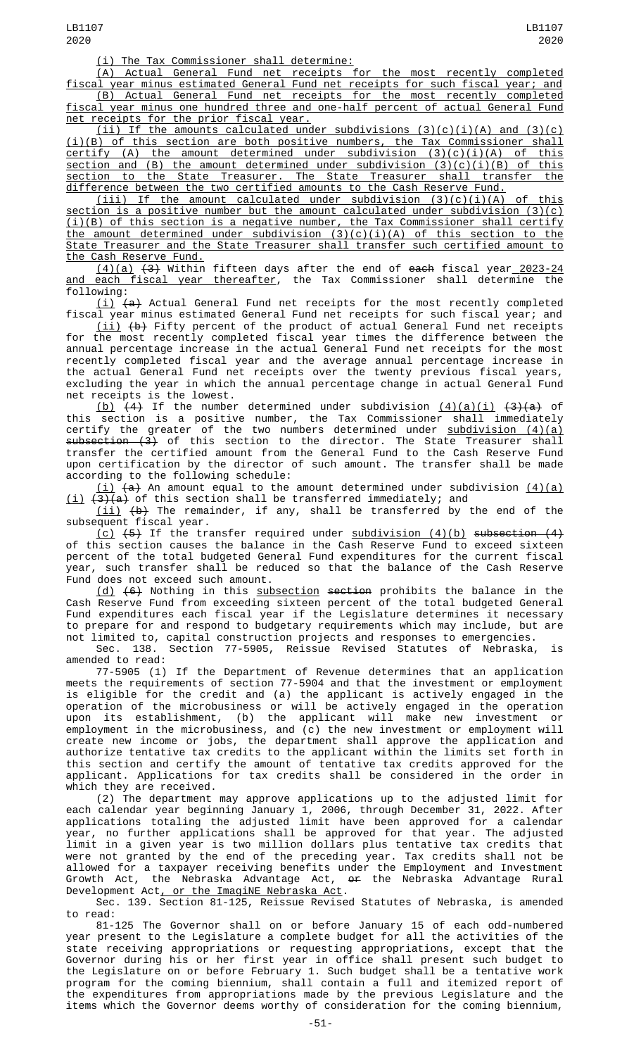(i) The Tax Commissioner shall determine:

(A) Actual General Fund net receipts for the most recently completed fiscal year minus estimated General Fund net receipts for such fiscal year; and

(B) Actual General Fund net receipts for the most recently completed fiscal year minus one hundred three and one-half percent of actual General Fund net receipts for the prior fiscal year.

(ii) If the amounts calculated under subdivisions  $(3)(c)(i)(A)$  and  $(3)(c)$ (i)(B) of this section are both positive numbers, the Tax Commissioner shall certify (A) the amount determined under subdivision (3)(c)(i)(A) of this section and (B) the amount determined under subdivision (3)(c)(i)(B) of this section to the State Treasurer. The State Treasurer shall transfer the difference between the two certified amounts to the Cash Reserve Fund.

 $(iii)$  If the amount calculated under subdivision  $(3)(c)(i)(A)$  of this section is a positive number but the amount calculated under subdivision (3)(c) (i)(B) of this section is a negative number, the Tax Commissioner shall certify the amount determined under subdivision (3)(c)(i)(A) of this section to the State Treasurer and the State Treasurer shall transfer such certified amount to the Cash Reserve Fund.

<u>(4)(a)</u> <del>(3)</del> Within fifteen days after the end of <del>each</del> fiscal year<u> 2023-24</u> and each fiscal year thereafter, the Tax Commissioner shall determine the following:

 $(\dot{\texttt{i}})$   $(\texttt{a})$  Actual General Fund net receipts for the most recently completed fiscal year minus estimated General Fund net receipts for such fiscal year; and

 $\binom{\mathtt{iii}}{\mathtt{b}}$  Fifty percent of the product of actual General Fund net receipts for the most recently completed fiscal year times the difference between the annual percentage increase in the actual General Fund net receipts for the most recently completed fiscal year and the average annual percentage increase in the actual General Fund net receipts over the twenty previous fiscal years, excluding the year in which the annual percentage change in actual General Fund net receipts is the lowest.

<u>(b)</u>  $(4)$  If the number determined under subdivision  $(4)(a)(i)$   $(3)(a)$  of this section is a positive number, the Tax Commissioner shall immediately certify the greater of the two numbers determined under <u>subdivision (4)(a)</u> subsection (3) of this section to the director. The State Treasurer shall transfer the certified amount from the General Fund to the Cash Reserve Fund upon certification by the director of such amount. The transfer shall be made according to the following schedule:

 $(i)$   $(a)$  An amount equal to the amount determined under subdivision  $(4)(a)$ <u>(i)</u> <del>(3)(a)</del> of this section shall be transferred immediately; and

 $\lfloor \texttt{ii}\rfloor$   $\texttt{(b)}$  The remainder, if any, shall be transferred by the end of the subsequent fiscal year.

<u>(c)</u> <del>(5)</del> If the transfer required under <u>subdivision (4)(b)</u> <del>subsection (4)</del> of this section causes the balance in the Cash Reserve Fund to exceed sixteen percent of the total budgeted General Fund expenditures for the current fiscal year, such transfer shall be reduced so that the balance of the Cash Reserve Fund does not exceed such amount.

(d) <del>(6)</del> Nothing in this <u>subsection</u> <del>section</del> prohibits the balance in the Cash Reserve Fund from exceeding sixteen percent of the total budgeted General Fund expenditures each fiscal year if the Legislature determines it necessary to prepare for and respond to budgetary requirements which may include, but are not limited to, capital construction projects and responses to emergencies.

Sec. 138. Section 77-5905, Reissue Revised Statutes of Nebraska, is amended to read:

77-5905 (1) If the Department of Revenue determines that an application meets the requirements of section 77-5904 and that the investment or employment is eligible for the credit and (a) the applicant is actively engaged in the operation of the microbusiness or will be actively engaged in the operation upon its establishment, (b) the applicant will make new investment or employment in the microbusiness, and (c) the new investment or employment will create new income or jobs, the department shall approve the application and authorize tentative tax credits to the applicant within the limits set forth in this section and certify the amount of tentative tax credits approved for the applicant. Applications for tax credits shall be considered in the order in which they are received.

(2) The department may approve applications up to the adjusted limit for each calendar year beginning January 1, 2006, through December 31, 2022. After applications totaling the adjusted limit have been approved for a calendar year, no further applications shall be approved for that year. The adjusted limit in a given year is two million dollars plus tentative tax credits that were not granted by the end of the preceding year. Tax credits shall not be allowed for a taxpayer receiving benefits under the Employment and Investment Growth Act, the Nebraska Advantage Act, <del>or</del> the Nebraska Advantage Rural Development Act<u>, or the ImagiNE Nebraska Act</u>.

Sec. 139. Section 81-125, Reissue Revised Statutes of Nebraska, is amended to read:

81-125 The Governor shall on or before January 15 of each odd-numbered year present to the Legislature a complete budget for all the activities of the state receiving appropriations or requesting appropriations, except that the Governor during his or her first year in office shall present such budget to the Legislature on or before February 1. Such budget shall be a tentative work program for the coming biennium, shall contain a full and itemized report of the expenditures from appropriations made by the previous Legislature and the items which the Governor deems worthy of consideration for the coming biennium,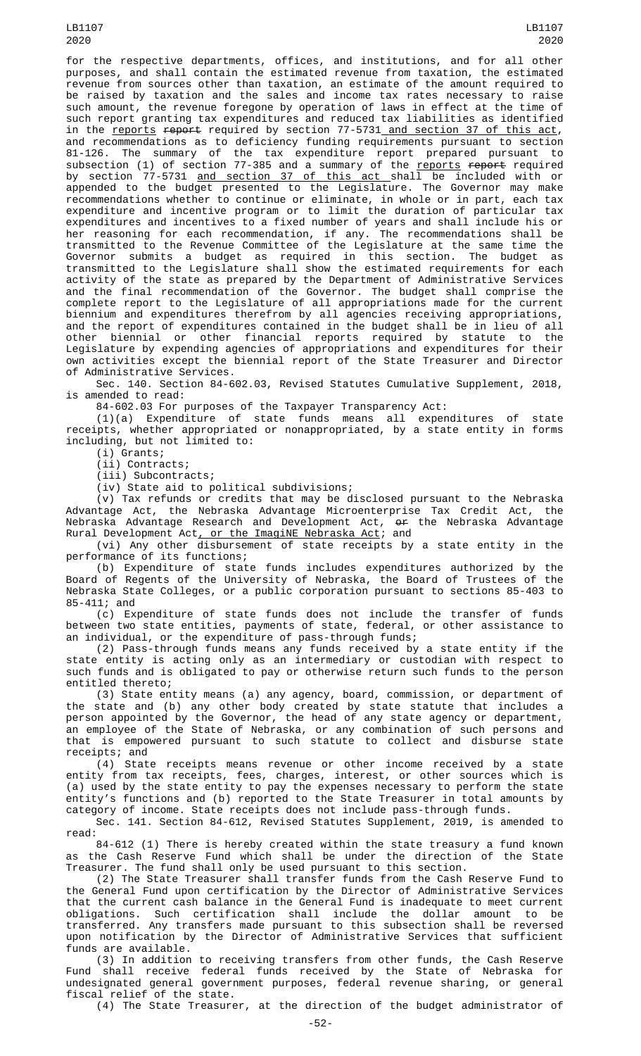LB1107 2020

for the respective departments, offices, and institutions, and for all other purposes, and shall contain the estimated revenue from taxation, the estimated revenue from sources other than taxation, an estimate of the amount required to be raised by taxation and the sales and income tax rates necessary to raise such amount, the revenue foregone by operation of laws in effect at the time of such report granting tax expenditures and reduced tax liabilities as identified in the reports report required by section 77-5731 and section 37 of this act, and recommendations as to deficiency funding requirements pursuant to section 81-126. The summary of the tax expenditure report prepared pursuant to subsection (1) of section 77-385 and a summary of the <u>reports</u> <del>report</del> required by section 77-5731 <u>and section 37 of this act s</u>hall be included with or appended to the budget presented to the Legislature. The Governor may make recommendations whether to continue or eliminate, in whole or in part, each tax expenditure and incentive program or to limit the duration of particular tax expenditures and incentives to a fixed number of years and shall include his or her reasoning for each recommendation, if any. The recommendations shall be transmitted to the Revenue Committee of the Legislature at the same time the Governor submits a budget as required in this section. The budget as transmitted to the Legislature shall show the estimated requirements for each activity of the state as prepared by the Department of Administrative Services and the final recommendation of the Governor. The budget shall comprise the complete report to the Legislature of all appropriations made for the current biennium and expenditures therefrom by all agencies receiving appropriations, and the report of expenditures contained in the budget shall be in lieu of all other biennial or other financial reports required by statute to the Legislature by expending agencies of appropriations and expenditures for their own activities except the biennial report of the State Treasurer and Director of Administrative Services.

Sec. 140. Section 84-602.03, Revised Statutes Cumulative Supplement, 2018, is amended to read:

84-602.03 For purposes of the Taxpayer Transparency Act:

(1)(a) Expenditure of state funds means all expenditures of state receipts, whether appropriated or nonappropriated, by a state entity in forms including, but not limited to:

(i) Grants;

(ii) Contracts; (iii) Subcontracts;

(iv) State aid to political subdivisions;

(v) Tax refunds or credits that may be disclosed pursuant to the Nebraska Advantage Act, the Nebraska Advantage Microenterprise Tax Credit Act, the Nebraska Advantage Research and Development Act, <del>or</del> the Nebraska Advantage Rural Development Act<u>, or the ImagiNE Nebraska Act</u>; and

(vi) Any other disbursement of state receipts by a state entity in the performance of its functions;

(b) Expenditure of state funds includes expenditures authorized by the Board of Regents of the University of Nebraska, the Board of Trustees of the Nebraska State Colleges, or a public corporation pursuant to sections 85-403 to 85-411; and

(c) Expenditure of state funds does not include the transfer of funds between two state entities, payments of state, federal, or other assistance to an individual, or the expenditure of pass-through funds;

(2) Pass-through funds means any funds received by a state entity if the state entity is acting only as an intermediary or custodian with respect to such funds and is obligated to pay or otherwise return such funds to the person entitled thereto;

(3) State entity means (a) any agency, board, commission, or department of the state and (b) any other body created by state statute that includes a person appointed by the Governor, the head of any state agency or department, an employee of the State of Nebraska, or any combination of such persons and that is empowered pursuant to such statute to collect and disburse state receipts; and

(4) State receipts means revenue or other income received by a state entity from tax receipts, fees, charges, interest, or other sources which is (a) used by the state entity to pay the expenses necessary to perform the state entity's functions and (b) reported to the State Treasurer in total amounts by category of income. State receipts does not include pass-through funds.

Sec. 141. Section 84-612, Revised Statutes Supplement, 2019, is amended to read:

84-612 (1) There is hereby created within the state treasury a fund known as the Cash Reserve Fund which shall be under the direction of the State Treasurer. The fund shall only be used pursuant to this section.

(2) The State Treasurer shall transfer funds from the Cash Reserve Fund to the General Fund upon certification by the Director of Administrative Services that the current cash balance in the General Fund is inadequate to meet current obligations. Such certification shall include the dollar amount to be transferred. Any transfers made pursuant to this subsection shall be reversed upon notification by the Director of Administrative Services that sufficient funds are available.

(3) In addition to receiving transfers from other funds, the Cash Reserve Fund shall receive federal funds received by the State of Nebraska for undesignated general government purposes, federal revenue sharing, or general fiscal relief of the state.

(4) The State Treasurer, at the direction of the budget administrator of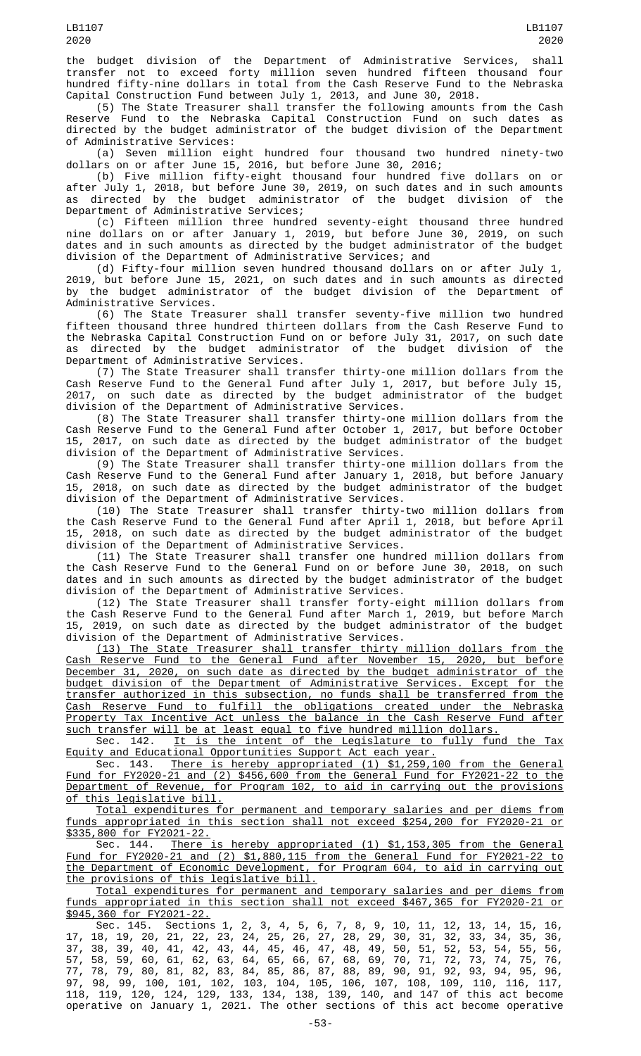the budget division of the Department of Administrative Services, shall transfer not to exceed forty million seven hundred fifteen thousand four hundred fifty-nine dollars in total from the Cash Reserve Fund to the Nebraska Capital Construction Fund between July 1, 2013, and June 30, 2018.

(5) The State Treasurer shall transfer the following amounts from the Cash Reserve Fund to the Nebraska Capital Construction Fund on such dates as directed by the budget administrator of the budget division of the Department of Administrative Services:

(a) Seven million eight hundred four thousand two hundred ninety-two dollars on or after June  $15$ , 2016, but before June 30, 2016;

(b) Five million fifty-eight thousand four hundred five dollars on or after July 1, 2018, but before June 30, 2019, on such dates and in such amounts as directed by the budget administrator of the budget division of the Department of Administrative Services;

(c) Fifteen million three hundred seventy-eight thousand three hundred nine dollars on or after January 1, 2019, but before June 30, 2019, on such dates and in such amounts as directed by the budget administrator of the budget division of the Department of Administrative Services; and

(d) Fifty-four million seven hundred thousand dollars on or after July 1, 2019, but before June 15, 2021, on such dates and in such amounts as directed by the budget administrator of the budget division of the Department of Administrative Services.

(6) The State Treasurer shall transfer seventy-five million two hundred fifteen thousand three hundred thirteen dollars from the Cash Reserve Fund to the Nebraska Capital Construction Fund on or before July 31, 2017, on such date as directed by the budget administrator of the budget division of the Department of Administrative Services.

(7) The State Treasurer shall transfer thirty-one million dollars from the Cash Reserve Fund to the General Fund after July 1, 2017, but before July 15, 2017, on such date as directed by the budget administrator of the budget division of the Department of Administrative Services.

(8) The State Treasurer shall transfer thirty-one million dollars from the Cash Reserve Fund to the General Fund after October 1, 2017, but before October 15, 2017, on such date as directed by the budget administrator of the budget division of the Department of Administrative Services.

(9) The State Treasurer shall transfer thirty-one million dollars from the Cash Reserve Fund to the General Fund after January 1, 2018, but before January 15, 2018, on such date as directed by the budget administrator of the budget division of the Department of Administrative Services.

(10) The State Treasurer shall transfer thirty-two million dollars from the Cash Reserve Fund to the General Fund after April 1, 2018, but before April 15, 2018, on such date as directed by the budget administrator of the budget division of the Department of Administrative Services.

(11) The State Treasurer shall transfer one hundred million dollars from the Cash Reserve Fund to the General Fund on or before June 30, 2018, on such dates and in such amounts as directed by the budget administrator of the budget division of the Department of Administrative Services.

(12) The State Treasurer shall transfer forty-eight million dollars from the Cash Reserve Fund to the General Fund after March 1, 2019, but before March 15, 2019, on such date as directed by the budget administrator of the budget division of the Department of Administrative Services.

(13) The State Treasurer shall transfer thirty million dollars from the Cash Reserve Fund to the General Fund after November 15, 2020, but before December 31, 2020, on such date as directed by the budget administrator of the budget division of the Department of Administrative Services. Except for the transfer authorized in this subsection, no funds shall be transferred from the Cash Reserve Fund to fulfill the obligations created under the Nebraska Property Tax Incentive Act unless the balance in the Cash Reserve Fund after such transfer will be at least equal to five hundred million dollars.

Sec. 142. It is the intent of the Legislature to fully fund the Tax Equity and Educational Opportunities Support Act each year.

Sec. 143. There is hereby appropriated (1) \$1,259,100 from the General Fund for FY2020-21 and (2) \$456,600 from the General Fund for FY2021-22 to the Department of Revenue, for Program 102, to aid in carrying out the provisions <u>of this legislative bill.</u>

Total expenditures for permanent and temporary salaries and per diems from funds appropriated in this section shall not exceed \$254,200 for FY2020-21 or

<u>\$335,800 for FY2021-22.</u><br>: Sec. 144. There There is hereby appropriated  $(1)$  \$1,153,305 from the General Fund for FY2020-21 and (2) \$1,880,115 from the General Fund for FY2021-22 to the Department of Economic Development, for Program 604, to aid in carrying out the provisions of this legislative bill.

Total expenditures for permanent and temporary salaries and per diems from funds appropriated in this section shall not exceed \$467,365 for FY2020-21 or \$945,360 for FY2021-22.

Sec. 145. Sections 1, 2, 3, 4, 5, 6, 7, 8, 9, 10, 11, 12, 13, 14, 15, 16, 17, 18, 19, 20, 21, 22, 23, 24, 25, 26, 27, 28, 29, 30, 31, 32, 33, 34, 35, 36, 37, 38, 39, 40, 41, 42, 43, 44, 45, 46, 47, 48, 49, 50, 51, 52, 53, 54, 55, 56, 57, 58, 59, 60, 61, 62, 63, 64, 65, 66, 67, 68, 69, 70, 71, 72, 73, 74, 75, 76, 77, 78, 79, 80, 81, 82, 83, 84, 85, 86, 87, 88, 89, 90, 91, 92, 93, 94, 95, 96, 97, 98, 99, 100, 101, 102, 103, 104, 105, 106, 107, 108, 109, 110, 116, 117, 118, 119, 120, 124, 129, 133, 134, 138, 139, 140, and 147 of this act become operative on January 1, 2021. The other sections of this act become operative